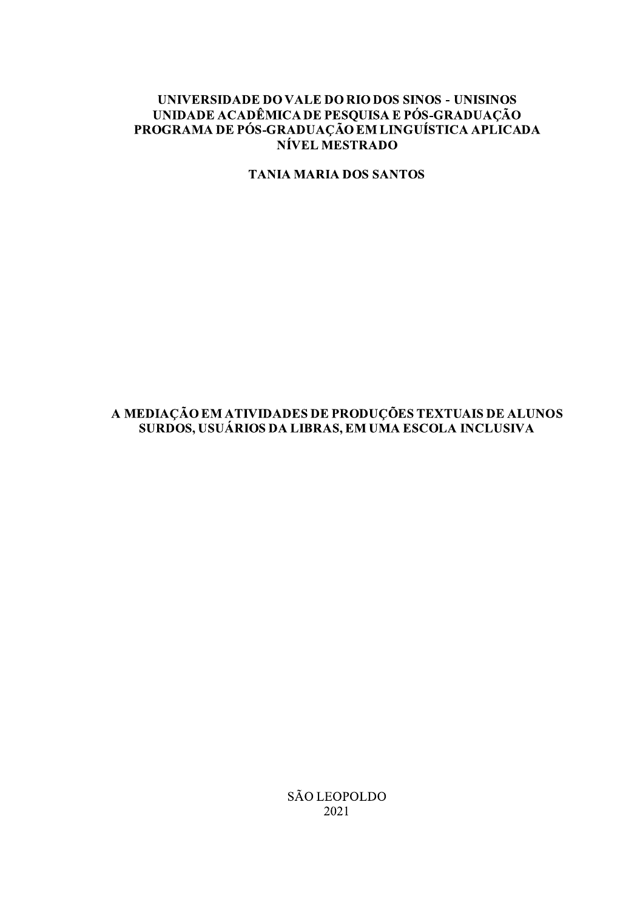### UNIVERSIDADE DO VALE DO RIO DOS SINOS - UNISINOS UNIDADE ACADÊMICA DE PESOUISA E PÓS-GRADUACÃO PROGRAMA DE PÓS-GRADUAÇÃO EM LINGUÍSTICA APLICADA **NÍVEL MESTRADO**

**TANIA MARIA DOS SANTOS** 

## A MEDIAÇÃO EM ATIVIDADES DE PRODUÇÕES TEXTUAIS DE ALUNOS SURDOS, USUÁRIOS DA LIBRAS, EM UMA ESCOLA INCLUSIVA

SÃO LEOPOLDO 2021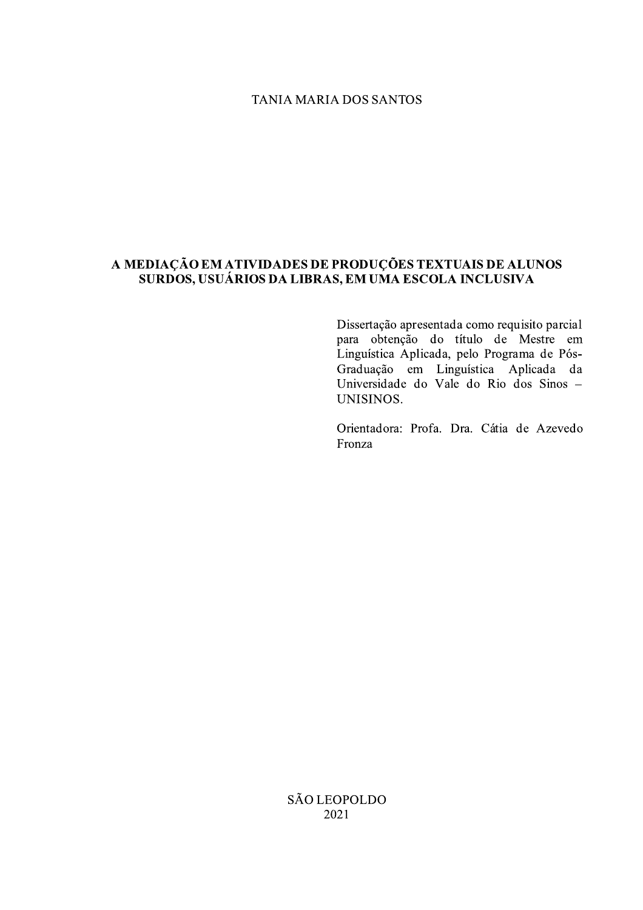### **TANIA MARIA DOS SANTOS**

## A MEDIAÇÃO EM ATIVIDADES DE PRODUÇÕES TEXTUAIS DE ALUNOS SURDOS, USUÁRIOS DA LIBRAS, EM UMA ESCOLA INCLUSIVA

Dissertação apresentada como requisito parcial para obtenção do título de Mestre em Linguística Aplicada, pelo Programa de Pós-Graduação em Linguística Aplicada da<br>Universidade do Vale do Rio dos Sinos -UNISINOS.

Orientadora: Profa. Dra. Cátia de Azevedo Fronza

SÃO LEOPOLDO 2021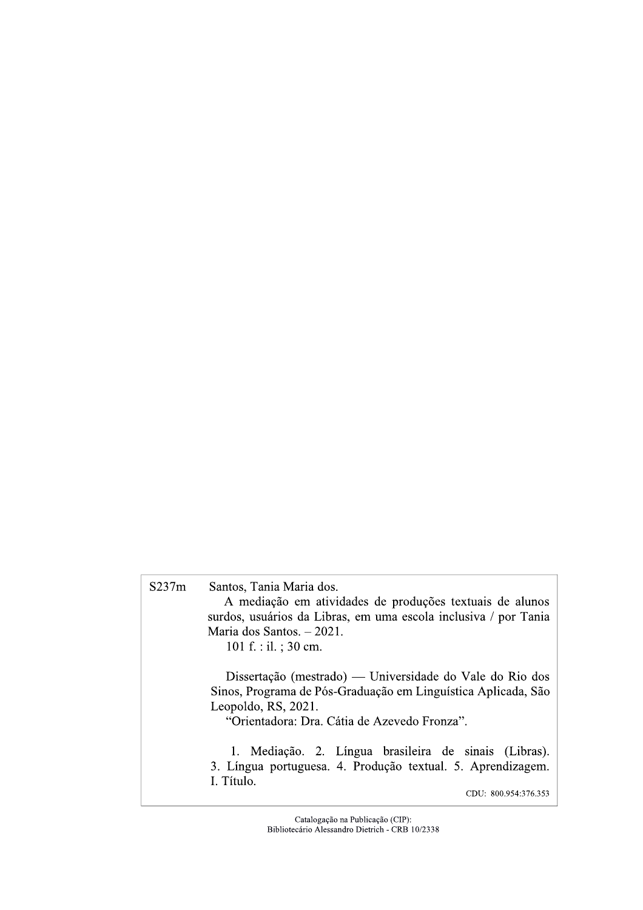$S237m$ Santos, Tania Maria dos. A mediação em atividades de produções textuais de alunos surdos, usuários da Libras, em uma escola inclusiva / por Tania Maria dos Santos. - 2021. 101 f. : il. ; 30 cm. Dissertação (mestrado) — Universidade do Vale do Rio dos Sinos, Programa de Pós-Graduação em Linguística Aplicada, São Leopoldo, RS, 2021. "Orientadora: Dra. Cátia de Azevedo Fronza". 1. Mediação. 2. Língua brasileira de sinais (Libras). 3. Língua portuguesa. 4. Produção textual. 5. Aprendizagem. I. Título. CDU: 800.954:376.353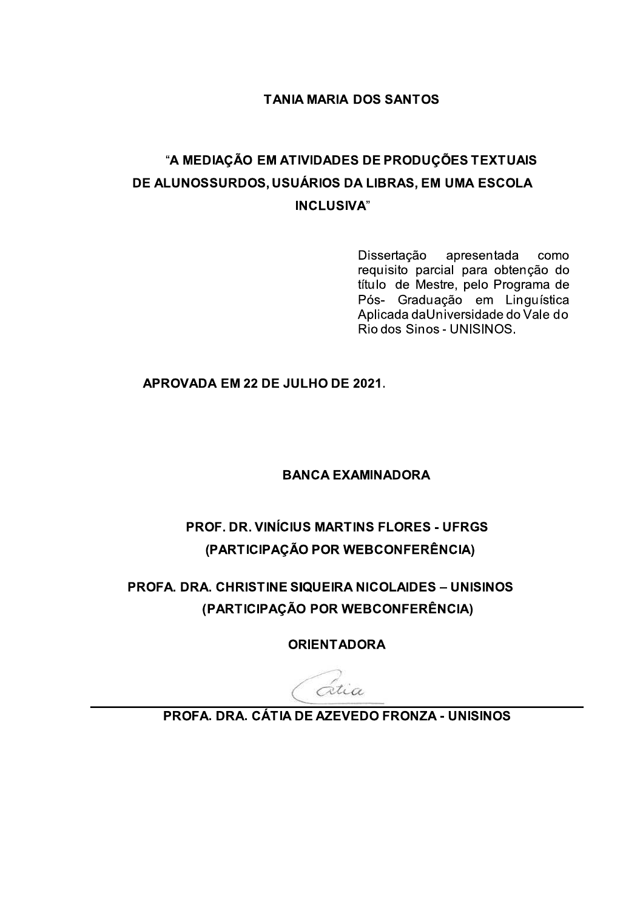## **TANIA MARIA DOS SANTOS**

# "A MEDIAÇÃO EM ATIVIDADES DE PRODUÇÕES TEXTUAIS DE ALUNOSSURDOS, USUÁRIOS DA LIBRAS, EM UMA ESCOLA **INCLUSIVA"**

Dissertação apresentada como requisito parcial para obtenção do título de Mestre, pelo Programa de Pós- Graduação em Linguística Aplicada da Universidade do Vale do Rio dos Sinos - UNISINOS.

APROVADA EM 22 DE JULHO DE 2021.

## **BANCA EXAMINADORA**

# **PROF. DR. VINÍCIUS MARTINS FLORES - UFRGS** (PARTICIPAÇÃO POR WEBCONFERÊNCIA)

# **PROFA. DRA. CHRISTINE SIQUEIRA NICOLAIDES - UNISINOS** (PARTICIPAÇÃO POR WEBCONFERÊNCIA)

**ORIENTADORA** 

atia

PROFA. DRA. CÁTIA DE AZEVEDO FRONZA - UNISINOS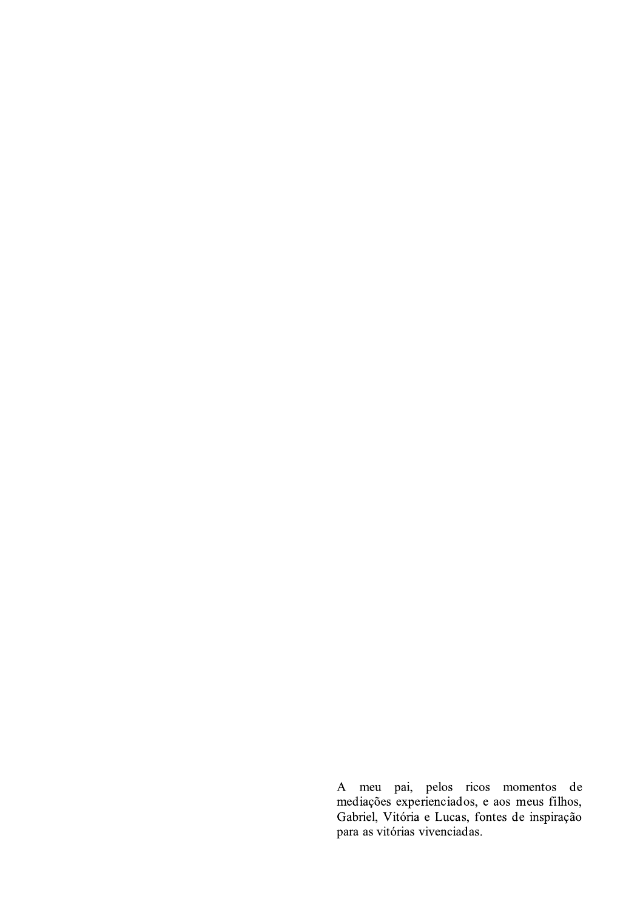A meu pai, pelos ricos momentos de mediações experienciados, e aos meus filhos, Gabriel, Vitória e Lucas, fontes de inspiração para as vitórias vivenciadas.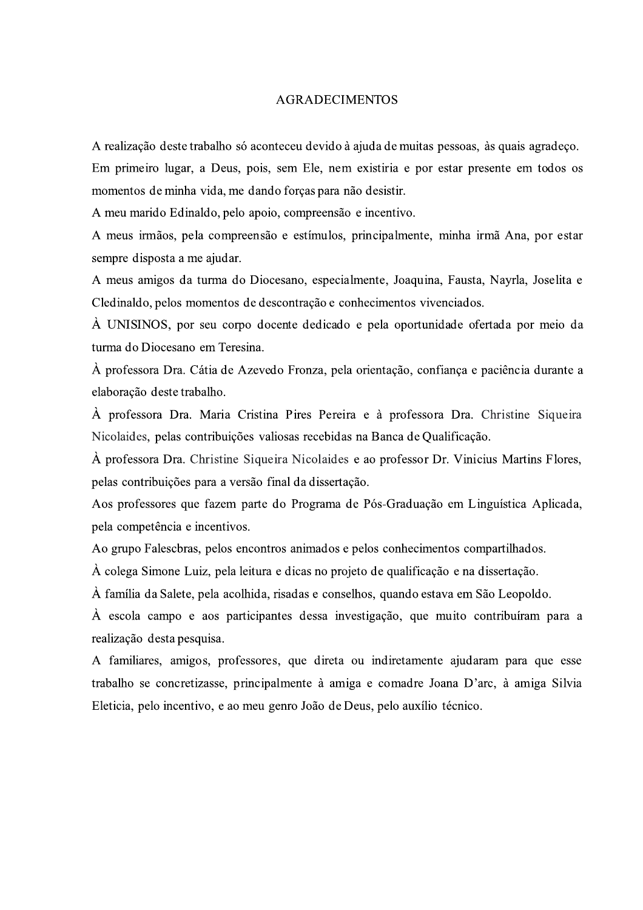#### **AGRADECIMENTOS**

A realização deste trabalho só aconteceu devido à ajuda de muitas pessoas, às quais agradeço. Em primeiro lugar, a Deus, pois, sem Ele, nem existiria e por estar presente em todos os momentos de minha vida, me dando forças para não desistir.

A meu marido Edinaldo, pelo apoio, compreensão e incentivo.

A meus irmãos, pela compreensão e estímulos, principalmente, minha irmã Ana, por estar sempre disposta a me ajudar.

A meus amigos da turma do Diocesano, especialmente, Joaquina, Fausta, Nayrla, Joselita e Cledinaldo, pelos momentos de descontração e conhecimentos vivenciados.

À UNISINOS, por seu corpo docente dedicado e pela oportunidade ofertada por meio da turma do Diocesano em Teresina.

À professora Dra. Cátia de Azevedo Fronza, pela orientação, confiança e paciência durante a elaboração deste trabalho.

À professora Dra. Maria Cristina Pires Pereira e à professora Dra. Christine Siqueira Nicolaides, pelas contribuições valiosas recebidas na Banca de Qualificação.

À professora Dra. Christine Siqueira Nicolaides e ao professor Dr. Vinicius Martins Flores, pelas contribuições para a versão final da dissertação.

Aos professores que fazem parte do Programa de Pós-Graduação em Linguística Aplicada, pela competência e incentivos.

Ao grupo Falescbras, pelos encontros animados e pelos conhecimentos compartilhados.

À colega Simone Luiz, pela leitura e dicas no projeto de qualificação e na dissertação.

À família da Salete, pela acolhida, risadas e conselhos, quando estava em São Leopoldo.

À escola campo e aos participantes dessa investigação, que muito contribuíram para a realização desta pesquisa.

A familiares, amigos, professores, que direta ou indiretamente ajudaram para que esse trabalho se concretizasse, principalmente à amiga e comadre Joana D'arc, à amiga Silvia Eleticia, pelo incentivo, e ao meu genro João de Deus, pelo auxílio técnico.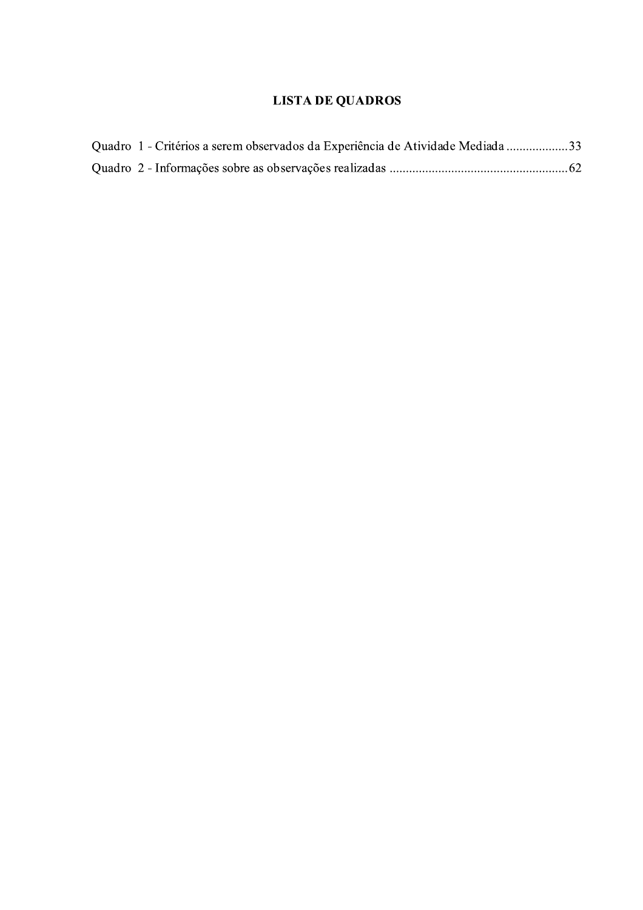# **LISTA DE QUADROS**

|  | Quadro 1 - Critérios a serem observados da Experiência de Atividade Mediada 33 |  |
|--|--------------------------------------------------------------------------------|--|
|  |                                                                                |  |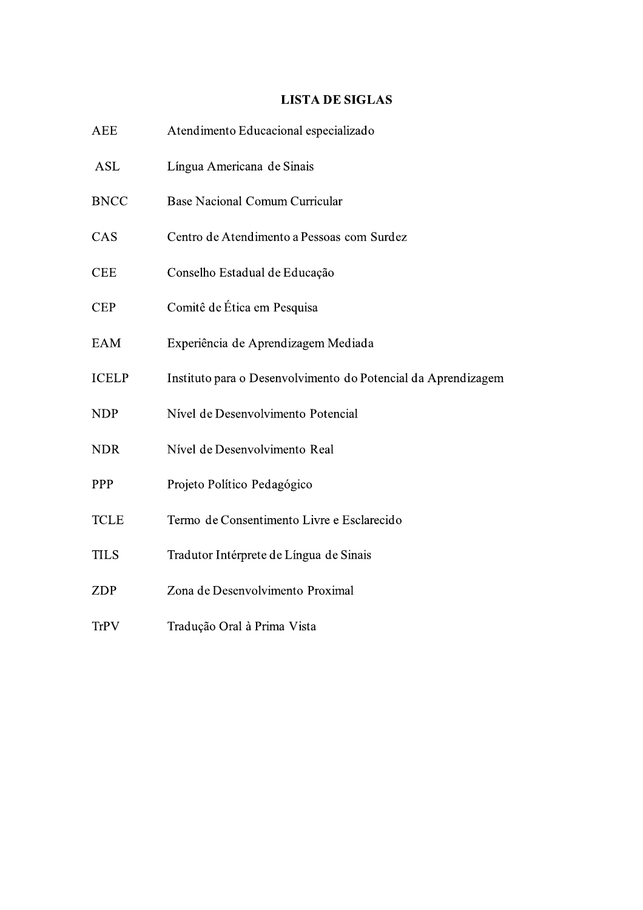# **LISTA DE SIGLAS**

| <b>AEE</b>   | Atendimento Educacional especializado                         |
|--------------|---------------------------------------------------------------|
| <b>ASL</b>   | Língua Americana de Sinais                                    |
| <b>BNCC</b>  | <b>Base Nacional Comum Curricular</b>                         |
| CAS          | Centro de Atendimento a Pessoas com Surdez                    |
| <b>CEE</b>   | Conselho Estadual de Educação                                 |
| <b>CEP</b>   | Comitê de Ética em Pesquisa                                   |
| EAM          | Experiência de Aprendizagem Mediada                           |
| <b>ICELP</b> | Instituto para o Desenvolvimento do Potencial da Aprendizagem |
| <b>NDP</b>   | Nível de Desenvolvimento Potencial                            |
| <b>NDR</b>   | Nível de Desenvolvimento Real                                 |
| <b>PPP</b>   | Projeto Político Pedagógico                                   |
| <b>TCLE</b>  | Termo de Consentimento Livre e Esclarecido                    |
| <b>TILS</b>  | Tradutor Intérprete de Língua de Sinais                       |
| ZDP          | Zona de Desenvolvimento Proximal                              |
| <b>TrPV</b>  | Tradução Oral à Prima Vista                                   |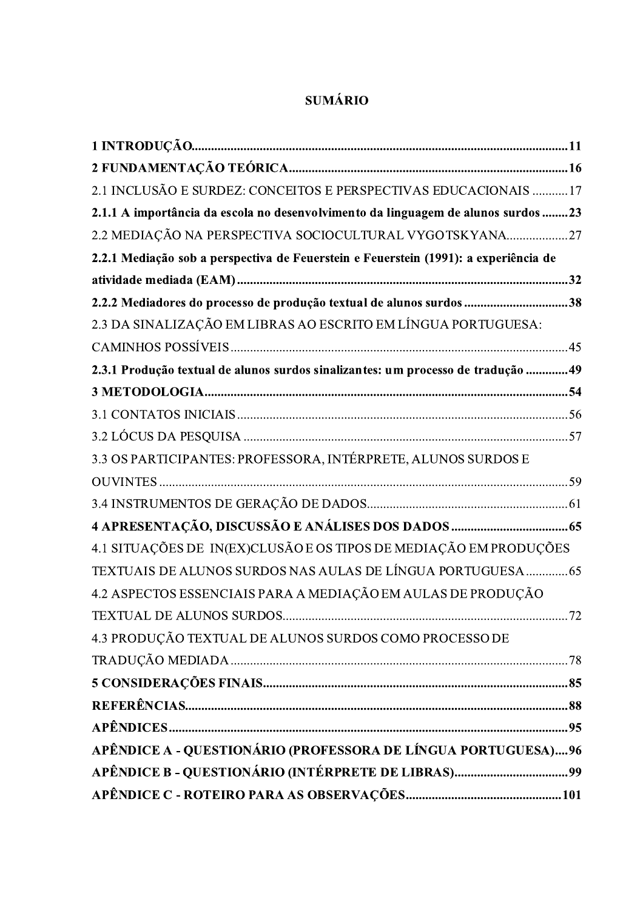# **SUMÁRIO**

| 2.1 INCLUSÃO E SURDEZ: CONCEITOS E PERSPECTIVAS EDUCACIONAIS 17                      |  |
|--------------------------------------------------------------------------------------|--|
| 2.1.1 A importância da escola no desenvolvimento da linguagem de alunos surdos  23   |  |
| 2.2 MEDIAÇÃO NA PERSPECTIVA SOCIOCULTURAL VYGOTSKYANA27                              |  |
| 2.2.1 Mediação sob a perspectiva de Feuerstein e Feuerstein (1991): a experiência de |  |
|                                                                                      |  |
| 2.2.2 Mediadores do processo de produção textual de alunos surdos 38                 |  |
| 2.3 DA SINALIZAÇÃO EM LIBRAS AO ESCRITO EM LÍNGUA PORTUGUESA:                        |  |
|                                                                                      |  |
| 2.3.1 Produção textual de alunos surdos sinalizantes: um processo de tradução 49     |  |
|                                                                                      |  |
|                                                                                      |  |
|                                                                                      |  |
| 3.3 OS PARTICIPANTES: PROFESSORA, INTÉRPRETE, ALUNOS SURDOS E                        |  |
|                                                                                      |  |
|                                                                                      |  |
|                                                                                      |  |
| 4.1 SITUAÇÕES DE IN(EX)CLUSÃO E OS TIPOS DE MEDIAÇÃO EM PRODUÇÕES                    |  |
| TEXTUAIS DE ALUNOS SURDOS NAS AULAS DE LÍNGUA PORTUGUESA 65                          |  |
| 4.2 ASPECTOS ESSENCIAIS PARA A MEDIAÇÃO EM AULAS DE PRODUÇÃO                         |  |
|                                                                                      |  |
| 4.3 PRODUÇÃO TEXTUAL DE ALUNOS SURDOS COMO PROCESSO DE                               |  |
|                                                                                      |  |
|                                                                                      |  |
|                                                                                      |  |
|                                                                                      |  |
| APÊNDICE A - QUESTIONÁRIO (PROFESSORA DE LÍNGUA PORTUGUESA)96                        |  |
|                                                                                      |  |
|                                                                                      |  |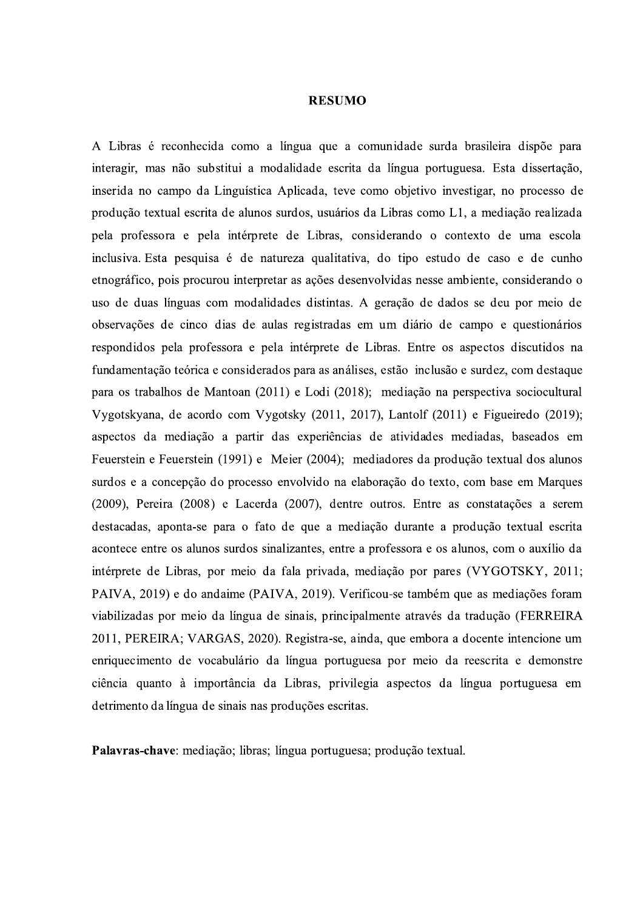#### **RESUMO**

A Libras é reconhecida como a língua que a comunidade surda brasileira dispõe para interagir, mas não substitui a modalidade escrita da língua portuguesa. Esta dissertação, inserida no campo da Linguística Aplicada, teve como objetivo investigar, no processo de produção textual escrita de alunos surdos, usuários da Libras como L1, a mediação realizada pela professora e pela intérprete de Libras, considerando o contexto de uma escola inclusiva. Esta pesquisa é de natureza qualitativa, do tipo estudo de caso e de cunho etnográfico, pois procurou interpretar as ações desenvolvidas nesse ambiente, considerando o uso de duas línguas com modalidades distintas. A geração de dados se deu por meio de observações de cinco dias de aulas registradas em um diário de campo e questionários respondidos pela professora e pela intérprete de Libras. Entre os aspectos discutidos na fundamentação teórica e considerados para as análises, estão inclusão e surdez, com destaque para os trabalhos de Mantoan (2011) e Lodi (2018); mediação na perspectiva sociocultural Vygotskyana, de acordo com Vygotsky (2011, 2017), Lantolf (2011) e Figueiredo (2019); aspectos da mediação a partir das experiências de atividades mediadas, baseados em Feuerstein e Feuerstein (1991) e Meier (2004); mediadores da produção textual dos alunos surdos e a concepção do processo envolvido na elaboração do texto, com base em Marques (2009), Pereira (2008) e Lacerda (2007), dentre outros. Entre as constatações a serem destacadas, aponta-se para o fato de que a mediação durante a produção textual escrita acontece entre os alunos surdos sinalizantes, entre a professora e os alunos, com o auxílio da intérprete de Libras, por meio da fala privada, mediação por pares (VYGOTSKY, 2011; PAIVA, 2019) e do andaime (PAIVA, 2019). Verificou-se também que as mediações foram viabilizadas por meio da língua de sinais, principalmente através da tradução (FERREIRA 2011, PEREIRA; VARGAS, 2020). Registra-se, ainda, que embora a docente intencione um enriquecimento de vocabulário da língua portuguesa por meio da reescrita e demonstre ciência quanto à importância da Libras, privilegia aspectos da língua portuguesa em detrimento da língua de sinais nas produções escritas.

Palavras-chave: mediação; libras; língua portuguesa; produção textual.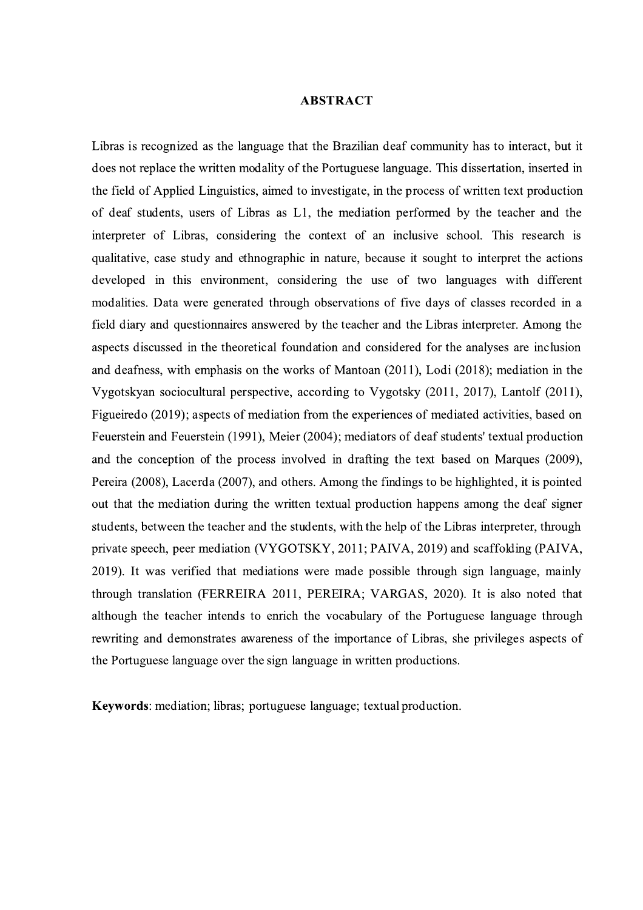#### **ABSTRACT**

Libras is recognized as the language that the Brazilian deaf community has to interact, but it does not replace the written modality of the Portuguese language. This dissertation, inserted in the field of Applied Linguistics, aimed to investigate, in the process of written text production of deaf students, users of Libras as L1, the mediation performed by the teacher and the interpreter of Libras, considering the context of an inclusive school. This research is qualitative, case study and ethnographic in nature, because it sought to interpret the actions developed in this environment, considering the use of two languages with different modalities. Data were generated through observations of five days of classes recorded in a field diary and questionnaires answered by the teacher and the Libras interpreter. Among the aspects discussed in the theoretical foundation and considered for the analyses are inclusion and deafness, with emphasis on the works of Mantoan (2011), Lodi (2018); mediation in the Vygotskyan sociocultural perspective, according to Vygotsky (2011, 2017), Lantolf (2011), Figueiredo (2019); aspects of mediation from the experiences of mediated activities, based on Feuerstein and Feuerstein (1991), Meier (2004); mediators of deaf students' textual production and the conception of the process involved in drafting the text based on Marques (2009), Pereira (2008), Lacerda (2007), and others. Among the findings to be highlighted, it is pointed out that the mediation during the written textual production happens among the deaf signer students, between the teacher and the students, with the help of the Libras interpreter, through private speech, peer mediation (VYGOTSKY, 2011; PAIVA, 2019) and scaffolding (PAIVA, 2019). It was verified that mediations were made possible through sign language, mainly through translation (FERREIRA 2011, PEREIRA; VARGAS, 2020). It is also noted that although the teacher intends to enrich the vocabulary of the Portuguese language through rewriting and demonstrates awareness of the importance of Libras, she privileges aspects of the Portuguese language over the sign language in written productions.

**Keywords:** mediation; libras; portuguese language; textual production.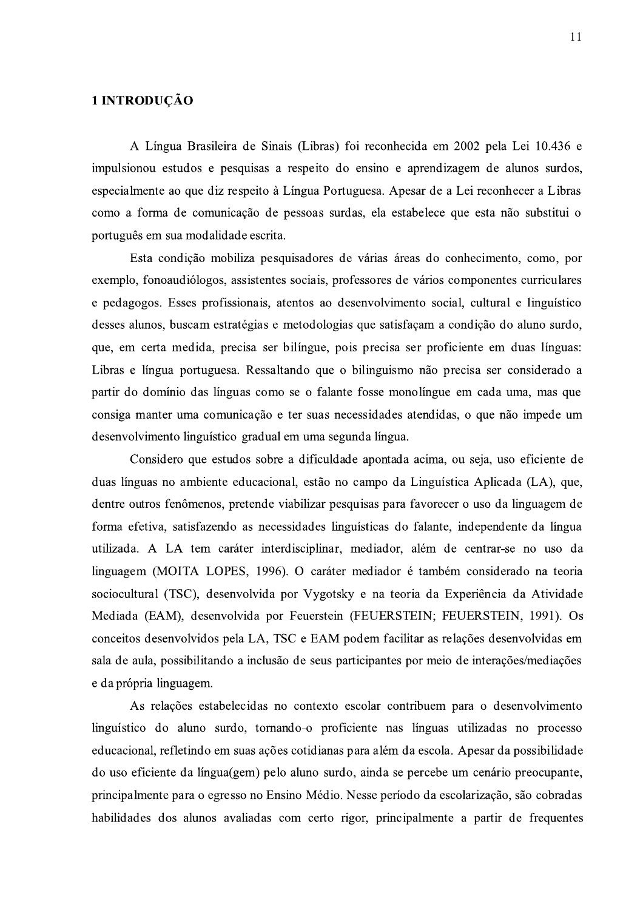### 1 INTRODUÇÃO

A Língua Brasileira de Sinais (Libras) foi reconhecida em 2002 pela Lei 10.436 e impulsionou estudos e pesquisas a respeito do ensino e aprendizagem de alunos surdos, especialmente ao que diz respeito à Língua Portuguesa. Apesar de a Lei reconhecer a Libras como a forma de comunicação de pessoas surdas, ela estabelece que esta não substitui o português em sua modalidade escrita.

Esta condição mobiliza pesquisadores de várias áreas do conhecimento, como, por exemplo, fono audiólogos, assistentes sociais, professores de vários componentes curriculares e pedagogos. Esses profissionais, atentos ao desenvolvimento social, cultural e linguístico desses alunos, buscam estratégias e metodologias que satisfaçam a condição do aluno surdo, que, em certa medida, precisa ser bilíngue, pois precisa ser proficiente em duas línguas: Libras e língua portuguesa. Ressaltando que o bilinguismo não precisa ser considerado a partir do domínio das línguas como se o falante fosse monolíngue em cada uma, mas que consiga manter uma comunicação e ter suas necessidades atendidas, o que não impede um desenvolvimento linguístico gradual em uma segunda língua.

Considero que estudos sobre a dificuldade apontada acima, ou seja, uso eficiente de duas línguas no ambiente educacional, estão no campo da Linguística Aplicada (LA), que, dentre outros fenômenos, pretende viabilizar pesquisas para favorecer o uso da linguagem de forma efetiva, satisfazendo as necessidades linguísticas do falante, independente da língua utilizada. A LA tem caráter interdisciplinar, mediador, além de centrar-se no uso da linguagem (MOITA LOPES, 1996). O caráter mediador é também considerado na teoria sociocultural (TSC), desenvolvida por Vygotsky e na teoria da Experiência da Atividade Mediada (EAM), desenvolvida por Feuerstein (FEUERSTEIN; FEUERSTEIN, 1991). Os conceitos desenvolvidos pela LA, TSC e EAM podem facilitar as relações desenvolvidas em sala de aula, possibilitando a inclusão de seus participantes por meio de interações/mediações e da própria linguagem.

As relações estabelecidas no contexto escolar contribuem para o desenvolvimento linguístico do aluno surdo, tornando-o proficiente nas línguas utilizadas no processo educacional, refletindo em suas ações cotidianas para além da escola. Apesar da possibilidade do uso eficiente da língua(gem) pelo aluno surdo, ainda se percebe um cenário preocupante, principalmente para o egresso no Ensino Médio. Nesse período da escolarização, são cobradas habilidades dos alunos avaliadas com certo rigor, principalmente a partir de frequentes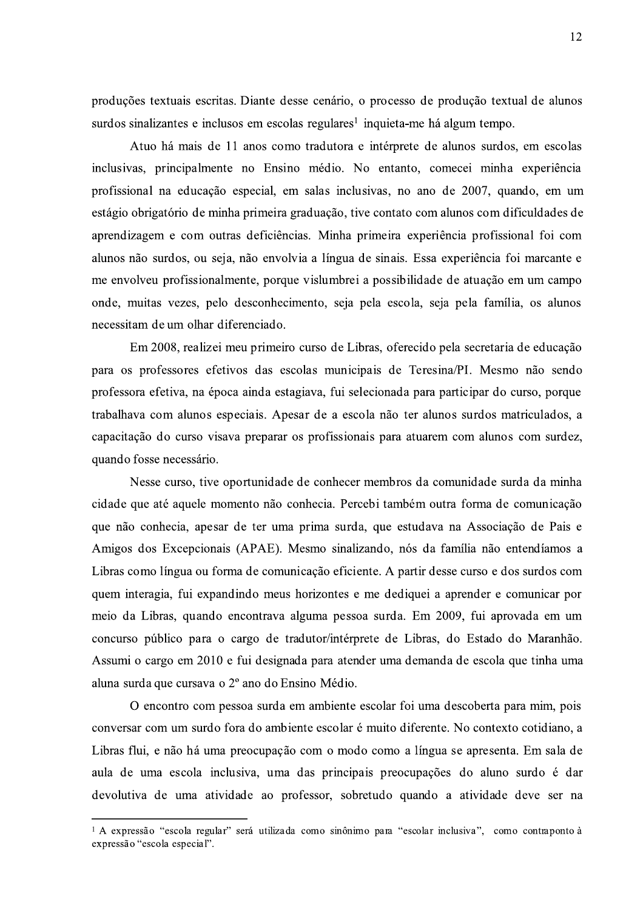produções textuais escritas. Diante desse cenário, o processo de produção textual de alunos surdos sinalizantes e inclusos em escolas regulares<sup>1</sup> inquieta-me há algum tempo.

Atuo há mais de 11 anos como tradutora e intérprete de alunos surdos, em escolas inclusivas, principalmente no Ensino médio. No entanto, comecei minha experiência profissional na educação especial, em salas inclusivas, no ano de 2007, quando, em um estágio obrigatório de minha primeira graduação, tive contato com alunos com dificuldades de aprendizagem e com outras deficiências. Minha primeira experiência profissional foi com alunos não surdos, ou seja, não envolvia a língua de sinais. Essa experiência foi marcante e me envolveu profissionalmente, porque vislumbrei a possibilidade de atuação em um campo onde, muitas vezes, pelo desconhecimento, seja pela escola, seja pela família, os alunos necessitam de um olhar diferenciado.

Em 2008, realizei meu primeiro curso de Libras, oferecido pela secretaria de educação para os professores efetivos das escolas municipais de Teresina/PI. Mesmo não sendo professora efetiva, na época ainda estagiava, fui selecionada para participar do curso, porque trabalhava com alunos especiais. Apesar de a escola não ter alunos surdos matriculados, a capacitação do curso visava preparar os profissionais para atuarem com alunos com surdez, quando fosse necessário.

Nesse curso, tive oportunidade de conhecer membros da comunidade surda da minha cidade que até aquele momento não conhecia. Percebi também outra forma de comunicação que não conhecia, apesar de ter uma prima surda, que estudava na Associação de Pais e Amigos dos Excepcionais (APAE). Mesmo sinalizando, nós da família não entendíamos a Libras como língua ou forma de comunicação eficiente. A partir desse curso e dos surdos com quem interagia, fui expandindo meus horizontes e me dediquei a aprender e comunicar por meio da Libras, quando encontrava alguma pessoa surda. Em 2009, fui aprovada em um concurso público para o cargo de tradutor/intérprete de Libras, do Estado do Maranhão. Assumi o cargo em 2010 e fui designada para atender uma demanda de escola que tinha uma aluna surda que cursava o 2º ano do Ensino Médio.

O encontro com pessoa surda em ambiente escolar foi uma descoberta para mim, pois conversar com um surdo fora do ambiente escolar é muito diferente. No contexto cotidiano, a Libras flui, e não há uma preocupação com o modo como a língua se apresenta. Em sala de aula de uma escola inclusiva, uma das principais preocupações do aluno surdo é dar devolutiva de uma atividade ao professor, sobretudo quando a atividade deve ser na

<sup>&</sup>lt;sup>1</sup> A expressão "escola regular" será utilizada como sinônimo para "escolar inclusiva", como contraponto à expressão "escola especial".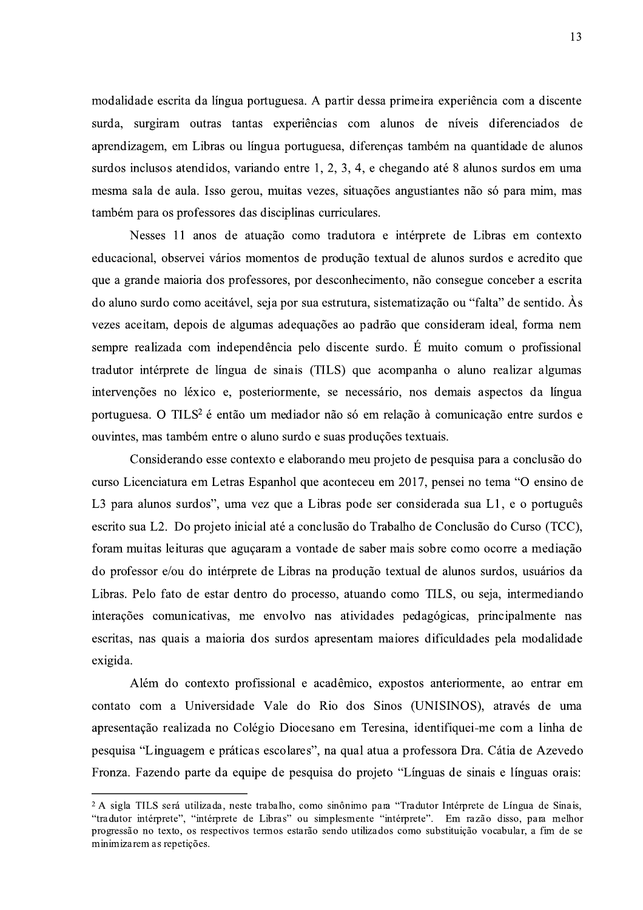modalidade escrita da língua portuguesa. A partir dessa primeira experiência com a discente surda, surgiram outras tantas experiências com alunos de níveis diferenciados de aprendizagem, em Libras ou língua portuguesa, diferenças também na quantidade de alunos surdos inclusos atendidos, variando entre 1, 2, 3, 4, e chegando até 8 alunos surdos em uma mesma sala de aula. Isso gerou, muitas vezes, situações angustiantes não só para mim, mas também para os professores das disciplinas curriculares.

Nesses 11 anos de atuação como tradutora e intérprete de Libras em contexto educacional, observei vários momentos de produção textual de alunos surdos e acredito que que a grande maioria dos professores, por desconhecimento, não consegue conceber a escrita do aluno surdo como aceitável, seja por sua estrutura, sistematização ou "falta" de sentido. Às vezes aceitam, depois de algumas adequações ao padrão que consideram ideal, forma nem sempre realizada com independência pelo discente surdo. É muito comum o profissional tradutor intérprete de língua de sinais (TILS) que acompanha o aluno realizar algumas intervenções no léxico e, posteriormente, se necessário, nos demais aspectos da língua portuguesa. O TILS<sup>2</sup> é então um mediador não só em relação à comunicação entre surdos e ouvintes, mas também entre o aluno surdo e suas produções textuais.

Considerando esse contexto e elaborando meu projeto de pesquisa para a conclusão do curso Licenciatura em Letras Espanhol que aconteceu em 2017, pensei no tema "O ensino de L3 para alunos surdos", uma vez que a Libras pode ser considerada sua L1, e o português escrito sua L2. Do projeto inicial até a conclusão do Trabalho de Conclusão do Curso (TCC), foram muitas leituras que aguçaram a vontade de saber mais sobre como ocorre a mediação do professor e/ou do intérprete de Libras na produção textual de alunos surdos, usuários da Libras. Pelo fato de estar dentro do processo, atuando como TILS, ou seja, intermediando interações comunicativas, me envolvo nas atividades pedagógicas, principalmente nas escritas, nas quais a maioria dos surdos apresentam maiores dificuldades pela modalidade exigida.

Além do contexto profissional e acadêmico, expostos anteriormente, ao entrar em contato com a Universidade Vale do Rio dos Sinos (UNISINOS), através de uma apresentação realizada no Colégio Diocesano em Teresina, identifiquei-me com a linha de pesquisa "Linguagem e práticas escolares", na qual atua a professora Dra. Cátia de Azevedo Fronza. Fazendo parte da equipe de pesquisa do projeto "Línguas de sinais e línguas orais:

<sup>&</sup>lt;sup>2</sup> A sigla TILS será utilizada, neste trabalho, como sinônimo para "Tradutor Intérprete de Língua de Sinais, "tradutor intérprete", "intérprete de Libras" ou simplesmente "intérprete". Em razão disso, para melhor progressão no texto, os respectivos termos estarão sendo utilizados como substituição vocabular, a fim de se minimizarem as repetições.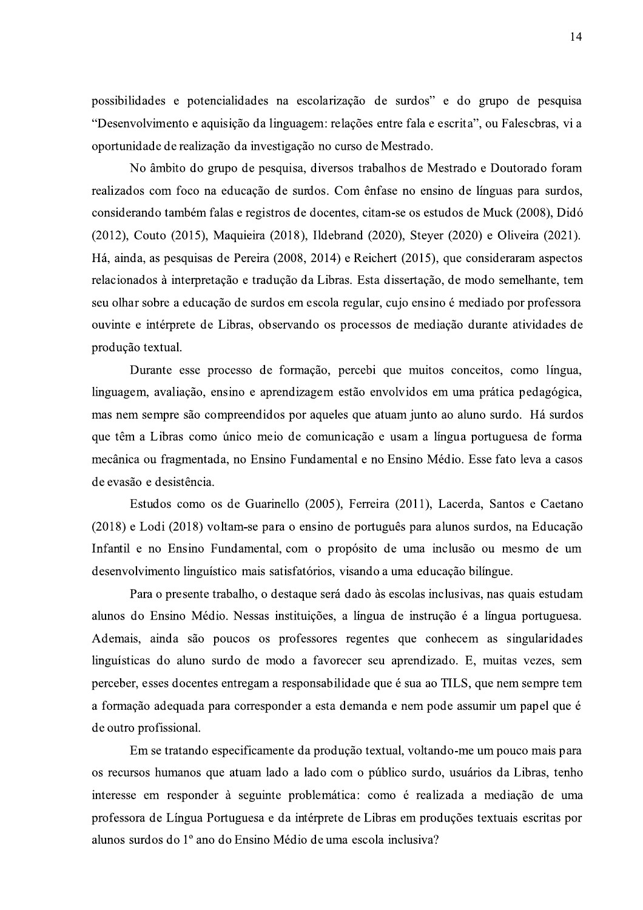possibilidades e potencialidades na escolarização de surdos" e do grupo de pesquisa "Desenvolvimento e aquisição da linguagem: relações entre fala e escrita", ou Falescbras, vi a oportunidade de realização da investigação no curso de Mestrado.

No âmbito do grupo de pesquisa, diversos trabalhos de Mestrado e Doutorado foram realizados com foco na educação de surdos. Com ênfase no ensino de línguas para surdos, considerando também falas e registros de docentes, citam-se os estudos de Muck (2008), Didó (2012), Couto (2015), Maquieira (2018), Ildebrand (2020), Steyer (2020) e Oliveira (2021). Há, ainda, as pesquisas de Pereira (2008, 2014) e Reichert (2015), que consideraram aspectos relacionados à interpretação e tradução da Libras. Esta dissertação, de modo semelhante, tem seu olhar sobre a educação de surdos em escola regular, cujo ensino é mediado por professora ouvinte e intérprete de Libras, observando os processos de mediação durante atividades de produção textual.

Durante esse processo de formação, percebi que muitos conceitos, como língua, linguagem, avaliação, ensino e aprendizagem estão envolvidos em uma prática pedagógica, mas nem sempre são compreendidos por aqueles que atuam junto ao aluno surdo. Há surdos que têm a Libras como único meio de comunicação e usam a língua portuguesa de forma mecânica ou fragmentada, no Ensino Fundamental e no Ensino Médio. Esse fato leva a casos de evasão e desistência.

Estudos como os de Guarinello (2005), Ferreira (2011), Lacerda, Santos e Caetano (2018) e Lodi (2018) voltam-se para o ensino de português para alunos surdos, na Educação Infantil e no Ensino Fundamental, com o propósito de uma inclusão ou mesmo de um desenvolvimento linguístico mais satisfatórios, visando a uma educação bilíngue.

Para o presente trabalho, o destaque será dado às escolas inclusivas, nas quais estudam alunos do Ensino Médio. Nessas instituições, a língua de instrução é a língua portuguesa. Ademais, ainda são poucos os professores regentes que conhecem as singularidades linguísticas do aluno surdo de modo a favorecer seu aprendizado. E, muitas vezes, sem perceber, esses docentes entregam a responsabilidade que é sua ao TILS, que nem sempre tem a formação adequada para corresponder a esta demanda e nem pode assumir um papel que é de outro profissional.

Em se tratando especificamente da produção textual, voltando-me um pouco mais para os recursos humanos que atuam lado a lado com o público surdo, usuários da Libras, tenho interesse em responder à seguinte problemática: como é realizada a mediação de uma professora de Língua Portuguesa e da intérprete de Libras em produções textuais escritas por alunos surdos do 1º ano do Ensino Médio de uma escola inclusiva?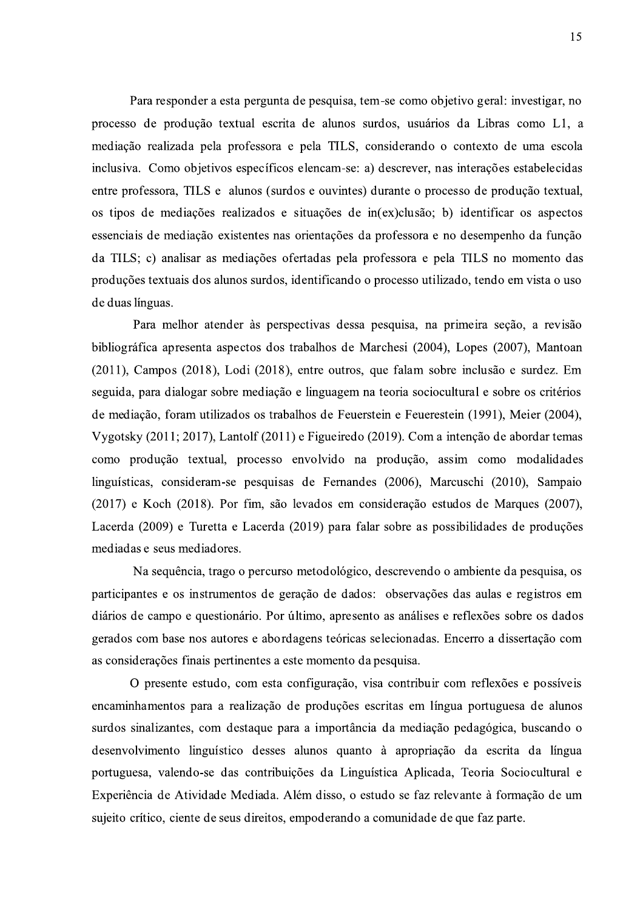Para responder a esta pergunta de pesquisa, tem-se como objetivo geral: investigar, no processo de produção textual escrita de alunos surdos, usuários da Libras como L1, a mediação realizada pela professora e pela TILS, considerando o contexto de uma escola inclusiva. Como objetivos específicos elencam-se: a) descrever, nas interações estabelecidas entre professora, TILS e alunos (surdos e ouvintes) durante o processo de produção textual, os tipos de mediações realizados e situações de in(ex)clusão; b) identificar os aspectos essenciais de mediação existentes nas orientações da professora e no desempenho da função da TILS; c) analisar as mediações ofertadas pela professora e pela TILS no momento das produções textuais dos alunos surdos, identificando o processo utilizado, tendo em vista o uso de duas línguas.

Para melhor atender às perspectivas dessa pesquisa, na primeira seção, a revisão bibliográfica apresenta aspectos dos trabalhos de Marchesi (2004), Lopes (2007), Mantoan (2011), Campos (2018), Lodi (2018), entre outros, que falam sobre inclusão e surdez. Em seguida, para dialogar sobre mediação e linguagem na teoria sociocultural e sobre os critérios de mediação, foram utilizados os trabalhos de Feuerstein e Feuerestein (1991), Meier (2004), Vygotsky (2011; 2017), Lantolf (2011) e Figueiredo (2019). Com a intenção de abordar temas como produção textual, processo envolvido na produção, assim como modalidades linguísticas, consideram-se pesquisas de Fernandes (2006), Marcuschi (2010), Sampaio (2017) e Koch (2018). Por fim, são levados em consideração estudos de Marques (2007), Lacerda (2009) e Turetta e Lacerda (2019) para falar sobre as possibilidades de produções mediadas e seus mediadores.

Na sequência, trago o percurso metodológico, descrevendo o ambiente da pesquisa, os participantes e os instrumentos de geração de dados: observações das aulas e registros em diários de campo e questionário. Por último, apresento as análises e reflexões sobre os dados gerados com base nos autores e abordagens teóricas selecionadas. Encerro a dissertação com as considerações finais pertinentes a este momento da pesquisa.

O presente estudo, com esta configuração, visa contribuir com reflexões e possíveis encaminhamentos para a realização de produções escritas em língua portuguesa de alunos surdos sinalizantes, com destague para a importância da mediação pedagógica, buscando o desenvolvimento linguístico desses alunos quanto à apropriação da escrita da língua portuguesa, valendo-se das contribuições da Linguística Aplicada, Teoria Sociocultural e Experiência de Atividade Mediada. Além disso, o estudo se faz relevante à formação de um sujeito crítico, ciente de seus direitos, empoderando a comunidade de que faz parte.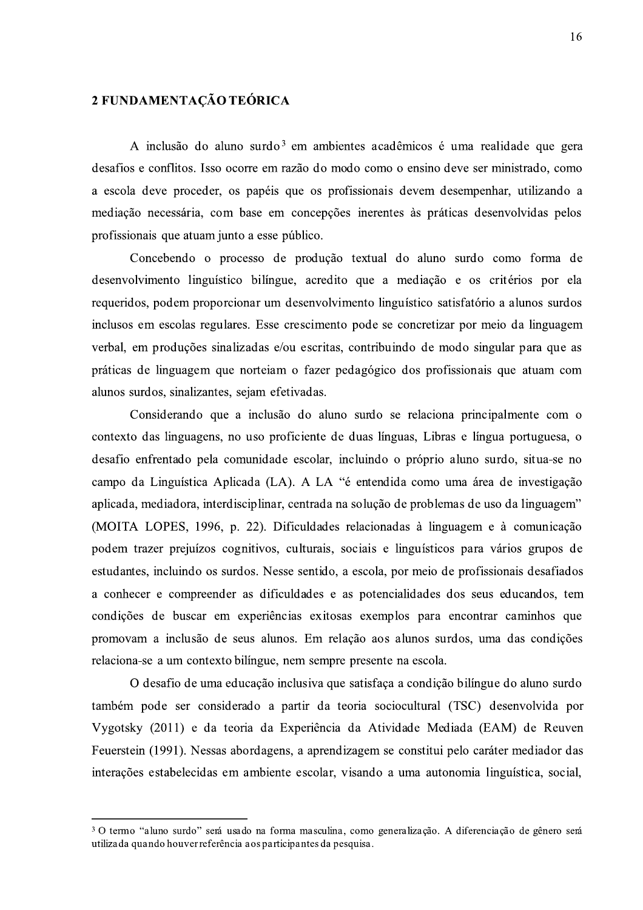### 2 FUNDAMENTAÇÃO TEÓRICA

A inclusão do aluno surdo<sup>3</sup> em ambientes acadêmicos é uma realidade que gera desafios e conflitos. Isso ocorre em razão do modo como o ensino deve ser ministrado, como a escola deve proceder, os papéis que os profissionais devem desempenhar, utilizando a mediação necessária, com base em concepções inerentes às práticas desenvolvidas pelos profissionais que atuam junto a esse público.

Concebendo o processo de produção textual do aluno surdo como forma de desenvolvimento linguístico bilíngue, acredito que a mediação e os critérios por ela requeridos, podem proporcionar um desenvolvimento linguístico satisfatório a alunos surdos inclusos em escolas regulares. Esse crescimento pode se concretizar por meio da linguagem verbal, em produções sinalizadas e/ou escritas, contribuindo de modo singular para que as práticas de linguagem que norteiam o fazer pedagógico dos profissionais que atuam com alunos surdos, sinalizantes, sejam efetivadas.

Considerando que a inclusão do aluno surdo se relaciona principalmente com o contexto das linguagens, no uso proficiente de duas línguas, Libras e língua portuguesa, o desafio enfrentado pela comunidade escolar, incluindo o próprio aluno surdo, situa-se no campo da Linguística Aplicada (LA). A LA "é entendida como uma área de investigação aplicada, mediadora, interdisciplinar, centrada na solução de problemas de uso da linguagem" (MOITA LOPES, 1996, p. 22). Dificuldades relacionadas à linguagem e à comunicação podem trazer prejuízos cognitivos, culturais, sociais e linguísticos para vários grupos de estudantes, incluindo os surdos. Nesse sentido, a escola, por meio de profissionais desafiados a conhecer e compreender as dificuldades e as potencialidades dos seus educandos, tem condições de buscar em experiências exitosas exemplos para encontrar caminhos que promovam a inclusão de seus alunos. Em relação aos alunos surdos, uma das condições relaciona-se a um contexto bilíngue, nem sempre presente na escola.

O desafio de uma educação inclusiva que satisfaça a condição bilíngue do aluno surdo também pode ser considerado a partir da teoria sociocultural (TSC) desenvolvida por Vygotsky (2011) e da teoria da Experiência da Atividade Mediada (EAM) de Reuven Feuerstein (1991). Nessas abordagens, a aprendizagem se constitui pelo caráter mediador das interações estabelecidas em ambiente escolar, visando a uma autonomia linguística, social,

<sup>&</sup>lt;sup>3</sup> O termo "aluno surdo" será usado na forma masculina, como generalização. A diferenciação de gênero será utilizada quando houver referência aos participantes da pesquisa.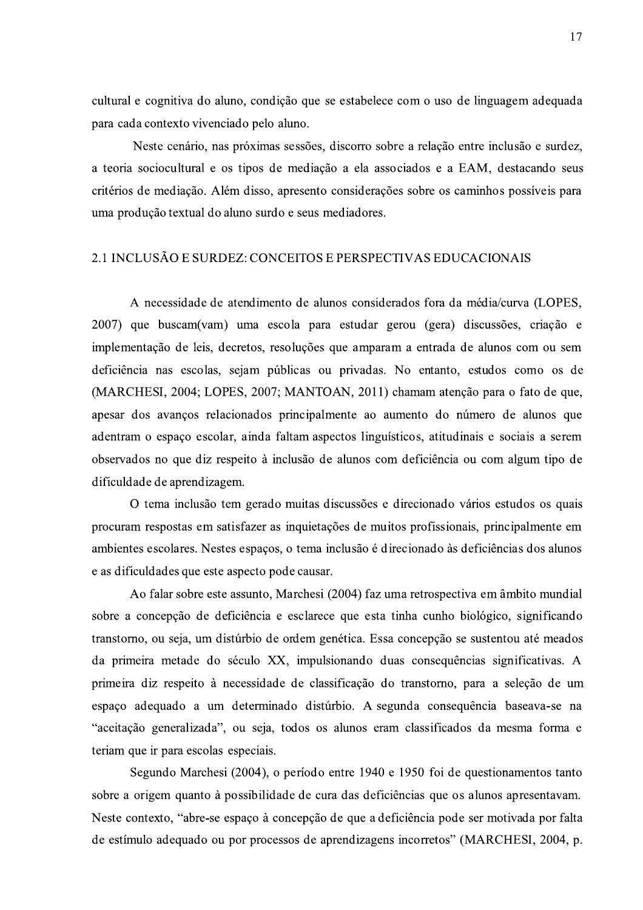cultural e cognitiva do aluno, condição que se estabelece com o uso de linguagem adequada para cada contexto vivenciado pelo aluno.

Neste cenário, nas próximas sessões, discorro sobre a relação entre inclusão e surdez, a teoria sociocultural e os tipos de mediação a ela associados e a EAM, destacando seus critérios de mediação. Além disso, apresento considerações sobre os caminhos possíveis para uma produção textual do aluno surdo e seus mediadores.

### 2.1 INCLUSÃO E SURDEZ: CONCEITOS E PERSPECTIVAS EDUCACIONAIS

A necessidade de atendimento de alunos considerados fora da média/curva (LOPES, 2007) que buscam(vam) uma escola para estudar gerou (gera) discussões, criação e implementação de leis, decretos, resoluções que amparam a entrada de alunos com ou sem deficiência nas escolas, sejam públicas ou privadas. No entanto, estudos como os de (MARCHESI, 2004; LOPES, 2007; MANTOAN, 2011) chamam atenção para o fato de que, apesar dos avanços relacionados principalmente ao aumento do número de alunos que adentram o espaço escolar, ainda faltam aspectos linguísticos, atitudinais e sociais a serem observados no que diz respeito à inclusão de alunos com deficiência ou com algum tipo de dificuldade de aprendizagem.

O tema inclusão tem gerado muitas discussões e direcionado vários estudos os quais procuram respostas em satisfazer as inquietações de muitos profissionais, principalmente em ambientes escolares. Nestes espaços, o tema inclusão é direcionado às deficiências dos alunos e as dificuldades que este aspecto pode causar.

Ao falar sobre este assunto, Marchesi (2004) faz uma retrospectiva em âmbito mundial sobre a concepção de deficiência e esclarece que esta tinha cunho biológico, significando transtorno, ou seja, um distúrbio de ordem genética. Essa concepção se sustentou até meados da primeira metade do século XX, impulsionando duas consequências significativas. A primeira diz respeito à necessidade de classificação do transtorno, para a seleção de um espaço adequado a um determinado distúrbio. A segunda consequência baseava-se na "aceitação generalizada", ou seja, todos os alunos eram classificados da mesma forma e teriam que ir para escolas especiais.

Segundo Marchesi (2004), o período entre 1940 e 1950 foi de questionamentos tanto sobre a origem quanto à possibilidade de cura das deficiências que os alunos apresentavam. Neste contexto, "abre-se espaço à concepção de que a deficiência pode ser motivada por falta de estímulo adequado ou por processos de aprendizagens incorretos" (MARCHESI, 2004, p.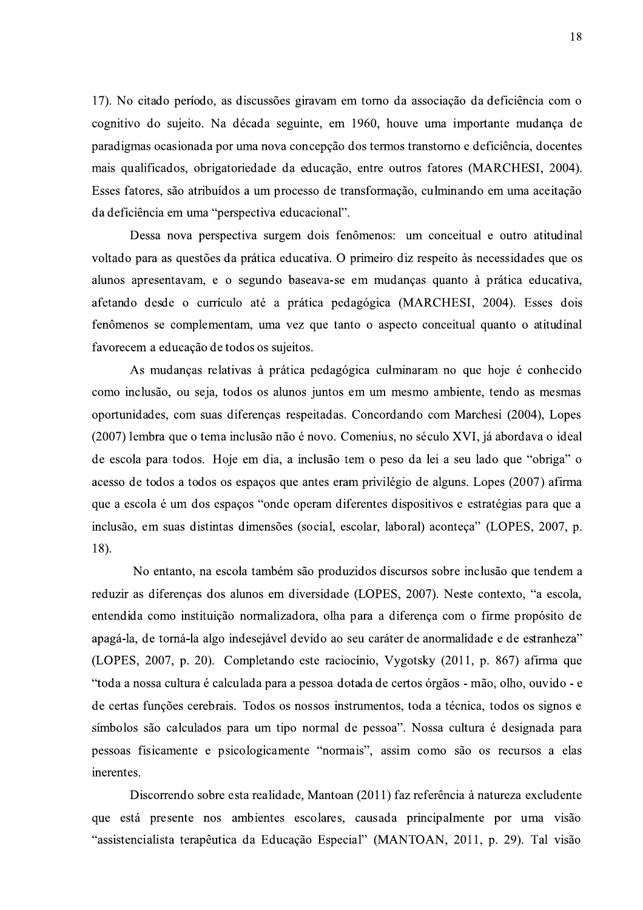17). No citado período, as discussões giravam em torno da associação da deficiência com o cognitivo do sujeito. Na década seguinte, em 1960, houve uma importante mudança de paradigmas ocasionada por uma nova concepção dos termos transtorno e deficiência, docentes mais qualificados, obrigatoriedade da educação, entre outros fatores (MARCHESI, 2004). Esses fatores, são atribuídos a um processo de transformação, culminando em uma aceitação da deficiência em uma "perspectiva educacional".

Dessa nova perspectiva surgem dois fenômenos: um conceitual e outro atitudinal voltado para as questões da prática educativa. O primeiro diz respeito às necessidades que os alunos apresentavam, e o segundo baseava-se em mudanças quanto à prática educativa, afetando desde o currículo até a prática pedagógica (MARCHESI, 2004). Esses dois fenômenos se complementam, uma vez que tanto o aspecto conceitual quanto o atitudinal favorecem a educação de todos os sujeitos.

As mudanças relativas à prática pedagógica culminaram no que hoje é conhecido como inclusão, ou seja, todos os alunos juntos em um mesmo ambiente, tendo as mesmas oportunidades, com suas diferenças respeitadas. Concordando com Marchesi (2004), Lopes (2007) lembra que o tema inclusão não é novo. Comenius, no século XVI, já abordava o ideal de escola para todos. Hoje em dia, a inclusão tem o peso da lei a seu lado que "obriga" o acesso de todos a todos os espaços que antes eram privilégio de alguns. Lopes (2007) afirma que a escola é um dos espaços "onde operam diferentes dispositivos e estratégias para que a inclusão, em suas distintas dimensões (social, escolar, laboral) aconteça" (LOPES, 2007, p. 18).

No entanto, na escola também são produzidos discursos sobre inclusão que tendem a reduzir as diferencas dos alunos em diversidade (LOPES, 2007). Neste contexto, "a escola, entendida como instituição normalizadora, olha para a diferença com o firme propósito de apagá-la, de torná-la algo indesejável devido ao seu caráter de anormalidade e de estranheza" (LOPES, 2007, p. 20). Completando este raciocínio, Vygotsky (2011, p. 867) afirma que "toda a nossa cultura é calculada para a pessoa dotada de certos órgãos - mão, olho, ouvido - e de certas funções cerebrais. Todos os nossos instrumentos, toda a técnica, todos os signos e símbolos são calculados para um tipo normal de pessoa". Nossa cultura é designada para pessoas fisicamente e psicologicamente "normais", assim como são os recursos a elas inerentes.

Discorrendo sobre esta realidade, Mantoan (2011) faz referência à natureza excludente que está presente nos ambientes escolares, causada principalmente por uma visão "assistencialista terapêutica da Educação Especial" (MANTOAN, 2011, p. 29). Tal visão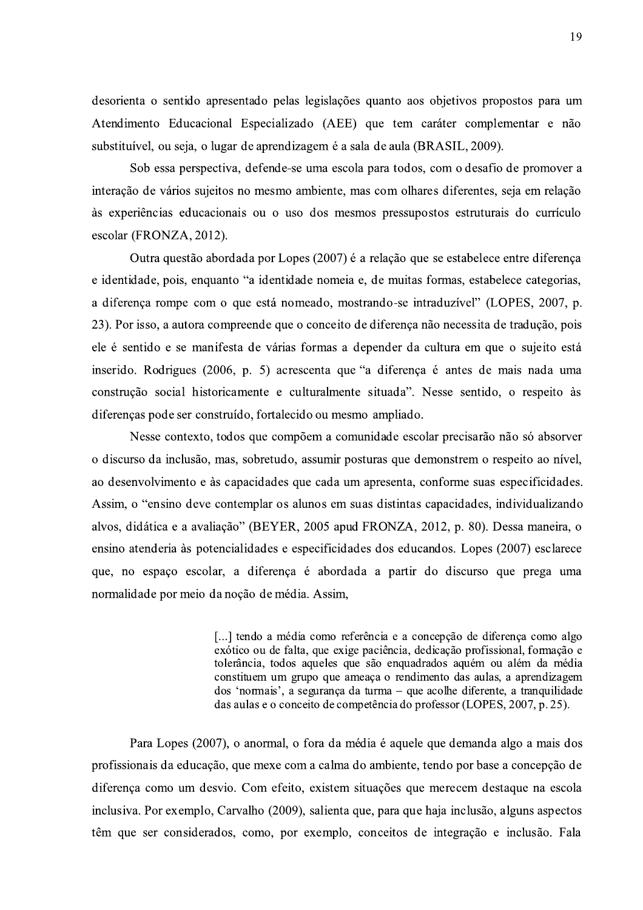desorienta o sentido apresentado pelas legislações quanto aos objetivos propostos para um Atendimento Educacional Especializado (AEE) que tem caráter complementar e não substituível, ou seja, o lugar de aprendizagem é a sala de aula (BRASIL, 2009).

Sob essa perspectiva, defende-se uma escola para todos, com o desafio de promover a interação de vários sujeitos no mesmo ambiente, mas com olhares diferentes, seja em relação às experiências educacionais ou o uso dos mesmos pressupostos estruturais do currículo escolar (FRONZA, 2012).

Outra questão abordada por Lopes (2007) é a relação que se estabelece entre diferença e identidade, pois, enquanto "a identidade nomeia e, de muitas formas, estabelece categorias, a diferença rompe com o que está nomeado, mostrando-se intraduzível" (LOPES, 2007, p. 23). Por isso, a autora compreende que o conceito de diferença não necessita de tradução, pois ele é sentido e se manifesta de várias formas a depender da cultura em que o sujeito está inserido. Rodrigues (2006, p. 5) acrescenta que "a diferença é antes de mais nada uma construção social historicamente e culturalmente situada". Nesse sentido, o respeito às diferenças pode ser construído, fortalecido ou mesmo ampliado.

Nesse contexto, todos que compõem a comunidade escolar precisarão não só absorver o discurso da inclusão, mas, sobretudo, assumir posturas que demonstrem o respeito ao nível, ao desenvolvimento e às capacidades que cada um apresenta, conforme suas especificidades. Assim, o "ensino deve contemplar os alunos em suas distintas capacidades, individualizando alvos, didática e a avaliação" (BEYER, 2005 apud FRONZA, 2012, p. 80). Dessa maneira, o ensino atenderia às potencialidades e especificidades dos educandos. Lopes (2007) esclarece que, no espaço escolar, a diferença é abordada a partir do discurso que prega uma normalidade por meio da noção de média. Assim,

> [...] tendo a média como referência e a concepção de diferença como algo exótico ou de falta, que exige paciência, dedicação profissional, formação e tolerância, todos aqueles que são enquadrados aquém ou além da média constituem um grupo que ameaça o rendimento das aulas, a aprendizagem dos 'normais', a segurança da turma - que acolhe diferente, a tranquilidade das aulas e o conceito de competência do professor (LOPES, 2007, p. 25).

Para Lopes (2007), o anormal, o fora da média é aquele que demanda algo a mais dos profissionais da educação, que mexe com a calma do ambiente, tendo por base a concepção de diferenca como um desvio. Com efeito, existem situações que merecem destaque na escola inclusiva. Por exemplo, Carvalho (2009), salienta que, para que haja inclusão, alguns aspectos têm que ser considerados, como, por exemplo, conceitos de integração e inclusão. Fala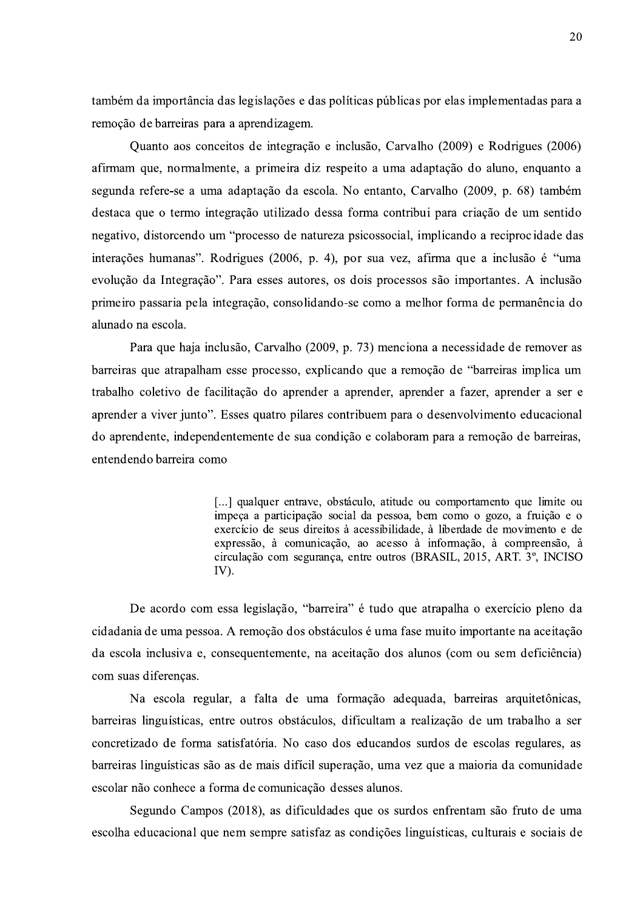também da importância das legislações e das políticas públicas por elas implementadas para a remoção de barreiras para a aprendizagem.

Quanto aos conceitos de integração e inclusão, Carvalho (2009) e Rodrigues (2006) afirmam que, normalmente, a primeira diz respeito a uma adaptação do aluno, enquanto a segunda refere-se a uma adaptação da escola. No entanto, Carvalho (2009, p. 68) também destaca que o termo integração utilizado dessa forma contribui para criação de um sentido negativo, distorcendo um "processo de natureza psicossocial, implicando a reciprocidade das interações humanas". Rodrigues (2006, p. 4), por sua vez, afirma que a inclusão é "uma evolução da Integração". Para esses autores, os dois processos são importantes. A inclusão primeiro passaria pela integração, consolidando-se como a melhor forma de permanência do alunado na escola.

Para que haja inclusão, Carvalho (2009, p. 73) menciona a necessidade de remover as barreiras que atrapalham esse processo, explicando que a remoção de "barreiras implica um trabalho coletivo de facilitação do aprender a aprender, aprender a fazer, aprender a ser e aprender a viver junto". Esses quatro pilares contribuem para o desenvolvimento educacional do aprendente, independentemente de sua condição e colaboram para a remoção de barreiras, entendendo barreira como

> [...] qualquer entrave, obstáculo, atitude ou comportamento que limite ou impeca a participação social da pessoa, bem como o gozo, a fruição e o exercício de seus direitos à acessibilidade, à liberdade de movimento e de expressão, à comunicação, ao acesso à informação, à compreensão, à circulação com segurança, entre outros (BRASIL, 2015, ART. 3°, INCISO IV).

De acordo com essa legislação, "barreira" é tudo que atrapalha o exercício pleno da cidadania de uma pessoa. A remoção dos obstáculos é uma fase muito importante na aceitação da escola inclusiva e, consequentemente, na aceitação dos alunos (com ou sem deficiência) com suas diferenças.

Na escola regular, a falta de uma formação adequada, barreiras arquitetônicas, barreiras linguísticas, entre outros obstáculos, dificultam a realização de um trabalho a ser concretizado de forma satisfatória. No caso dos educandos surdos de escolas regulares, as barreiras linguísticas são as de mais difícil superação, uma vez que a maioria da comunidade escolar não conhece a forma de comunicação desses alunos.

Segundo Campos (2018), as dificuldades que os surdos enfrentam são fruto de uma escolha educacional que nem sempre satisfaz as condições linguísticas, culturais e sociais de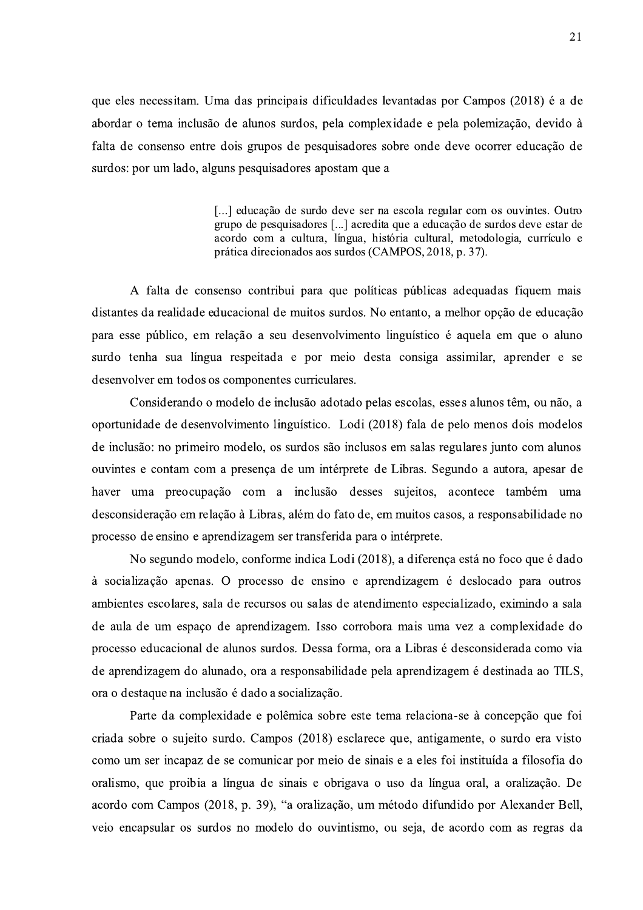que eles necessitam. Uma das principais dificuldades levantadas por Campos (2018) é a de abordar o tema inclusão de alunos surdos, pela complexidade e pela polemização, devido à falta de consenso entre dois grupos de pesquisadores sobre onde deve ocorrer educação de surdos: por um lado, alguns pesquisadores apostam que a

> [...] educação de surdo deve ser na escola regular com os ouvintes. Outro grupo de pesquisadores [...] acredita que a educação de surdos deve estar de acordo com a cultura, língua, história cultural, metodologia, currículo e prática direcionados aos surdos (CAMPOS, 2018, p. 37).

A falta de consenso contribui para que políticas públicas adequadas figuem mais distantes da realidade educacional de muitos surdos. No entanto, a melhor opção de educação para esse público, em relação a seu desenvolvimento linguístico é aquela em que o aluno surdo tenha sua língua respeitada e por meio desta consiga assimilar, aprender e se desenvolver em todos os componentes curriculares.

Considerando o modelo de inclusão adotado pelas escolas, esses alunos têm, ou não, a oportunidade de desenvolvimento linguístico. Lodi (2018) fala de pelo menos dois modelos de inclusão: no primeiro modelo, os surdos são inclusos em salas regulares junto com alunos ouvintes e contam com a presença de um intérprete de Libras. Segundo a autora, apesar de haver uma preocupação com a inclusão desses sujeitos, acontece também uma desconsideração em relação à Libras, além do fato de, em muitos casos, a responsabilidade no processo de ensino e aprendizagem ser transferida para o intérprete.

No segundo modelo, conforme indica Lodi (2018), a diferença está no foco que é dado à socialização apenas. O processo de ensino e aprendizagem é deslocado para outros ambientes escolares, sala de recursos ou salas de atendimento especializado, eximindo a sala de aula de um espaço de aprendizagem. Isso corrobora mais uma vez a complexidade do processo educacional de alunos surdos. Dessa forma, ora a Libras é desconsiderada como via de aprendizagem do alunado, ora a responsabilidade pela aprendizagem é destinada ao TILS, ora o destaque na inclusão é dado a socialização.

Parte da complexidade e polêmica sobre este tema relaciona-se à concepção que foi criada sobre o sujeito surdo. Campos (2018) esclarece que, antigamente, o surdo era visto como um ser incapaz de se comunicar por meio de sinais e a eles foi instituída a filosofia do oralismo, que proibia a língua de sinais e obrigava o uso da língua oral, a oralização. De acordo com Campos (2018, p. 39), "a oralização, um método difundido por Alexander Bell, veio encapsular os surdos no modelo do ouvintismo, ou seja, de acordo com as regras da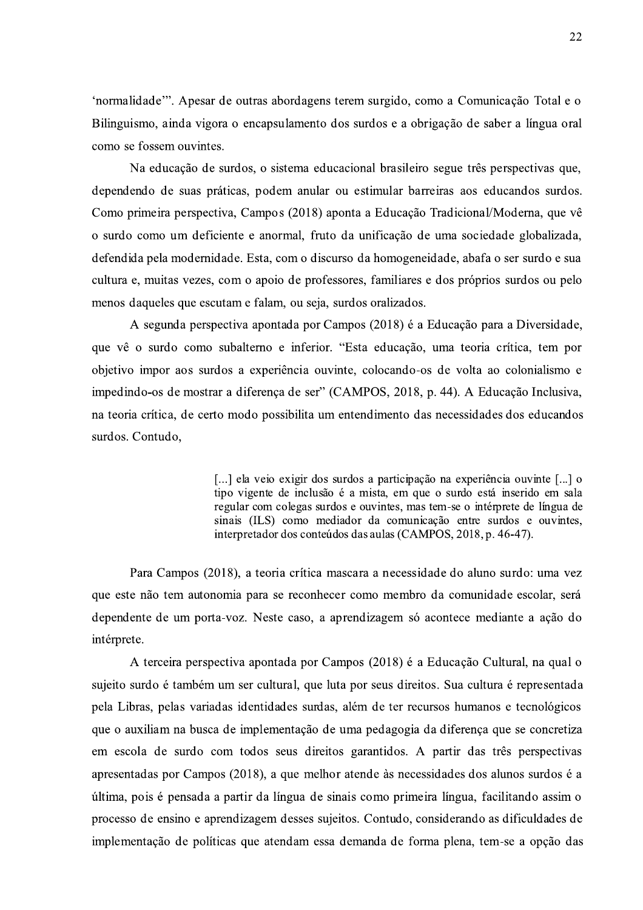'normalidade'". Apesar de outras abordagens terem surgido, como a Comunicação Total e o Bilinguismo, ainda vigora o encapsulamento dos surdos e a obrigação de saber a língua oral como se fossem ouvintes.

Na educação de surdos, o sistema educacional brasileiro segue três perspectivas que, dependendo de suas práticas, podem anular ou estimular barreiras aos educandos surdos. Como primeira perspectiva, Campos (2018) aponta a Educação Tradicional/Moderna, que vê o surdo como um deficiente e anormal, fruto da unificação de uma sociedade globalizada, defendida pela modernidade. Esta, com o discurso da homogeneidade, abafa o ser surdo e sua cultura e, muitas vezes, com o apoio de professores, familiares e dos próprios surdos ou pelo menos daqueles que escutam e falam, ou seja, surdos oralizados.

A segunda perspectiva apontada por Campos (2018) é a Educação para a Diversidade, que vê o surdo como subalterno e inferior. "Esta educação, uma teoria crítica, tem por objetivo impor aos surdos a experiência ouvinte, colocando-os de volta ao colonialismo e impedindo-os de mostrar a diferença de ser" (CAMPOS, 2018, p. 44). A Educação Inclusiva, na teoria crítica, de certo modo possibilita um entendimento das necessidades dos educandos surdos. Contudo.

> [...] ela veio exigir dos surdos a participação na experiência ouvinte [...] o tipo vigente de inclusão é a mista, em que o surdo está inserido em sala regular com colegas surdos e ouvintes, mas tem-se o intérprete de língua de sinais (ILS) como mediador da comunicação entre surdos e ouvintes, interpretador dos conteúdos das aulas (CAMPOS, 2018, p. 46-47).

Para Campos (2018), a teoria crítica mascara a necessidade do aluno surdo: uma vez que este não tem autonomia para se reconhecer como membro da comunidade escolar, será dependente de um porta-voz. Neste caso, a aprendizagem só acontece mediante a ação do intérprete.

A terceira perspectiva apontada por Campos (2018) é a Educação Cultural, na qual o sujeito surdo é também um ser cultural, que luta por seus direitos. Sua cultura é representada pela Libras, pelas variadas identidades surdas, além de ter recursos humanos e tecnológicos que o auxiliam na busca de implementação de uma pedagogia da diferença que se concretiza em escola de surdo com todos seus direitos garantidos. A partir das três perspectivas apresentadas por Campos (2018), a que melhor atende às necessidades dos alunos surdos é a última, pois é pensada a partir da língua de sinais como primeira língua, facilitando assimo processo de ensino e aprendizagem desses sujeitos. Contudo, considerando as dificuldades de implementação de políticas que atendam essa demanda de forma plena, tem-se a opção das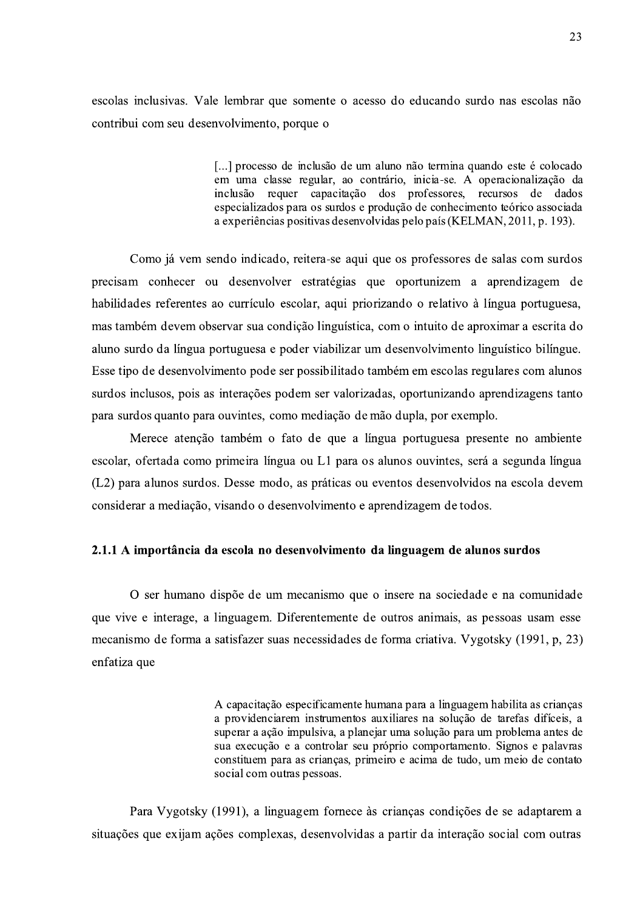escolas inclusivas. Vale lembrar que somente o acesso do educando surdo nas escolas não contribui com seu desenvolvimento, porque o

> [...] processo de inclusão de um aluno não termina quando este é colocado em uma classe regular, ao contrário, inicia-se. A operacionalização da inclusão requer capacitação dos professores, recursos de dados especializados para os surdos e produção de conhecimento teórico associada a experiências positivas desenvolvidas pelo país (KELMAN, 2011, p. 193).

Como já vem sendo indicado, reitera-se aqui que os professores de salas com surdos precisam conhecer ou desenvolver estratégias que oportunizem a aprendizagem de habilidades referentes ao currículo escolar, aqui priorizando o relativo à língua portuguesa, mas também devem observar sua condição linguística, com o intuito de aproximar a escrita do aluno surdo da língua portuguesa e poder viabilizar um desenvolvimento linguístico bilíngue. Esse tipo de desenvolvimento pode ser possibilitado também em escolas regulares com alunos surdos inclusos, pois as interações podem ser valorizadas, oportunizando aprendizagens tanto para surdos quanto para ouvintes, como mediação de mão dupla, por exemplo.

Merece atenção também o fato de que a língua portuguesa presente no ambiente escolar, ofertada como primeira língua ou L1 para os alunos ouvintes, será a segunda língua (L2) para alunos surdos. Desse modo, as práticas ou eventos desenvolvidos na escola devem considerar a mediação, visando o desenvolvimento e aprendizagem de todos.

### 2.1.1 A importância da escola no desenvolvimento da linguagem de alunos surdos

O ser humano dispõe de um mecanismo que o insere na sociedade e na comunidade que vive e interage, a linguagem. Diferentemente de outros animais, as pessoas usam esse mecanismo de forma a satisfazer suas necessidades de forma criativa. Vygotsky (1991, p, 23) enfatiza que

> A capacitação especificamente humana para a linguagem habilita as crianças a providenciarem instrumentos auxiliares na solução de tarefas difíceis, a superar a ação impulsiva, a planejar uma solução para um problema antes de sua execução e a controlar seu próprio comportamento. Signos e palavras constituem para as crianças, primeiro e acima de tudo, um meio de contato social com outras pessoas.

Para Vygotsky (1991), a linguagem fornece às crianças condições de se adaptarem a situações que exijam ações complexas, desenvolvidas a partir da interação social com outras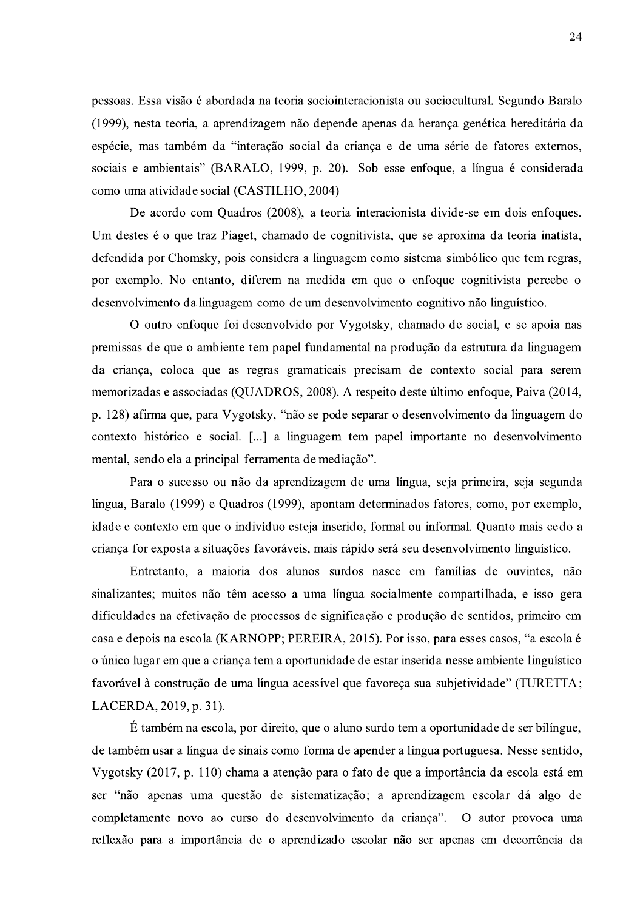pessoas. Essa visão é abordada na teoria sociointeracionista ou sociocultural. Segundo Baralo (1999), nesta teoria, a aprendizagem não depende apenas da herança genética hereditária da espécie, mas também da "interação social da criança e de uma série de fatores externos, sociais e ambientais" (BARALO, 1999, p. 20). Sob esse enfoque, a língua é considerada como uma atividade social (CASTILHO, 2004)

De acordo com Quadros (2008), a teoria interacionista divide-se em dois enfoques. Um destes é o que traz Piaget, chamado de cognitivista, que se aproxima da teoria inatista, defendida por Chomsky, pois considera a linguagem como sistema simbólico que tem regras, por exemplo. No entanto, diferem na medida em que o enfoque cognitivista percebe o desenvolvimento da linguagem como de um desenvolvimento cognitivo não linguístico.

O outro enfoque foi desenvolvido por Vygotsky, chamado de social, e se apoia nas premissas de que o ambiente tem papel fundamental na produção da estrutura da linguagem da criança, coloca que as regras gramaticais precisam de contexto social para serem memorizadas e associadas (QUADROS, 2008). A respeito deste último enfoque, Paiva (2014, p. 128) afirma que, para Vygotsky, "não se pode separar o desenvolvimento da linguagem do contexto histórico e social. [...] a linguagem tem papel importante no desenvolvimento mental, sendo ela a principal ferramenta de mediação".

Para o sucesso ou não da aprendizagem de uma língua, seja primeira, seja segunda língua, Baralo (1999) e Quadros (1999), apontam determinados fatores, como, por exemplo, idade e contexto em que o indivíduo esteja inserido, formal ou informal. Quanto mais cedo a criança for exposta a situações favoráveis, mais rápido será seu desenvolvimento linguístico.

Entretanto, a maioria dos alunos surdos nasce em famílias de ouvintes, não sinalizantes; muitos não têm acesso a uma língua socialmente compartilhada, e isso gera dificuldades na efetivação de processos de significação e produção de sentidos, primeiro em casa e depois na escola (KARNOPP; PEREIRA, 2015). Por isso, para esses casos, "a escola é o único lugar em que a criança tem a oportunidade de estar inserida nesse ambiente linguístico favorável à construção de uma língua acessível que favoreca sua subjetividade" (TURETTA; LACERDA, 2019, p. 31).

É também na escola, por direito, que o aluno surdo tem a oportunidade de ser bilíngue, de também usar a língua de sinais como forma de apender a língua portuguesa. Nesse sentido, Vygotsky (2017, p. 110) chama a atenção para o fato de que a importância da escola está em ser "não apenas uma questão de sistematização; a aprendizagem escolar dá algo de completamente novo ao curso do desenvolvimento da criança". O autor provoca uma reflexão para a importância de o aprendizado escolar não ser apenas em decorrência da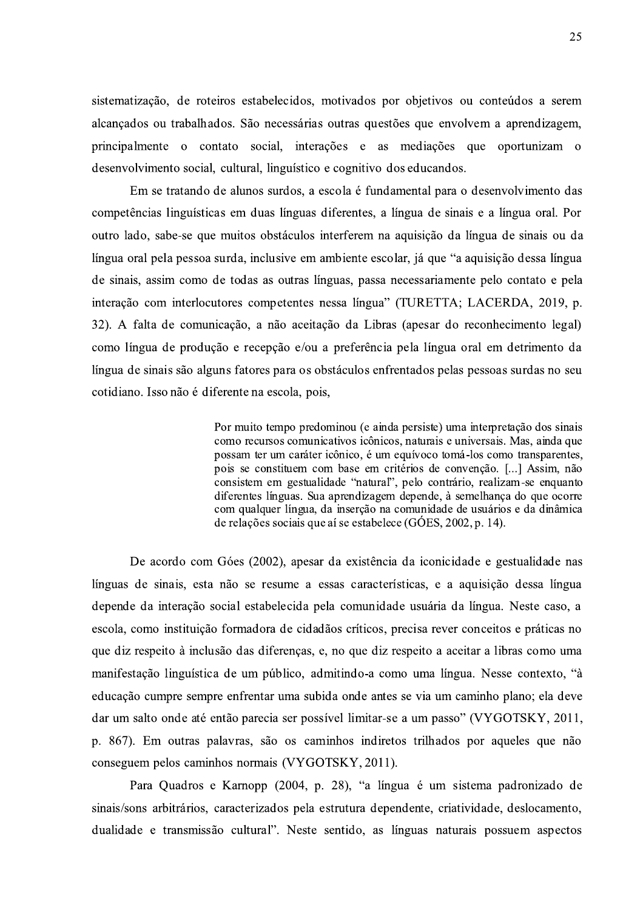sistematização, de roteiros estabelecidos, motivados por objetivos ou conteúdos a serem alcançados ou trabalhados. São necessárias outras questões que envolvem a aprendizagem, principalmente o contato social, interações e as mediações que oportunizam o desenvolvimento social, cultural, linguístico e cognitivo dos educandos.

Em se tratando de alunos surdos, a escola é fundamental para o desenvolvimento das competências linguísticas em duas línguas diferentes, a língua de sinais e a língua oral. Por outro lado, sabe-se que muitos obstáculos interferem na aquisição da língua de sinais ou da língua oral pela pessoa surda, inclusive em ambiente escolar, já que "a aquisição dessa língua de sinais, assim como de todas as outras línguas, passa necessariamente pelo contato e pela interação com interlocutores competentes nessa língua" (TURETTA; LACERDA, 2019, p. 32). A falta de comunicação, a não aceitação da Libras (apesar do reconhecimento legal) como língua de produção e recepção e/ou a preferência pela língua oral em detrimento da língua de sinais são alguns fatores para os obstáculos enfrentados pelas pessoas surdas no seu cotidiano. Isso não é diferente na escola, pois,

> Por muito tempo predominou (e ainda persiste) uma interpretação dos sinais como recursos comunicativos icônicos, naturais e universais. Mas, ainda que possam ter um caráter icônico, é um equívoco tomá-los como transparentes, pois se constituem com base em critérios de convenção. [...] Assim, não consistem em gestualidade "natural", pelo contrário, realizam-se enquanto diferentes línguas. Sua aprendizagem depende, à semelhança do que ocorre com qualquer língua, da inserção na comunidade de usuários e da dinâmica de relações sociais que aí se estabelece ( $G$ ÓES, 2002, p. 14).

De acordo com Góes (2002), apesar da existência da iconicidade e gestualidade nas línguas de sinais, esta não se resume a essas características, e a aquisição dessa língua depende da interação social estabelecida pela comunidade usuária da língua. Neste caso, a escola, como instituição formadora de cidadãos críticos, precisa rever conceitos e práticas no que diz respeito à inclusão das diferenças, e, no que diz respeito a aceitar a libras como uma manifestação linguística de um público, admitindo-a como uma língua. Nesse contexto, "à educação cumpre sempre enfrentar uma subida onde antes se via um caminho plano; ela deve dar um salto onde até então parecia ser possível limitar-se a um passo" (VYGOTSKY, 2011, p. 867). Em outras palayras, são os caminhos indiretos trilhados por aqueles que não conseguem pelos caminhos normais (VYGOTSKY, 2011).

Para Quadros e Karnopp (2004, p. 28), "a língua é um sistema padronizado de sinais/sons arbitrários, caracterizados pela estrutura dependente, criatividade, deslocamento, dualidade e transmissão cultural". Neste sentido, as línguas naturais possuem aspectos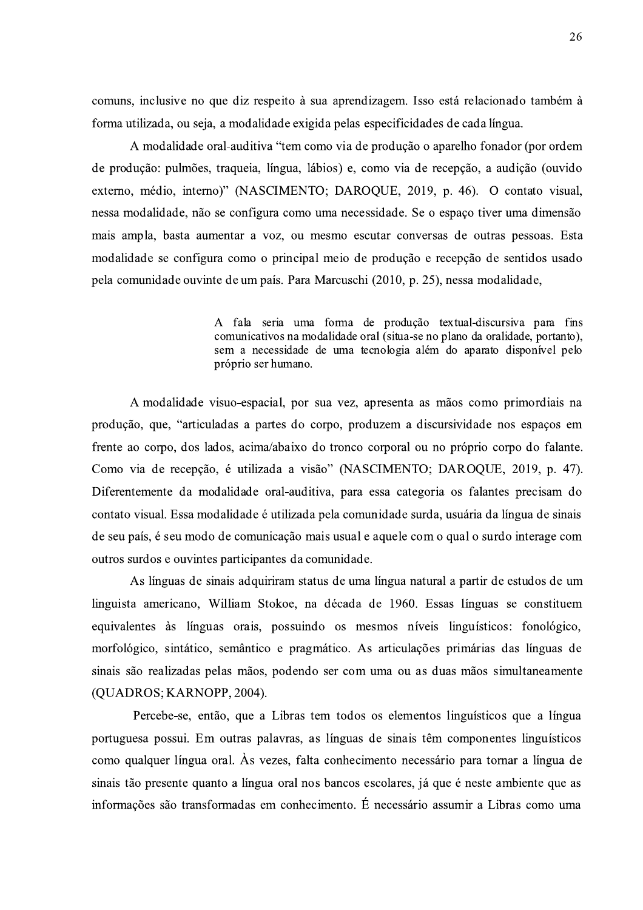comuns, inclusive no que diz respeito à sua aprendizagem. Isso está relacionado também à forma utilizada, ou seja, a modalidade exigida pelas especificidades de cada língua.

A modalidade oral-auditiva "tem como via de produção o aparelho fonador (por ordem de produção: pulmões, traqueia, língua, lábios) e, como via de recepção, a audição (ouvido externo, médio, interno)" (NASCIMENTO; DAROQUE, 2019, p. 46). O contato visual, nessa modalidade, não se configura como uma necessidade. Se o espaço tiver uma dimensão mais ampla, basta aumentar a voz, ou mesmo escutar conversas de outras pessoas. Esta modalidade se configura como o principal meio de produção e recepção de sentidos usado pela comunidade ouvinte de um país. Para Marcuschi (2010, p. 25), nessa modalidade,

> A fala seria uma forma de produção textual-discursiva para fins comunicativos na modalidade oral (situa-se no plano da oralidade, portanto), sem a necessidade de uma tecnologia além do aparato disponível pelo próprio ser humano.

A modalidade visuo-espacial, por sua vez, apresenta as mãos como primordiais na produção, que, "articuladas a partes do corpo, produzem a discursividade nos espaços em frente ao corpo, dos lados, acima/abaixo do tronco corporal ou no próprio corpo do falante. Como via de recepção, é utilizada a visão" (NASCIMENTO; DAROQUE, 2019, p. 47). Diferentemente da modalidade oral-auditiva, para essa categoria os falantes precisam do contato visual. Essa modalidade é utilizada pela comunidade surda, usuária da língua de sinais de seu país, é seu modo de comunicação mais usual e aquele com o qual o surdo interage com outros surdos e ouvintes participantes da comunidade.

As línguas de sinais adquiriram status de uma língua natural a partir de estudos de um linguista americano, William Stokoe, na década de 1960. Essas línguas se constituem equivalentes às línguas orais, possuindo os mesmos níveis linguísticos: fonológico, morfológico, sintático, semântico e pragmático. As articulações primárias das línguas de sinais são realizadas pelas mãos, podendo ser com uma ou as duas mãos simultaneamente (QUADROS; KARNOPP, 2004).

Percebe-se, então, que a Libras tem todos os elementos linguísticos que a língua portuguesa possui. Em outras palavras, as línguas de sinais têm componentes linguísticos como qualquer língua oral. As vezes, falta conhecimento necessário para tornar a língua de sinais tão presente quanto a língua oral nos bancos escolares, já que é neste ambiente que as informações são transformadas em conhecimento. É necessário assumir a Libras como uma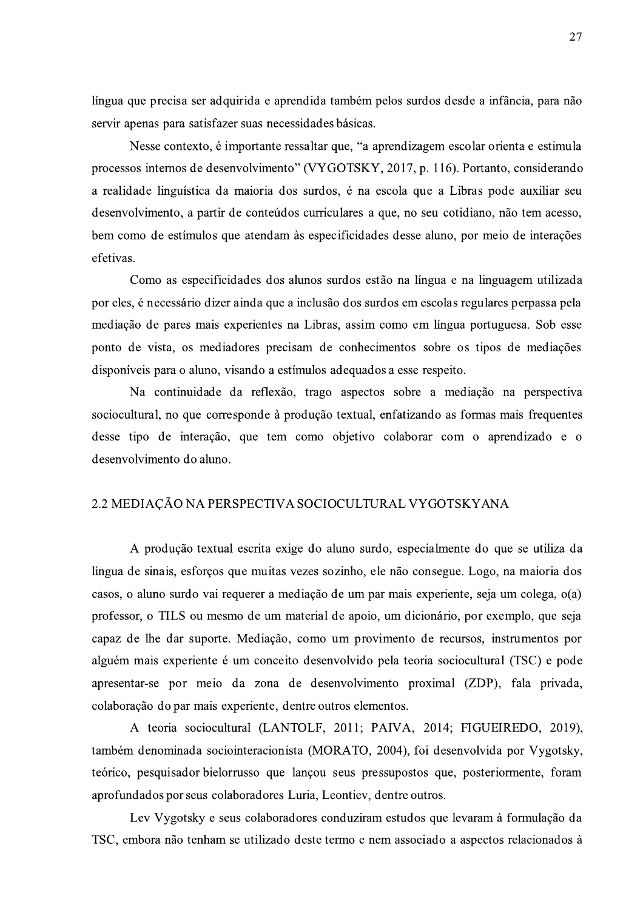língua que precisa ser adquirida e aprendida também pelos surdos desde a infância, para não servir apenas para satisfazer suas necessidades básicas.

Nesse contexto, é importante ressaltar que, "a aprendizagem escolar orienta e estimula processos internos de desenvolvimento" (VYGOTSKY, 2017, p. 116). Portanto, considerando a realidade linguística da maioria dos surdos, é na escola que a Libras pode auxiliar seu desenvolvimento, a partir de conteúdos curriculares a que, no seu cotidiano, não tem acesso, bem como de estímulos que atendam às especificidades desse aluno, por meio de interações efetivas.

Como as especificidades dos alunos surdos estão na língua e na linguagem utilizada por eles, é necessário dizer ainda que a inclusão dos surdos em escolas regulares perpassa pela mediação de pares mais experientes na Libras, assim como em língua portuguesa. Sob esse ponto de vista, os mediadores precisam de conhecimentos sobre os tipos de mediações disponíveis para o aluno, visando a estímulos adequados a esse respeito.

Na continuidade da reflexão, trago aspectos sobre a mediação na perspectiva sociocultural, no que corresponde à produção textual, enfatizando as formas mais frequentes desse tipo de interação, que tem como objetivo colaborar com o aprendizado e o desenvolvimento do aluno.

### 2.2 MEDIACÃO NA PERSPECTIVA SOCIOCULTURAL VYGOTSKYANA

A produção textual escrita exige do aluno surdo, especialmente do que se utiliza da língua de sinais, esforços que muitas vezes sozinho, ele não consegue. Logo, na maioria dos casos, o aluno surdo vai requerer a mediação de um par mais experiente, seja um colega, o(a) professor, o TILS ou mesmo de um material de apoio, um dicionário, por exemplo, que seja capaz de lhe dar suporte. Mediação, como um provimento de recursos, instrumentos por alguém mais experiente é um conceito desenvolvido pela teoria sociocultural (TSC) e pode apresentar-se por meio da zona de desenvolvimento proximal (ZDP), fala privada, colaboração do par mais experiente, dentre outros elementos.

A teoria sociocultural (LANTOLF, 2011; PAIVA, 2014; FIGUEIREDO, 2019), também denominada sociointeracionista (MORATO, 2004), foi desenvolvida por Vygotsky, teórico, pesquisador bielorrusso que lançou seus pressupostos que, posteriormente, foram aprofundados por seus colaboradores Luria, Leontiev, dentre outros.

Lev Vygotsky e seus colaboradores conduziram estudos que levaram à formulação da TSC, embora não tenham se utilizado deste termo e nem associado a aspectos relacionados à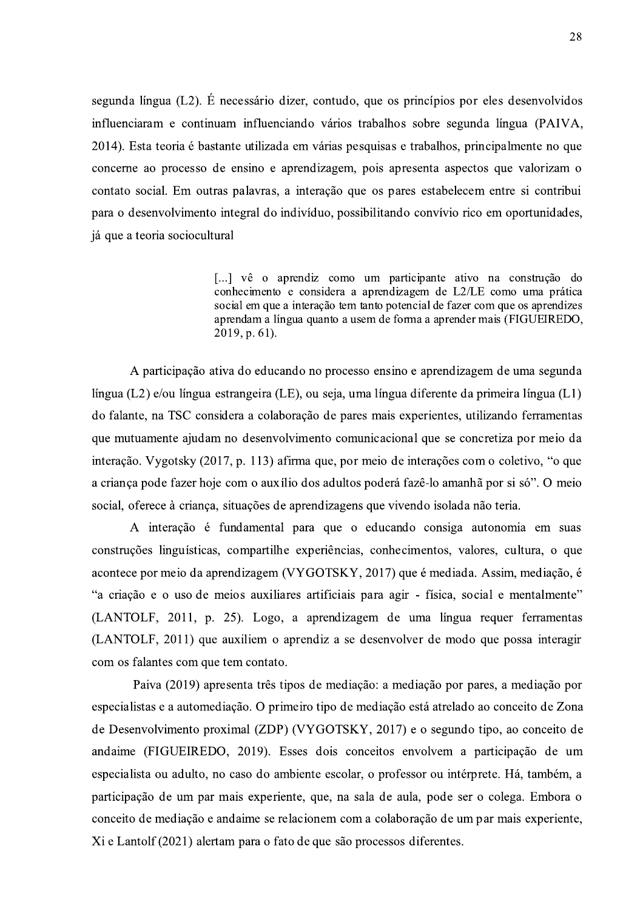segunda língua (L2). É necessário dizer, contudo, que os princípios por eles desenvolvidos influenciaram e continuam influenciando vários trabalhos sobre segunda língua (PAIVA, 2014). Esta teoria é bastante utilizada em várias pesquisas e trabalhos, principalmente no que concerne ao processo de ensino e aprendizagem, pois apresenta aspectos que valorizam o contato social. Em outras palavras, a interação que os pares estabelecem entre si contribui para o desenvolvimento integral do indivíduo, possibilitando convívio rico em oportunidades, já que a teoria sociocultural

> [...] vê o aprendiz como um participante ativo na construção do conhecimento e considera a aprendizagem de L2/LE como uma prática social em que a interação tem tanto potencial de fazer com que os aprendizes aprendam a língua quanto a usem de forma a aprender mais (FIGUEIREDO,  $2019, p. 61$ ).

A participação ativa do educando no processo ensino e aprendizagem de uma segunda língua (L2) e/ou língua estrangeira (LE), ou seja, uma língua diferente da primeira língua (L1) do falante, na TSC considera a colaboração de pares mais experientes, utilizando ferramentas que mutuamente ajudam no desenvolvimento comunicacional que se concretiza por meio da interação. Vygotsky (2017, p. 113) afirma que, por meio de interações com o coletivo, "o que a criança pode fazer hoje com o auxílio dos adultos poderá fazê-lo amanhã por si só". O meio social, oferece à criança, situações de aprendizagens que vivendo isolada não teria.

A interação é fundamental para que o educando consiga autonomia em suas construções linguísticas, compartilhe experiências, conhecimentos, valores, cultura, o que acontece por meio da aprendizagem (VYGOTSKY, 2017) que é mediada. Assim, mediação, é "a criação e o uso de meios auxiliares artificiais para agir - física, social e mentalmente" (LANTOLF, 2011, p. 25). Logo, a aprendizagem de uma língua requer ferramentas (LANTOLF, 2011) que auxiliem o aprendiz a se desenvolver de modo que possa interagir com os falantes com que tem contato.

Paiva (2019) apresenta três tipos de mediação: a mediação por pares, a mediação por especialistas e a automediação. O primeiro tipo de mediação está atrelado ao conceito de Zona de Desenvolvimento proximal (ZDP) (VYGOTSKY, 2017) e o segundo tipo, ao conceito de andaime (FIGUEIREDO, 2019). Esses dois conceitos envolvem a participação de um especialista ou adulto, no caso do ambiente escolar, o professor ou intérprete. Há, também, a participação de um par mais experiente, que, na sala de aula, pode ser o colega. Embora o conceito de mediação e andaime se relacionem com a colaboração de um par mais experiente, Xi e Lantolf (2021) alertam para o fato de que são processos diferentes.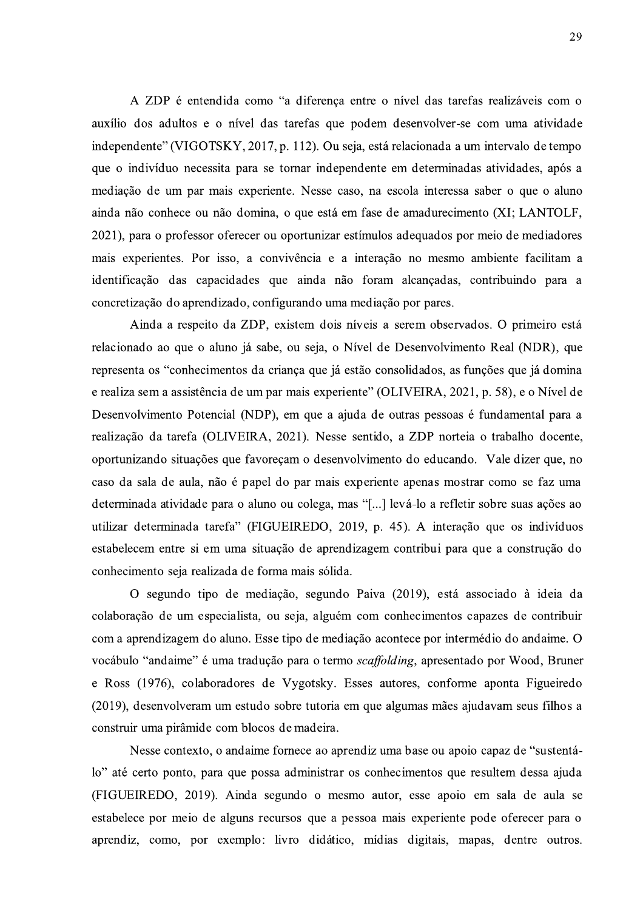A ZDP é entendida como "a diferença entre o nível das tarefas realizáveis com o auxílio dos adultos e o nível das tarefas que podem desenvolver-se com uma atividade independente" (VIGOTSKY, 2017, p. 112). Ou seja, está relacionada a um intervalo de tempo que o indivíduo necessita para se tornar independente em determinadas atividades, após a mediação de um par mais experiente. Nesse caso, na escola interessa saber o que o aluno ainda não conhece ou não domina, o que está em fase de amadurecimento (XI; LANTOLF, 2021), para o professor oferecer ou oportunizar estímulos adequados por meio de mediadores mais experientes. Por isso, a convivência e a interação no mesmo ambiente facilitam a identificação das capacidades que ainda não foram alcançadas, contribuindo para a concretização do aprendizado, configurando uma mediação por pares.

Ainda a respeito da ZDP, existem dois níveis a serem observados. O primeiro está relacionado ao que o aluno já sabe, ou seja, o Nível de Desenvolvimento Real (NDR), que representa os "conhecimentos da criança que já estão consolidados, as funções que já domina e realiza sem a assistência de um par mais experiente" (OLIVEIRA, 2021, p. 58), e o Nível de Desenvolvimento Potencial (NDP), em que a ajuda de outras pessoas é fundamental para a realização da tarefa (OLIVEIRA, 2021). Nesse sentido, a ZDP norteia o trabalho docente, oportunizando situações que favoreçam o desenvolvimento do educando. Vale dizer que, no caso da sala de aula, não é papel do par mais experiente apenas mostrar como se faz uma determinada atividade para o aluno ou colega, mas "[...] levá-lo a refletir sobre suas ações ao utilizar determinada tarefa" (FIGUEIREDO, 2019, p. 45). A interação que os indivíduos estabelecem entre si em uma situação de aprendizagem contribui para que a construção do conhecimento seja realizada de forma mais sólida.

O segundo tipo de mediação, segundo Paiva (2019), está associado à ideia da colaboração de um especialista, ou seja, alguém com conhecimentos capazes de contribuir com a aprendizagem do aluno. Esse tipo de mediação acontece por intermédio do andaime. O vocábulo "andaime" é uma tradução para o termo scaffolding, apresentado por Wood, Bruner e Ross (1976), colaboradores de Vygotsky. Esses autores, conforme aponta Figueiredo (2019), desenvolveram um estudo sobre tutoria em que algumas mães ajudavam seus filhos a construir uma pirâmide com blocos de madeira.

Nesse contexto, o andaime fornece ao aprendiz uma base ou apoio capaz de "sustentálo" até certo ponto, para que possa administrar os conhecimentos que resultem dessa ajuda (FIGUEIREDO, 2019). Ainda segundo o mesmo autor, esse apoio em sala de aula se estabelece por meio de alguns recursos que a pessoa mais experiente pode oferecer para o aprendiz, como, por exemplo: livro didático, mídias digitais, mapas, dentre outros.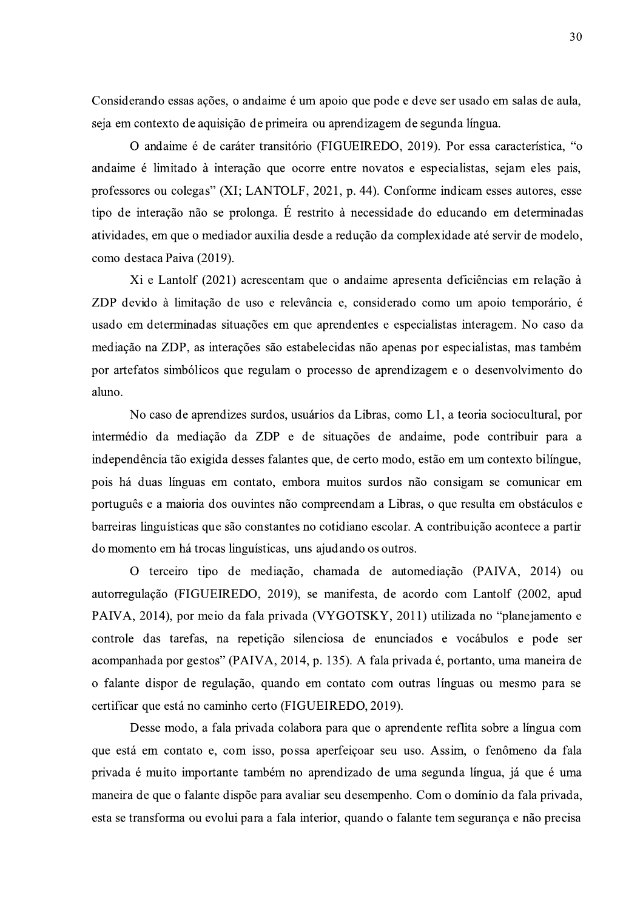Considerando essas ações, o andaime é um apoio que pode e deve ser usado em salas de aula, seja em contexto de aquisição de primeira ou aprendizagem de segunda língua.

O andaime é de caráter transitório (FIGUEIREDO, 2019). Por essa característica, "o andaime é limitado à interação que ocorre entre novatos e especialistas, sejam eles pais, professores ou colegas" (XI; LANTOLF, 2021, p. 44). Conforme indicam esses autores, esse tipo de interação não se prolonga. É restrito à necessidade do educando em determinadas atividades, em que o mediador auxilia desde a redução da complexidade até servir de modelo, como destaca Paiva (2019).

Xi e Lantolf (2021) acrescentam que o andaime apresenta deficiências em relação à ZDP devido à limitação de uso e relevância e, considerado como um apoio temporário, é usado em determinadas situações em que aprendentes e especialistas interagem. No caso da mediação na ZDP, as interações são estabelecidas não apenas por especialistas, mas também por artefatos simbólicos que regulam o processo de aprendizagem e o desenvolvimento do aluno.

No caso de aprendizes surdos, usuários da Libras, como L1, a teoria sociocultural, por intermédio da mediação da ZDP e de situações de andaime, pode contribuir para a independência tão exigida desses falantes que, de certo modo, estão em um contexto bilíngue, pois há duas línguas em contato, embora muitos surdos não consigam se comunicar em português e a maioria dos ouvintes não compreendam a Libras, o que resulta em obstáculos e barreiras linguísticas que são constantes no cotidiano escolar. A contribuição acontece a partir do momento em há trocas linguísticas, uns ajudando os outros.

O terceiro tipo de mediação, chamada de automediação (PAIVA, 2014) ou autorregulação (FIGUEIREDO, 2019), se manifesta, de acordo com Lantolf (2002, apud PAIVA, 2014), por meio da fala privada (VYGOTSKY, 2011) utilizada no "planejamento e controle das tarefas, na repetição silenciosa de enunciados e vocábulos e pode ser acompanhada por gestos" (PAIVA, 2014, p. 135). A fala privada é, portanto, uma maneira de o falante dispor de regulação, quando em contato com outras línguas ou mesmo para se certificar que está no caminho certo (FIGUEIREDO, 2019).

Desse modo, a fala privada colabora para que o aprendente reflita sobre a língua com que está em contato e, com isso, possa aperfeiçoar seu uso. Assim, o fenômeno da fala privada é muito importante também no aprendizado de uma segunda língua, já que é uma maneira de que o falante dispõe para avaliar seu desempenho. Com o domínio da fala privada, esta se transforma ou evolui para a fala interior, quando o falante tem segurança e não precisa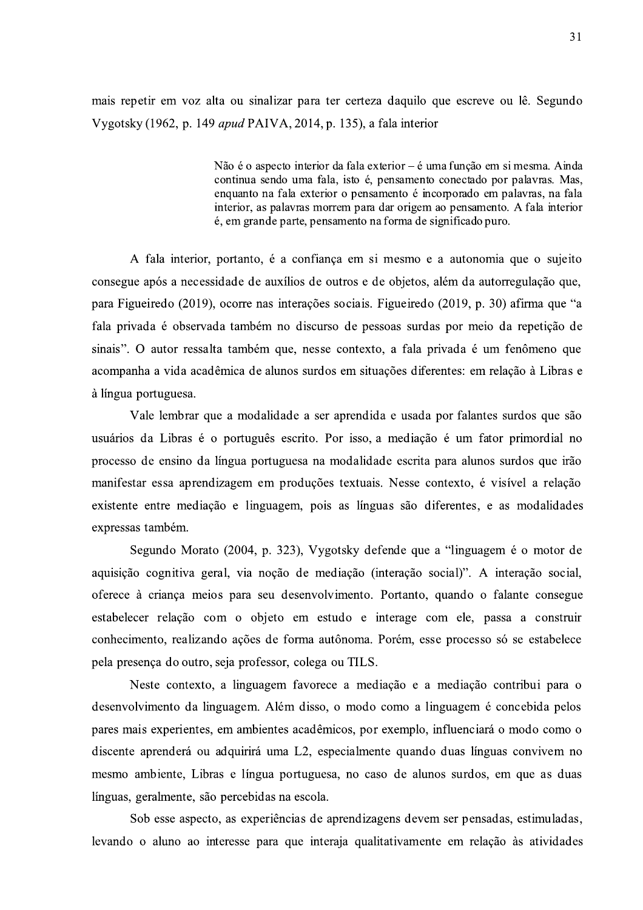mais repetir em voz alta ou sinalizar para ter certeza daquilo que escreve ou lê. Segundo Vygotsky (1962, p. 149 *apud* PAIVA, 2014, p. 135), a fala interior

> Não é o aspecto interior da fala exterior – é uma função em si mesma. Ainda continua sendo uma fala, isto é, pensamento conectado por palavras. Mas, enquanto na fala exterior o pensamento é incorporado em palavras, na fala interior, as palavras morrem para dar origem ao pensamento. A fala interior é, em grande parte, pensamento na forma de significado puro.

A fala interior, portanto, é a confiança em si mesmo e a autonomia que o sujeito consegue após a necessidade de auxílios de outros e de objetos, além da autorregulação que, para Figueiredo (2019), ocorre nas interações sociais. Figueiredo (2019, p. 30) afirma que "a fala privada é observada também no discurso de pessoas surdas por meio da repetição de sinais". O autor ressalta também que, nesse contexto, a fala privada é um fenômeno que acompanha a vida acadêmica de alunos surdos em situações diferentes: em relação à Libras e à língua portuguesa.

Vale lembrar que a modalidade a ser aprendida e usada por falantes surdos que são usuários da Libras é o português escrito. Por isso, a mediação é um fator primordial no processo de ensino da língua portuguesa na modalidade escrita para alunos surdos que irão manifestar essa aprendizagem em produções textuais. Nesse contexto, é visível a relação existente entre mediação e linguagem, pois as línguas são diferentes, e as modalidades expressas também.

Segundo Morato (2004, p. 323), Vygotsky defende que a "linguagem é o motor de aquisição cognitiva geral, via noção de mediação (interação social)". A interação social, oferece à criança meios para seu desenvolvimento. Portanto, quando o falante consegue estabelecer relação com o objeto em estudo e interage com ele, passa a construir conhecimento, realizando ações de forma autônoma. Porém, esse processo só se estabelece pela presença do outro, seja professor, colega ou TILS.

Neste contexto, a linguagem favorece a mediação e a mediação contribui para o desenvolvimento da linguagem. Além disso, o modo como a linguagem é concebida pelos pares mais experientes, em ambientes acadêmicos, por exemplo, influenciará o modo como o discente aprenderá ou adquirirá uma L2, especialmente quando duas línguas convivem no mesmo ambiente, Libras e língua portuguesa, no caso de alunos surdos, em que as duas línguas, geralmente, são percebidas na escola.

Sob esse aspecto, as experiências de aprendizagens devem ser pensadas, estimuladas, levando o aluno ao interesse para que interaja qualitativamente em relação às atividades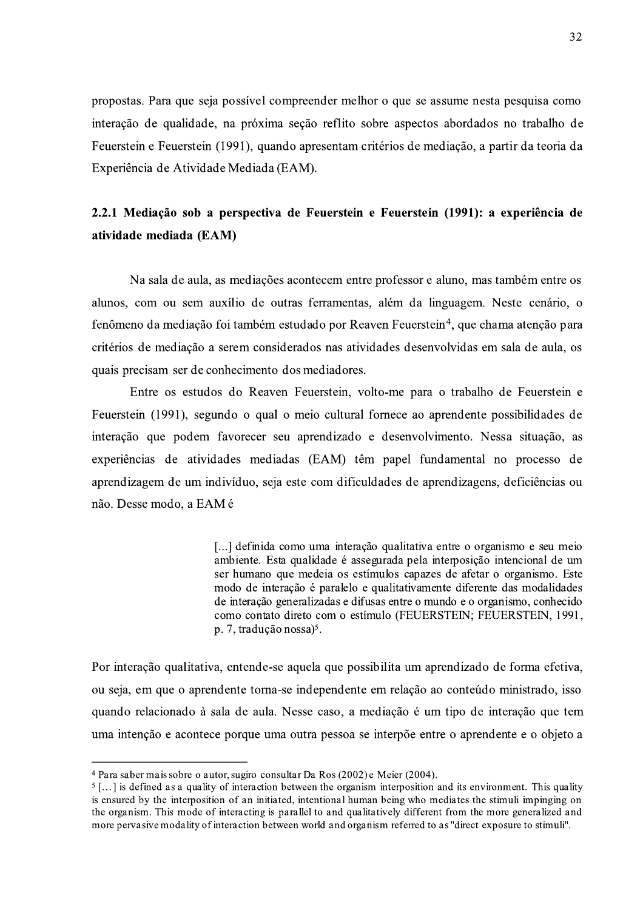propostas. Para que seja possível compreender melhor o que se assume nesta pesquisa como interação de qualidade, na próxima seção reflito sobre aspectos abordados no trabalho de Feuerstein e Feuerstein (1991), quando apresentam critérios de mediação, a partir da teoria da Experiência de Atividade Mediada (EAM).

# 2.2.1 Mediação sob a perspectiva de Feuerstein e Feuerstein (1991): a experiência de atividade mediada (EAM)

Na sala de aula, as mediações acontecem entre professor e aluno, mas também entre os alunos, com ou sem auxílio de outras ferramentas, além da linguagem. Neste cenário, o fenômeno da mediação foi também estudado por Reaven Feuerstein<sup>4</sup>, que chama atenção para critérios de mediação a serem considerados nas atividades desenvolvidas em sala de aula, os quais precisam ser de conhecimento dos mediadores.

Entre os estudos do Reaven Feuerstein, volto-me para o trabalho de Feuerstein e Feuerstein (1991), segundo o qual o meio cultural fornece ao aprendente possibilidades de interação que podem favorecer seu aprendizado e desenvolvimento. Nessa situação, as experiências de atividades mediadas (EAM) têm papel fundamental no processo de aprendizagem de um indivíduo, seja este com dificuldades de aprendizagens, deficiências ou não. Desse modo, a EAM é

> [...] definida como uma interação qualitativa entre o organismo e seu meio ambiente. Esta qualidade é assegurada pela interposição intencional de um ser humano que medeia os estímulos capazes de afetar o organismo. Este modo de interação é paralelo e qualitativamente diferente das modalidades de interação generalizadas e difusas entre o mundo e o organismo, conhecido como contato direto com o estímulo (FEUERSTEIN; FEUERSTEIN, 1991, p. 7, tradução nossa)<sup>5</sup>.

Por interação qualitativa, entende-se aquela que possibilita um aprendizado de forma efetiva, ou seja, em que o aprendente torna-se independente em relação ao conteúdo ministrado, isso quando relacionado à sala de aula. Nesse caso, a mediação é um tipo de interação que tem uma intenção e acontece porque uma outra pessoa se interpõe entre o aprendente e o objeto a

<sup>&</sup>lt;sup>4</sup> Para saber mais sobre o autor, sugiro consultar Da Ros (2002) e Meier (2004).

 $5$ [...] is defined as a quality of interaction between the organism interposition and its environment. This quality is ensured by the interposition of an initiated, intentional human being who mediates the stimuli impinging on the organism. This mode of interacting is parallel to and qualitatively different from the more generalized and more pervasive modality of interaction between world and organism referred to as "direct exposure to stimuli".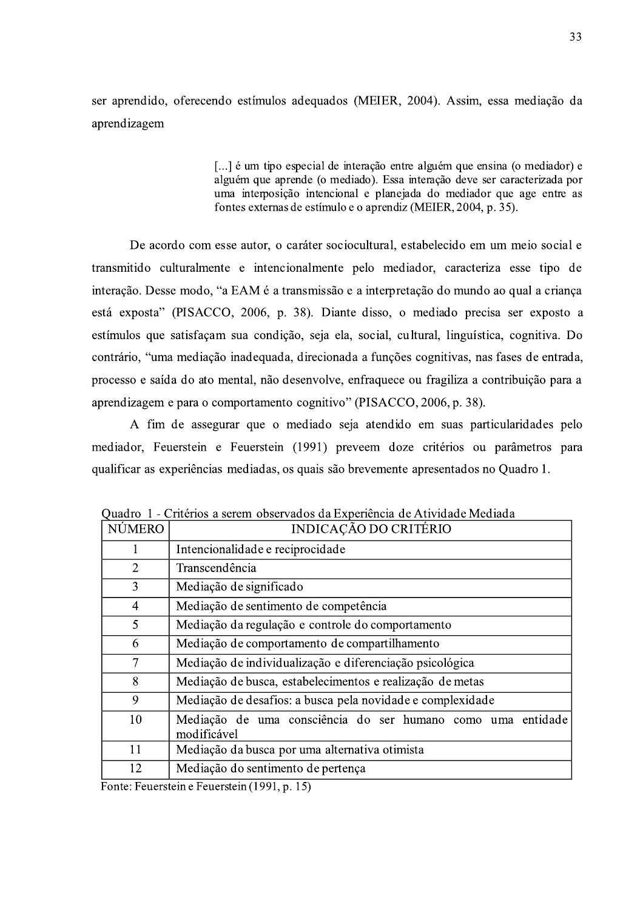ser aprendido, oferecendo estímulos adequados (MEIER, 2004). Assim, essa mediação da aprendizagem

> [...] é um tipo especial de interação entre alguém que ensina (o mediador) e alguém que aprende (o mediado). Essa interação deve ser caracterizada por uma interposição intencional e planejada do mediador que age entre as fontes externas de estímulo e o aprendiz (MEIER, 2004, p. 35).

De acordo com esse autor, o caráter sociocultural, estabelecido em um meio social e transmitido culturalmente e intencionalmente pelo mediador, caracteriza esse tipo de interação. Desse modo, "a EAM é a transmissão e a interpretação do mundo ao qual a criança está exposta" (PISACCO, 2006, p. 38). Diante disso, o mediado precisa ser exposto a estímulos que satisfaçam sua condição, seja ela, social, cultural, linguística, cognitiva. Do contrário, "uma mediação inadequada, direcionada a funções cognitivas, nas fases de entrada, processo e saída do ato mental, não desenvolve, enfraguece ou fragiliza a contribuição para a aprendizagem e para o comportamento cognitivo" (PISACCO, 2006, p. 38).

A fim de assegurar que o mediado seja atendido em suas particularidades pelo mediador, Feuerstein e Feuerstein (1991) preveem doze critérios ou parâmetros para qualificar as experiências mediadas, os quais são brevemente apresentados no Quadro 1.

| NÚMERO         | INDICAÇÃO DO CRITÉRIO                                                      |
|----------------|----------------------------------------------------------------------------|
|                | Intencionalidade e reciprocidade                                           |
| 2              | Transcendência                                                             |
| 3              | Mediação de significado                                                    |
| $\overline{4}$ | Mediação de sentimento de competência                                      |
| 5              | Mediação da regulação e controle do comportamento                          |
| 6              | Mediação de comportamento de compartilhamento                              |
| $\tau$         | Mediação de individualização e diferenciação psicológica                   |
| 8              | Mediação de busca, estabelecimentos e realização de metas                  |
| 9              | Mediação de desafios: a busca pela novidade e complexidade                 |
| 10             | Mediação de uma consciência do ser humano como uma entidade<br>modificável |
| 11             | Mediação da busca por uma alternativa otimista                             |
| 12             | Mediação do sentimento de pertença                                         |
|                |                                                                            |

Quadro 1 - Critérios a serem observados da Experiência de Atividade Mediada

Fonte: Feuerstein e Feuerstein (1991, p. 15)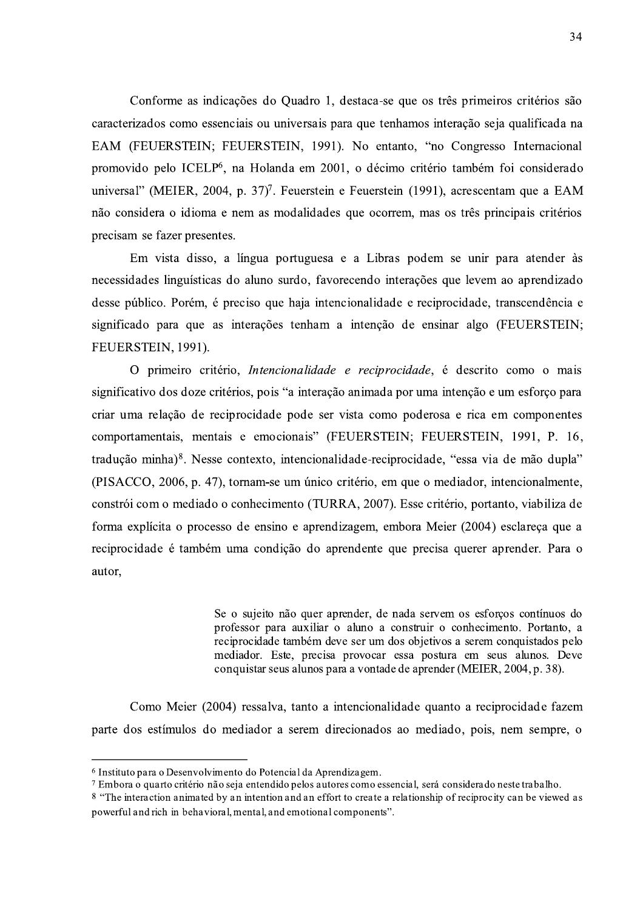Conforme as indicações do Quadro 1, destaca-se que os três primeiros critérios são caracterizados como essenciais ou universais para que tenhamos interação seja qualificada na EAM (FEUERSTEIN; FEUERSTEIN, 1991). No entanto, "no Congresso Internacional promovido pelo ICELP<sup>6</sup>, na Holanda em 2001, o décimo critério também foi considerado universal" (MEIER, 2004, p. 37)<sup>7</sup>. Feuerstein e Feuerstein (1991), acrescentam que a EAM não considera o idioma e nem as modalidades que ocorrem, mas os três principais critérios precisam se fazer presentes.

Em vista disso, a língua portuguesa e a Libras podem se unir para atender às necessidades linguísticas do aluno surdo, favorecendo interações que levem ao aprendizado desse público. Porém, é preciso que haja intencionalidade e reciprocidade, transcendência e significado para que as interações tenham a intenção de ensinar algo (FEUERSTEIN; FEUERSTEIN, 1991).

O primeiro critério, Intencionalidade e reciprocidade, é descrito como o mais significativo dos doze critérios, pois "a interação animada por uma intenção e um esforço para criar uma relação de reciprocidade pode ser vista como poderosa e rica em componentes comportamentais, mentais e emocionais" (FEUERSTEIN; FEUERSTEIN, 1991, P. 16, tradução minha)<sup>8</sup>. Nesse contexto, intencionalidade-reciprocidade, "essa via de mão dupla" (PISACCO, 2006, p. 47), tornam-se um único critério, em que o mediador, intencionalmente, constrói com o mediado o conhecimento (TURRA, 2007). Esse critério, portanto, viabiliza de forma explícita o processo de ensino e aprendizagem, embora Meier (2004) esclareca que a reciprocidade é também uma condição do aprendente que precisa querer aprender. Para o autor,

> Se o sujeito não quer aprender, de nada servem os esforços contínuos do professor para auxiliar o aluno a construir o conhecimento. Portanto, a reciprocidade também deve ser um dos objetivos a serem conquistados pelo mediador. Este, precisa provocar essa postura em seus alunos. Deve conquistar seus alunos para a vontade de aprender (MEIER, 2004, p. 38).

Como Meier (2004) ressalva, tanto a intencionalidade quanto a reciprocidade fazem parte dos estímulos do mediador a serem direcionados ao mediado, pois, nem sempre, o

<sup>&</sup>lt;sup>6</sup> Instituto para o Desenvolvimento do Potencial da Aprendizagem.

<sup>7</sup> Embora o quarto critério não seja entendido pelos autores como essencial, será considerado neste trabalho.

<sup>8 &</sup>quot;The interaction animated by an intention and an effort to create a relationship of reciprocity can be viewed as powerful and rich in behavioral, mental, and emotional components".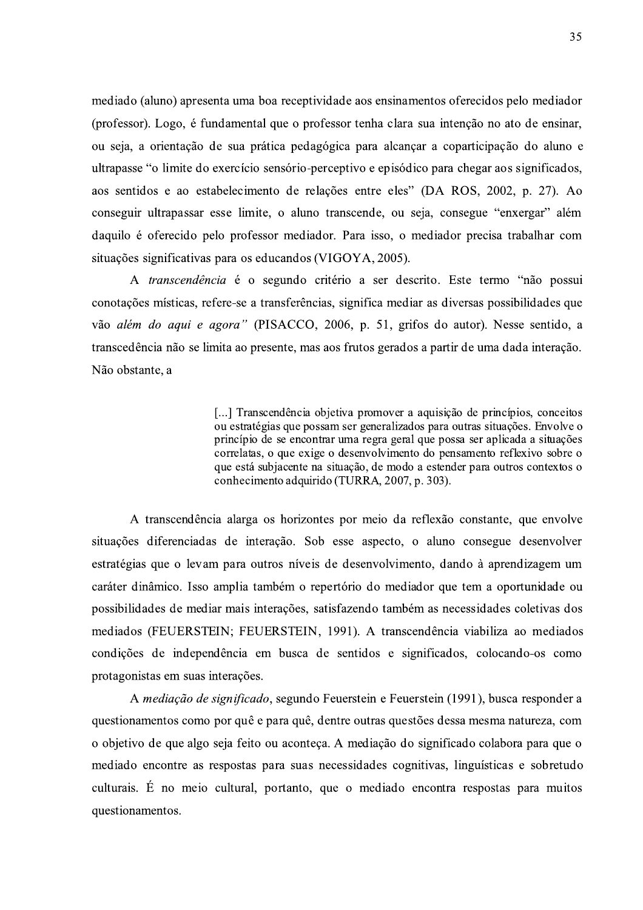mediado (aluno) apresenta uma boa receptividade aos ensinamentos oferecidos pelo mediador (professor). Logo, é fundamental que o professor tenha clara sua intenção no ato de ensinar, ou seja, a orientação de sua prática pedagógica para alcançar a coparticipação do aluno e ultrapasse "o limite do exercício sensório-perceptivo e episódico para chegar aos significados, aos sentidos e ao estabelecimento de relações entre eles" (DA ROS, 2002, p. 27). Ao conseguir ultrapassar esse limite, o aluno transcende, ou seja, consegue "enxergar" além daquilo é oferecido pelo professor mediador. Para isso, o mediador precisa trabalhar com situações significativas para os educandos (VIGOYA, 2005).

A transcendência é o segundo critério a ser descrito. Este termo "não possui conotações místicas, refere-se a transferências, significa mediar as diversas possibilidades que vão além do aqui e agora" (PISACCO, 2006, p. 51, grifos do autor). Nesse sentido, a transcedência não se limita ao presente, mas aos frutos gerados a partir de uma dada interação. Não obstante, a

> [...] Transcendência objetiva promover a aquisição de princípios, conceitos ou estratégias que possam ser generalizados para outras situações. Envolve o princípio de se encontrar uma regra geral que possa ser aplicada a situações correlatas, o que exige o desenvolvimento do pensamento reflexivo sobre o que está subjacente na situação, de modo a estender para outros contextos o conhecimento adquirido (TURRA, 2007, p. 303).

A transcendência alarga os horizontes por meio da reflexão constante, que envolve situações diferenciadas de interação. Sob esse aspecto, o aluno consegue desenvolver estratégias que o levam para outros níveis de desenvolvimento, dando à aprendizagem um caráter dinâmico. Isso amplia também o repertório do mediador que tem a oportunidade ou possibilidades de mediar mais interações, satisfazendo também as necessidades coletivas dos mediados (FEUERSTEIN; FEUERSTEIN, 1991). A transcendência viabiliza ao mediados condições de independência em busca de sentidos e significados, colocando-os como protagonistas em suas interações.

A *mediação de significado*, segundo Feuerstein e Feuerstein (1991), busca responder a questionamentos como por quê e para quê, dentre outras questões dessa mesma natureza, com o objetivo de que algo seja feito ou aconteca. A mediação do significado colabora para que o mediado encontre as respostas para suas necessidades cognitivas, linguísticas e sobretudo culturais. É no meio cultural, portanto, que o mediado encontra respostas para muitos questionamentos.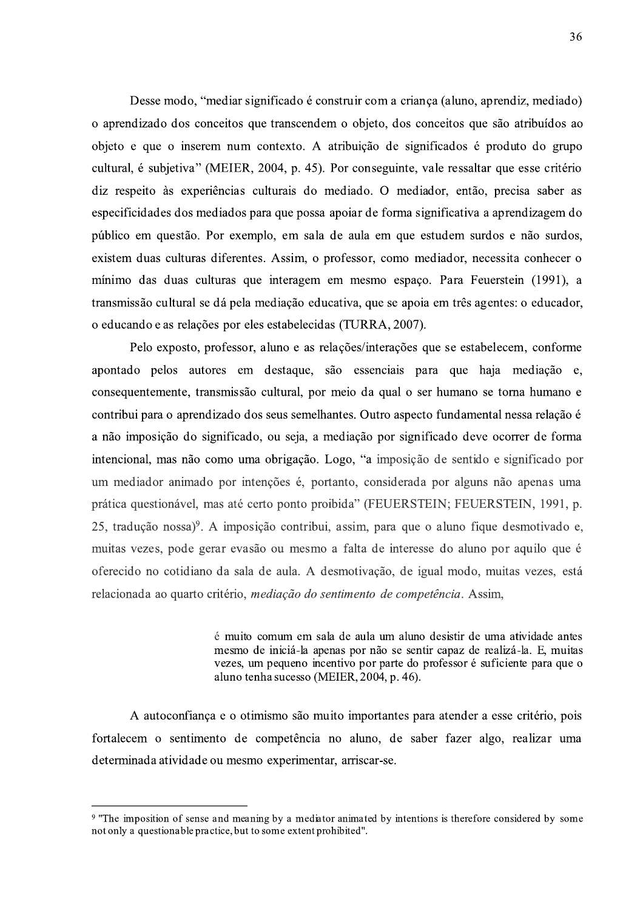Desse modo, "mediar significado é construir com a criança (aluno, aprendiz, mediado) o aprendizado dos conceitos que transcendem o objeto, dos conceitos que são atribuídos ao objeto e que o inserem num contexto. A atribuição de significados é produto do grupo cultural, é subjetiva" (MEIER, 2004, p. 45). Por conseguinte, vale ressaltar que esse critério diz respeito às experiências culturais do mediado. O mediador, então, precisa saber as especificidades dos mediados para que possa apoiar de forma significativa a aprendizagem do público em questão. Por exemplo, em sala de aula em que estudem surdos e não surdos, existem duas culturas diferentes. Assim, o professor, como mediador, necessita conhecer o mínimo das duas culturas que interagem em mesmo espaço. Para Feuerstein (1991), a transmissão cultural se dá pela mediação educativa, que se apoia em três agentes: o educador, o educando e as relações por eles estabelecidas (TURRA, 2007).

Pelo exposto, professor, aluno e as relações/interações que se estabelecem, conforme apontado pelos autores em destaque, são essenciais para que haja mediação e, consequentemente, transmissão cultural, por meio da qual o ser humano se torna humano e contribui para o aprendizado dos seus semelhantes. Outro aspecto fundamental nessa relação é a não imposição do significado, ou seja, a mediação por significado deve ocorrer de forma intencional, mas não como uma obrigação. Logo, "a imposição de sentido e significado por um mediador animado por intenções é, portanto, considerada por alguns não apenas uma prática questionável, mas até certo ponto proibida" (FEUERSTEIN; FEUERSTEIN, 1991, p. 25, tradução nossa)<sup>9</sup>. A imposição contribui, assim, para que o aluno fique desmotivado e, muitas vezes, pode gerar evasão ou mesmo a falta de interesse do aluno por aquilo que é oferecido no cotidiano da sala de aula. A desmotivação, de igual modo, muitas vezes, está relacionada ao quarto critério, mediação do sentimento de competência. Assim,

> é muito comum em sala de aula um aluno desistir de uma atividade antes mesmo de iniciá-la apenas por não se sentir capaz de realizá-la. E, muitas vezes, um pequeno incentivo por parte do professor é suficiente para que o aluno tenha sucesso (MEIER, 2004, p. 46).

A autoconfianca e o otimismo são muito importantes para atender a esse critério, pois fortalecem o sentimento de competência no aluno, de saber fazer algo, realizar uma determinada atividade ou mesmo experimentar, arriscar-se.

<sup>9 &</sup>quot;The imposition of sense and meaning by a mediator animated by intentions is therefore considered by some not only a questionable practice, but to some extent prohibited".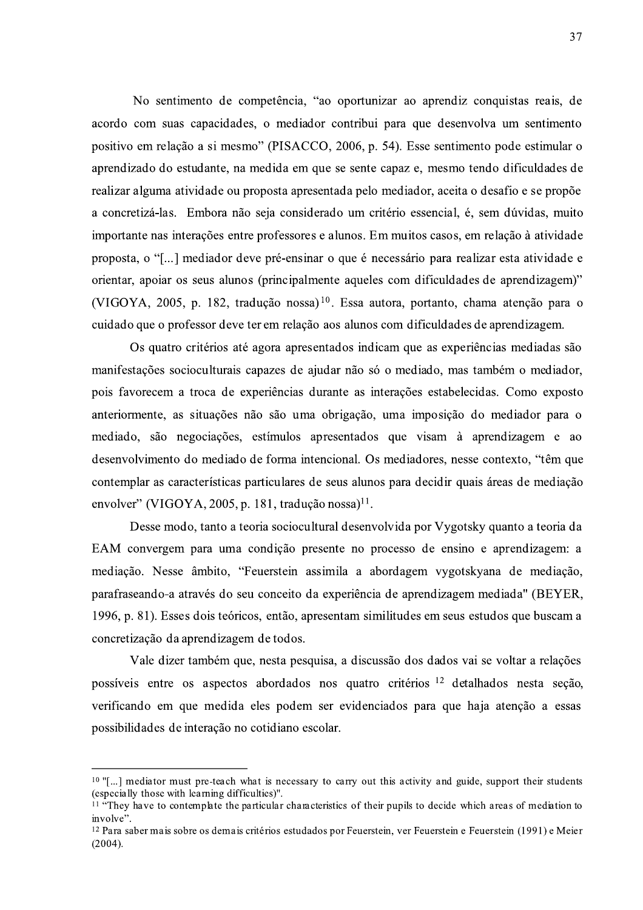No sentimento de competência, "ao oportunizar ao aprendiz conquistas reais, de acordo com suas capacidades, o mediador contribui para que desenvolva um sentimento positivo em relação a si mesmo" (PISACCO, 2006, p. 54). Esse sentimento pode estimular o aprendizado do estudante, na medida em que se sente capaz e, mesmo tendo dificuldades de realizar alguma atividade ou proposta apresentada pelo mediador, aceita o desafio e se propõe a concretizá-las. Embora não seja considerado um critério essencial, é, sem dúvidas, muito importante nas interações entre professores e alunos. Em muitos casos, em relação à atividade proposta, o "[...] mediador deve pré-ensinar o que é necessário para realizar esta atividade e orientar, apoiar os seus alunos (principalmente aqueles com dificuldades de aprendizagem)" (VIGOYA, 2005, p. 182, tradução nossa)<sup>10</sup>. Essa autora, portanto, chama atenção para o cuidado que o professor deve ter em relação aos alunos com dificuldades de aprendizagem.

Os quatro critérios até agora apresentados indicam que as experiências mediadas são manifestações socioculturais capazes de ajudar não só o mediado, mas também o mediador, pois favorecem a troca de experiências durante as interações estabelecidas. Como exposto anteriormente, as situações não são uma obrigação, uma imposição do mediador para o mediado, são negociações, estímulos apresentados que visam à aprendizagem e ao desenvolvimento do mediado de forma intencional. Os mediadores, nesse contexto, "têm que contemplar as características particulares de seus alunos para decidir quais áreas de mediação envolver" (VIGOYA, 2005, p. 181, tradução nossa)<sup>11</sup>.

Desse modo, tanto a teoria sociocultural desenvolvida por Vygotsky quanto a teoria da EAM convergem para uma condição presente no processo de ensino e aprendizagem: a mediação. Nesse âmbito, "Feuerstein assimila a abordagem vygotskyana de mediação, parafraseando-a através do seu conceito da experiência de aprendizagem mediada" (BEYER, 1996, p. 81). Esses dois teóricos, então, apresentam similitudes em seus estudos que buscam a concretização da aprendizagem de todos.

Vale dizer também que, nesta pesquisa, a discussão dos dados vai se voltar a relações possíveis entre os aspectos abordados nos quatro critérios <sup>12</sup> detalhados nesta seção, verificando em que medida eles podem ser evidenciados para que haja atenção a essas possibilidades de interação no cotidiano escolar.

 $10$  "[...] mediator must pre-teach what is necessary to carry out this activity and guide, support their students (especially those with learning difficulties)".

 $11$  "They have to contemplate the particular characteristics of their pupils to decide which areas of mediation to involve".

<sup>&</sup>lt;sup>12</sup> Para saber mais sobre os demais critérios estudados por Feuerstein, ver Feuerstein e Feuerstein (1991) e Meier  $(2004).$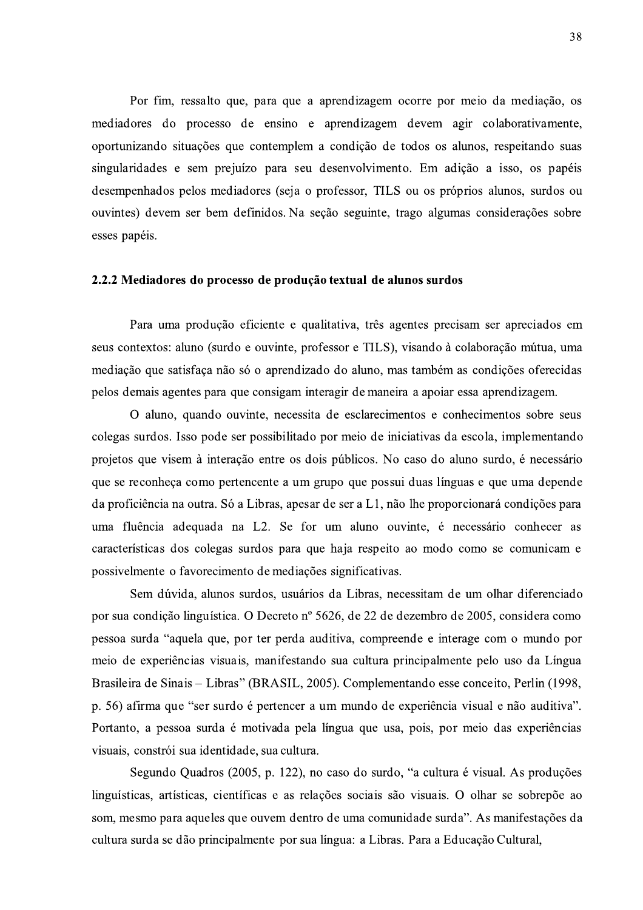Por fim, ressalto que, para que a aprendizagem ocorre por meio da mediação, os mediadores do processo de ensino e aprendizagem devem agir colaborativamente, oportunizando situações que contemplem a condição de todos os alunos, respeitando suas singularidades e sem prejuízo para seu desenvolvimento. Em adição a isso, os papéis desempenhados pelos mediadores (seja o professor, TILS ou os próprios alunos, surdos ou ouvintes) devem ser bem definidos. Na seção seguinte, trago algumas considerações sobre esses papéis.

#### 2.2.2 Mediadores do processo de produção textual de alunos surdos

Para uma produção eficiente e qualitativa, três agentes precisam ser apreciados em seus contextos: aluno (surdo e ouvinte, professor e TILS), visando à colaboração mútua, uma mediação que satisfaça não só o aprendizado do aluno, mas também as condições oferecidas pelos demais agentes para que consigam interagir de maneira a apoiar essa aprendizagem.

O aluno, quando ouvinte, necessita de esclarecimentos e conhecimentos sobre seus colegas surdos. Isso pode ser possibilitado por meio de iniciativas da escola, implementando projetos que visem à interação entre os dois públicos. No caso do aluno surdo, é necessário que se reconheça como pertencente a um grupo que possui duas línguas e que uma depende da proficiência na outra. Só a Libras, apesar de ser a L1, não lhe proporcionará condições para uma fluência adequada na L2. Se for um aluno ouvinte, é necessário conhecer as características dos colegas surdos para que haja respeito ao modo como se comunicam e possivelmente o favorecimento de mediações significativas.

Sem dúvida, alunos surdos, usuários da Libras, necessitam de um olhar diferenciado por sua condição linguística. O Decreto nº 5626, de 22 de dezembro de 2005, considera como pessoa surda "aquela que, por ter perda auditiva, compreende e interage com o mundo por meio de experiências visuais, manifestando sua cultura principalmente pelo uso da Língua Brasileira de Sinais - Libras" (BRASIL, 2005). Complementando esse conceito, Perlin (1998, p. 56) afirma que "ser surdo é pertencer a um mundo de experiência visual e não auditiva". Portanto, a pessoa surda é motivada pela língua que usa, pois, por meio das experiências visuais, constrói sua identidade, sua cultura.

Segundo Quadros (2005, p. 122), no caso do surdo, "a cultura é visual. As produções linguísticas, artísticas, científicas e as relações sociais são visuais. O olhar se sobrepõe ao som, mesmo para aqueles que ouvem dentro de uma comunidade surda". As manifestações da cultura surda se dão principalmente por sua língua: a Libras. Para a Educação Cultural,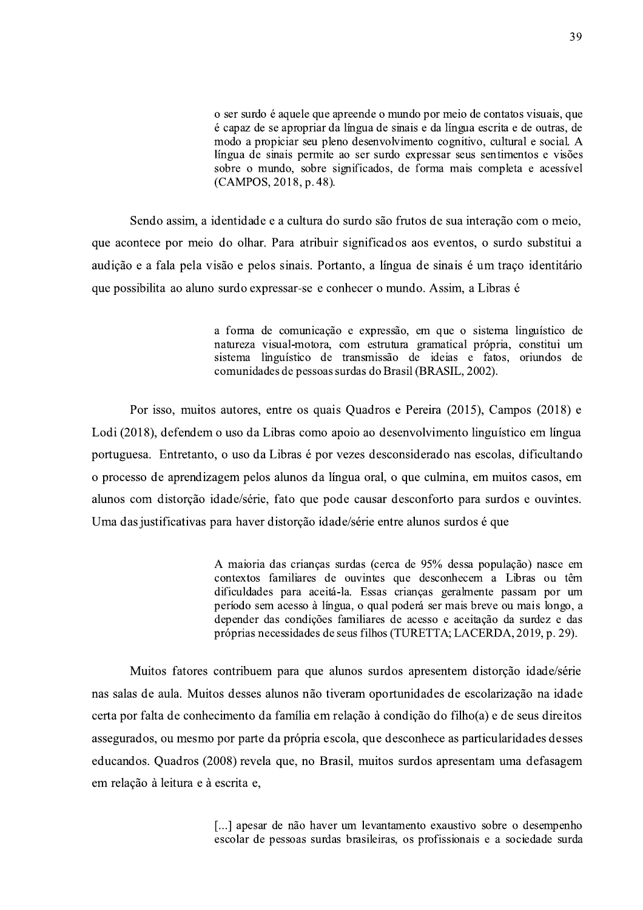o ser surdo é aquele que apreende o mundo por meio de contatos visuais, que é capaz de se apropriar da língua de sinais e da língua escrita e de outras, de modo a propiciar seu pleno desenvolvimento cognitivo, cultural e social. A língua de sinais permite ao ser surdo expressar seus sentimentos e visões sobre o mundo, sobre significados, de forma mais completa e acessível (CAMPOS, 2018, p. 48).

Sendo assim, a identidade e a cultura do surdo são frutos de sua interação com o meio. que acontece por meio do olhar. Para atribuir significados aos eventos, o surdo substitui a audição e a fala pela visão e pelos sinais. Portanto, a língua de sinais é um traço identitário que possibilita ao aluno surdo expressar-se e conhecer o mundo. Assim, a Libras é

> a forma de comunicação e expressão, em que o sistema linguístico de natureza visual-motora, com estrutura gramatical própria, constitui um sistema linguístico de transmissão de ideias e fatos, oriundos de comunidades de pessoas surdas do Brasil (BRASIL, 2002).

Por isso, muitos autores, entre os quais Quadros e Pereira (2015), Campos (2018) e Lodi (2018), defendem o uso da Libras como apoio ao desenvolvimento linguístico em língua portuguesa. Entretanto, o uso da Libras é por vezes desconsiderado nas escolas, dificultando o processo de aprendizagem pelos alunos da língua oral, o que culmina, em muitos casos, em alunos com distorção idade/série, fato que pode causar desconforto para surdos e ouvintes. Uma das justificativas para haver distorção idade/série entre alunos surdos é que

> A maioria das crianças surdas (cerca de 95% dessa população) nasce em contextos familiares de ouvintes que desconhecem a Libras ou têm dificuldades para aceitá-la. Essas crianças geralmente passam por um período sem acesso à língua, o qual poderá ser mais breve ou mais longo, a depender das condições familiares de acesso e aceitação da surdez e das próprias necessidades de seus filhos (TURETTA; LACERDA, 2019, p. 29).

Muitos fatores contribuem para que alunos surdos apresentem distorção idade/série nas salas de aula. Muitos desses alunos não tiveram oportunidades de escolarização na idade certa por falta de conhecimento da família em relação à condição do filho(a) e de seus direitos assegurados, ou mesmo por parte da própria escola, que desconhece as particularidades desses educandos. Quadros (2008) revela que, no Brasil, muitos surdos apresentam uma defasagem em relação à leitura e à escrita e,

> [...] apesar de não haver um levantamento exaustivo sobre o desempenho escolar de pessoas surdas brasileiras, os profissionais e a sociedade surda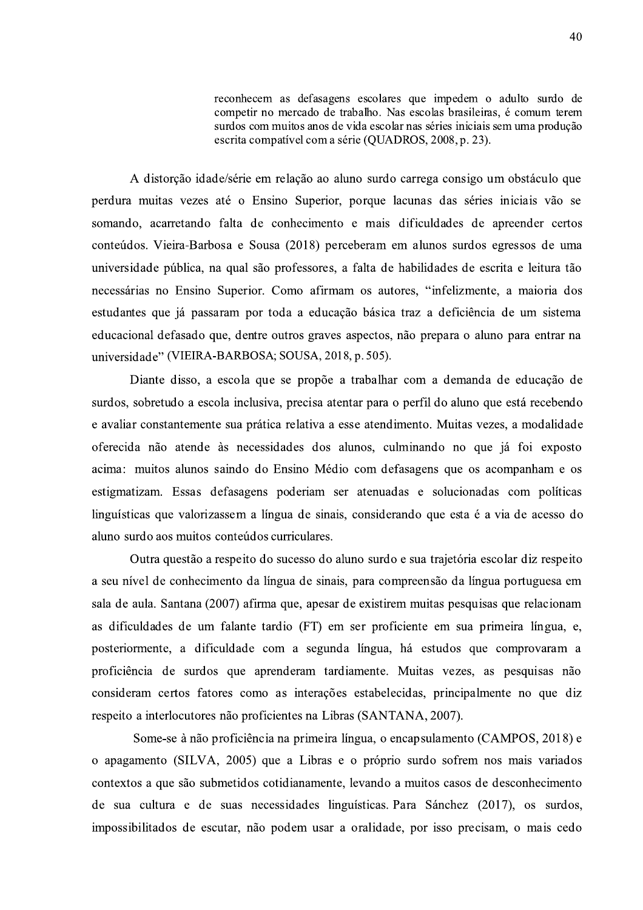reconhecem as defasagens escolares que impedem o adulto surdo de competir no mercado de trabalho. Nas escolas brasileiras, é comum terem surdos com muitos anos de vida escolar nas séries iniciais sem uma produção escrita compatível com a série (OUADROS, 2008, p. 23).

A distorção idade/série em relação ao aluno surdo carrega consigo um obstáculo que perdura muitas vezes até o Ensino Superior, porque lacunas das séries iniciais vão se somando, acarretando falta de conhecimento e mais dificuldades de apreender certos conteúdos. Vieira-Barbosa e Sousa (2018) perceberam em alunos surdos egressos de uma universidade pública, na qual são professores, a falta de habilidades de escrita e leitura tão necessárias no Ensino Superior. Como afirmam os autores, "infelizmente, a maioria dos estudantes que já passaram por toda a educação básica traz a deficiência de um sistema educacional defasado que, dentre outros graves aspectos, não prepara o aluno para entrar na universidade" (VIEIRA-BARBOSA; SOUSA, 2018, p. 505).

Diante disso, a escola que se propõe a trabalhar com a demanda de educação de surdos, sobretudo a escola inclusiva, precisa atentar para o perfil do aluno que está recebendo e avaliar constantemente sua prática relativa a esse atendimento. Muitas vezes, a modalidade oferecida não atende às necessidades dos alunos, culminando no que já foi exposto acima: muitos alunos saindo do Ensino Médio com defasagens que os acompanham e os estigmatizam. Essas defasagens poderiam ser atenuadas e solucionadas com políticas linguísticas que valorizassem a língua de sinais, considerando que esta é a via de acesso do aluno surdo aos muitos conteúdos curriculares.

Outra questão a respeito do sucesso do aluno surdo e sua trajetória escolar diz respeito a seu nível de conhecimento da língua de sinais, para compreensão da língua portuguesa em sala de aula. Santana (2007) afirma que, apesar de existirem muitas pesquisas que relacionam as dificuldades de um falante tardio (FT) em ser proficiente em sua primeira língua, e, posteriormente, a dificuldade com a segunda língua, há estudos que comprovaram a proficiência de surdos que aprenderam tardiamente. Muitas vezes, as pesquisas não consideram certos fatores como as interações estabelecidas, principalmente no que diz respeito a interlocutores não proficientes na Libras (SANTANA, 2007).

Some-se à não proficiência na primeira língua, o encapsulamento (CAMPOS, 2018) e o apagamento (SILVA, 2005) que a Libras e o próprio surdo sofrem nos mais variados contextos a que são submetidos cotidianamente, levando a muitos casos de desconhecimento de sua cultura e de suas necessidades linguísticas. Para Sánchez (2017), os surdos, impossibilitados de escutar, não podem usar a oralidade, por isso precisam, o mais cedo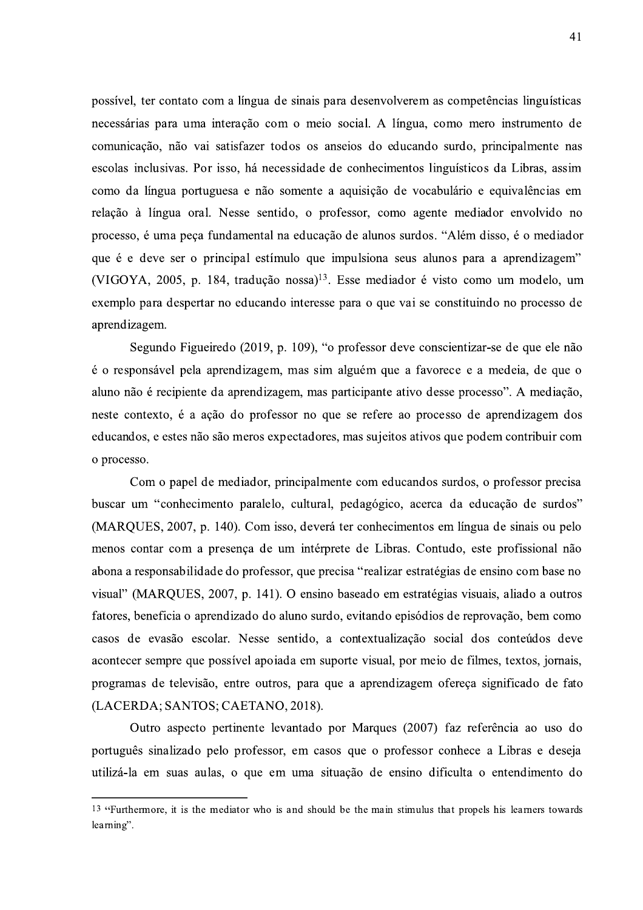possivel, ter contato com a lingua de sinais para desenvolverem as competencias linguisticas necessarías para uma interação com o meio social. A lingua, como mero instrumento de comunicação, não vai satisfazer todos os anseios do educando surdo, principalmente nas escolas inclusivas. Por isso, ha necessidade de conhecimentos linguisticos da Libras, assim como da língua portuguesa e não somente a aquisição de vocabulário e equivalências em relação a lingua oral. Nesse sentido, o professor, como agente mediador envolvido no processo, e uma peça fundamental na educação de alunos surdos. "Alem disso, e comunicação, não vai satisfazer todos os anseios do educando surdo, principalmente nas<br>escolas inclusivas. Por isso, há necessidade de conhecimentos linguísticos da Libras, assim<br>como da língua oral. Nesse sentido, o profe  $2005$ , p. 184, tradução nossa)<sup>13</sup>. Esse mediador é visto como um modelo, um exemplo para despertar no educando interesse para o que vai se constituindo no processo de

processo, é uma peça fundamental na educação de alunos surdos. "Além disso, é o mediador<br>que é e deve ser o principal estímulo que impulsiona seus alunos para a aprendizagem"<br>(VIGOYA, 2005, p. 184, tradução nossa)<sup>13</sup>. Ess é o responsável pela aprendizagem, mas sim alguém que a favorece e a medeia, de que o (VIGOYA, 2005, p. 184, tradução nossa)<sup>13</sup>. Esse mediador é visto como um modelo, um<br>exemplo para despertar no educando interesse para o que vai se constituindo no processo de<br>aprendizagem.<br>Segundo Figueiredo (2019, p. 109 neste contexto, é a ação do professor no que se refere ao processo de aprendizagem dos educandos, e estes não são meros expectadores, mas sujeitos ativos que podem contribuir com o processo.

Com o papel de mediador, principalmente com educandos surdos, o aluno não é recipiente da aprendizagem, mas participante ativo desse processo". A mediação, neste contexto, é a ação do professor no que se refere ao processo de aprendizagem dos educandos, e estes não são meros expectador 2007, p. 140). Com isso, devera ter conhecimentos em lingua de sinais ou pelo menos contar com a presença de um intérprete de Libras. Contudo, este profissional não o processo.<br>
Com o papel de mediador, principalmente com educandos surdos, o professor precisa<br>
buscar um "conhecimento paralelo, cultural, pedagógico, acerca da educação de surdos"<br>
(MARQUES, 2007, p. 140). Com isso, deve 41). O ensino baseado em estrategias visuais, aliado a outros fatores, beneficia o aprendizado do aluno surdo, evitando episodios de reprovação, bem como casos de evasão escolar. Nesse sentido, a contextualização social dos conteudos deve acontecer sempre que possível apoiada em suporte visual, por meio de filmes, textos, jornais, programas de televisao, entre outros, para que a aprendizagem ofereça significado de fato (LACERDA; SANTOS; CAETANO, 2018).

Outro aspecto pertinente levantado por Marques (2007) faz referência ao uso do portugues sinalizado pelo professor, em casos que o professor conhece a Libras e deseja utiliza-la em suas aulas, o que em uma situação de ensino dificulta o entendimento do

<sup>13 &</sup>quot;Furthermore, it is the mediator who is and should be the main stimulus that propels his learners towards learning".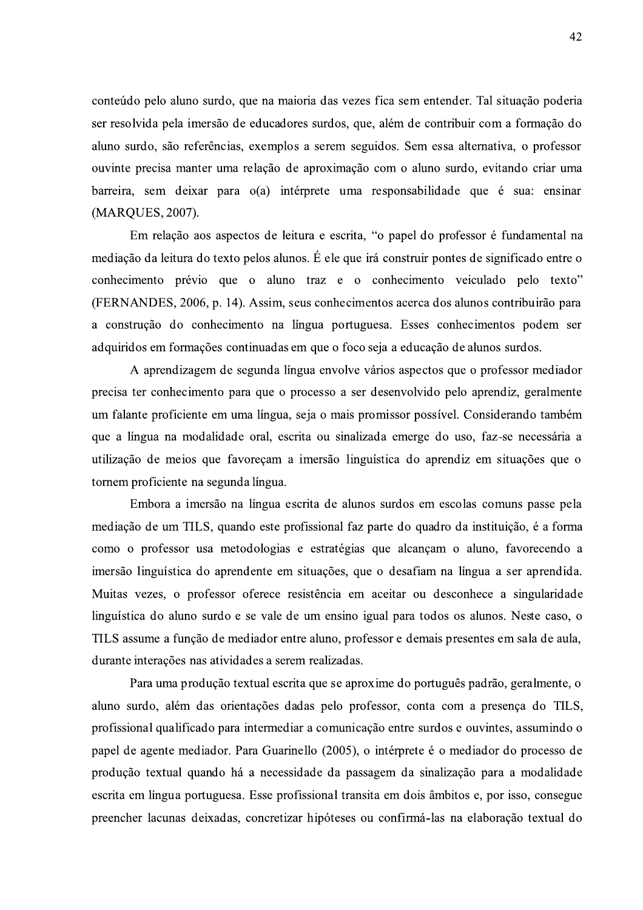conteúdo pelo aluno surdo, que na maioria das vezes fica sem entender. Tal situação poderia ser resolvida pela imersão de educadores surdos, que, além de contribuir com a formação do aluno surdo, são referências, exemplos a serem seguidos. Sem essa alternativa, o professor ouvinte precisa manter uma relação de aproximação com o aluno surdo, evitando criar uma barreira, sem deixar para o(a) intérprete uma responsabilidade que é sua: ensinar (MARQUES, 2007).

Em relação aos aspectos de leitura e escrita, "o papel do professor é fundamental na mediação da leitura do texto pelos alunos. É ele que irá construir pontes de significado entre o conhecimento prévio que o aluno traz e o conhecimento veiculado pelo texto" (FERNANDES, 2006, p. 14). Assim, seus conhecimentos acerca dos alunos contribuirão para a construção do conhecimento na língua portuguesa. Esses conhecimentos podem ser adquiridos em formações continuadas em que o foco seja a educação de alunos surdos.

A aprendizagem de segunda língua envolve vários aspectos que o professor mediador precisa ter conhecimento para que o processo a ser desenvolvido pelo aprendiz, geralmente um falante proficiente em uma língua, seja o mais promissor possível. Considerando também que a língua na modalidade oral, escrita ou sinalizada emerge do uso, faz-se necessária a utilização de meios que favoreçam a imersão linguística do aprendiz em situações que o tornem proficiente na segunda língua.

Embora a imersão na língua escrita de alunos surdos em escolas comuns passe pela mediação de um TILS, quando este profissional faz parte do quadro da instituição, é a forma como o professor usa metodologias e estratégias que alcançam o aluno, favorecendo a imersão linguística do aprendente em situações, que o desafiam na língua a ser aprendida. Muitas vezes, o professor oferece resistência em aceitar ou desconhece a singularidade linguística do aluno surdo e se vale de um ensino igual para todos os alunos. Neste caso, o TILS assume a função de mediador entre aluno, professor e demais presentes em sala de aula, durante interações nas atividades a serem realizadas.

Para uma produção textual escrita que se aproxime do português padrão, geralmente, o aluno surdo, além das orientações dadas pelo professor, conta com a presenca do TILS, profissional qualificado para intermediar a comunicação entre surdos e ouvintes, assumindo o papel de agente mediador. Para Guarinello (2005), o intérprete é o mediador do processo de produção textual quando há a necessidade da passagem da sinalização para a modalidade escrita em língua portuguesa. Esse profissional transita em dois âmbitos e, por isso, consegue preencher lacunas deixadas, concretizar hipóteses ou confirmá-las na elaboração textual do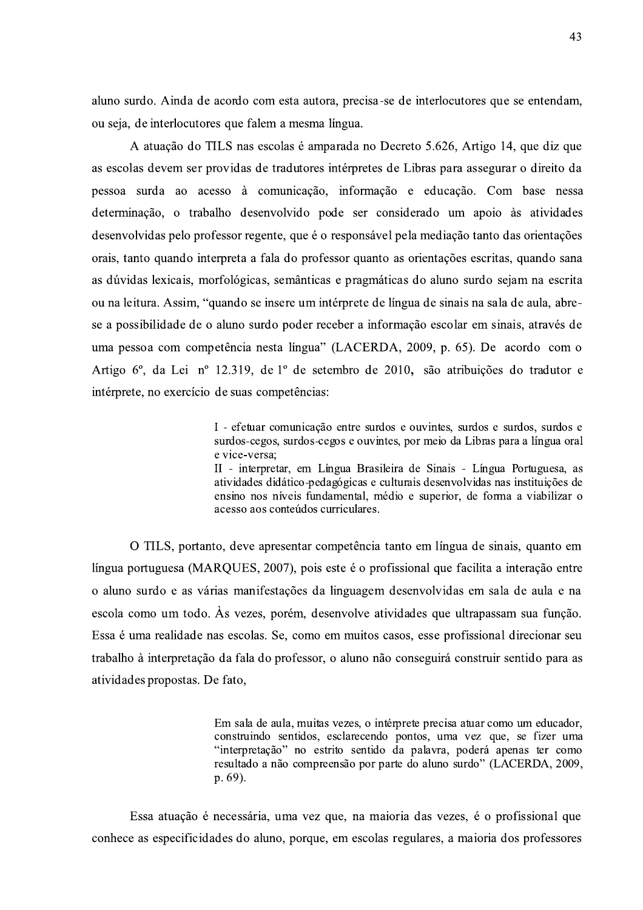aluno surdo. Ainda de acordo com esta autora, precisa-se de interlocutores que se entendam, ou seja, de interlocutores que falem a mesma língua.

A atuação do TILS nas escolas é amparada no Decreto 5.626, Artigo 14, que diz que as escolas devem ser providas de tradutores intérpretes de Libras para assegurar o direito da pessoa surda ao acesso à comunicação, informação e educação. Com base nessa determinação, o trabalho desenvolvido pode ser considerado um apoio às atividades desenvolvidas pelo professor regente, que é o responsável pela mediação tanto das orientações orais, tanto quando interpreta a fala do professor quanto as orientações escritas, quando sana as dúvidas lexicais, morfológicas, semânticas e pragmáticas do aluno surdo sejam na escrita ou na leitura. Assim, "quando se insere um intérprete de língua de sinais na sala de aula, abrese a possibilidade de o aluno surdo poder receber a informação escolar em sinais, através de uma pessoa com competência nesta língua" (LACERDA, 2009, p. 65). De acordo com o Artigo 6°, da Lei nº 12.319, de 1º de setembro de 2010, são atribuições do tradutor e intérprete, no exercício de suas competências:

> I - efetuar comunicação entre surdos e ouvintes, surdos e surdos, surdos e surdos-cegos, surdos-cegos e ouvintes, por meio da Libras para a língua oral e vice-versa;

> II - interpretar, em Língua Brasileira de Sinais - Língua Portuguesa, as atividades didático-pedagógicas e culturais desenvolvidas nas instituições de ensino nos níveis fundamental, médio e superior, de forma a viabilizar o acesso aos conteúdos curriculares.

O TILS, portanto, deve apresentar competência tanto em língua de sinais, quanto em língua portuguesa (MARQUES, 2007), pois este é o profissional que facilita a interação entre o aluno surdo e as várias manifestações da linguagem desenvolvidas em sala de aula e na escola como um todo. Às vezes, porém, desenvolve atividades que ultrapassam sua função. Essa é uma realidade nas escolas. Se, como em muitos casos, esse profissional direcionar seu trabalho à interpretação da fala do professor, o aluno não conseguirá construir sentido para as atividades propostas. De fato,

> Em sala de aula, muitas vezes, o intérprete precisa atuar como um educador, construindo sentidos, esclarecendo pontos, uma vez que, se fizer uma "interpretação" no estrito sentido da palavra, poderá apenas ter como resultado a não compreensão por parte do aluno surdo" (LACERDA, 2009,  $p.69$ ).

Essa atuação é necessária, uma vez que, na maioria das vezes, é o profissional que conhece as especificidades do aluno, porque, em escolas regulares, a maioria dos professores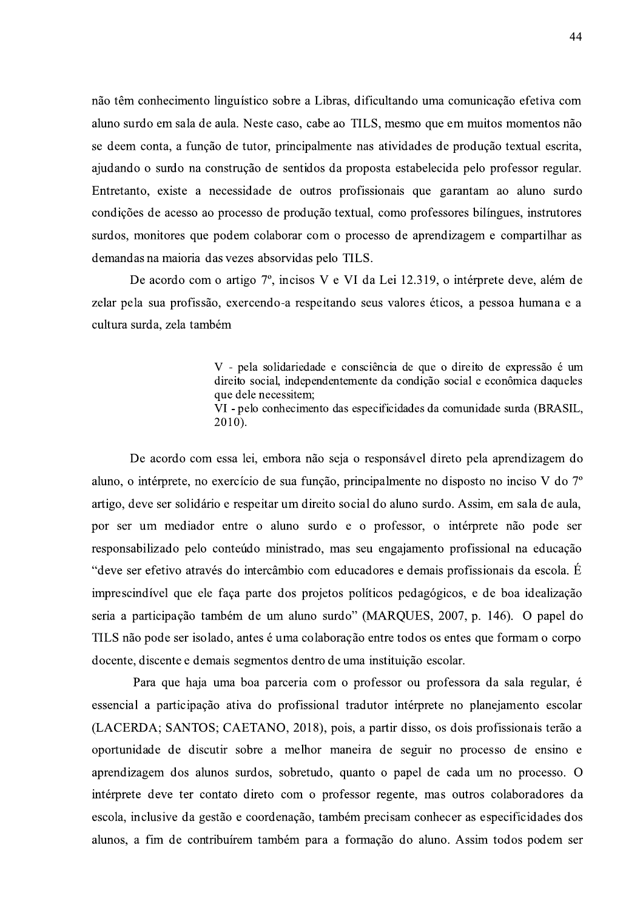não têm conhecimento linguístico sobre a Libras, dificultando uma comunicação efetiva com aluno surdo em sala de aula. Neste caso, cabe ao TILS, mesmo que em muitos momentos não se deem conta, a função de tutor, principalmente nas atividades de produção textual escrita, ajudando o surdo na construção de sentidos da proposta estabelecida pelo professor regular. Entretanto, existe a necessidade de outros profissionais que garantam ao aluno surdo condições de acesso ao processo de produção textual, como professores bilíngues, instrutores surdos, monitores que podem colaborar com o processo de aprendizagem e compartilhar as demandas na maioria das vezes absorvidas pelo TILS.

De acordo com o artigo 7<sup>°</sup>, incisos V e VI da Lei 12.319, o intérprete deve, além de zelar pela sua profissão, exercendo-a respeitando seus valores éticos, a pessoa humana e a cultura surda, zela também

> V - pela solidariedade e consciência de que o direito de expressão é um direito social, independentemente da condição social e econômica daqueles que dele necessitem: VI - pelo conhecimento das especificidades da comunidade surda (BRASIL,

2010).

De acordo com essa lei, embora não seja o responsável direto pela aprendizagem do aluno, o intérprete, no exercício de sua função, principalmente no disposto no inciso V do 7<sup>°</sup> artigo, deve ser solidário e respeitar um direito social do aluno surdo. Assim, em sala de aula, por ser um mediador entre o aluno surdo e o professor, o intérprete não pode ser responsabilizado pelo conteúdo ministrado, mas seu engajamento profissional na educação "deve ser efetivo através do intercâmbio com educadores e demais profissionais da escola. É imprescindível que ele faça parte dos projetos políticos pedagógicos, e de boa idealização seria a participação também de um aluno surdo" (MAROUES, 2007, p. 146). O papel do TILS não pode ser isolado, antes é uma colaboração entre todos os entes que formam o corpo docente, discente e demais segmentos dentro de uma instituição escolar.

Para que haja uma boa parceria com o professor ou professora da sala regular, é essencial a participação ativa do profissional tradutor intérprete no planejamento escolar (LACERDA; SANTOS; CAETANO, 2018), pois, a partir disso, os dois profissionais terão a oportunidade de discutir sobre a melhor maneira de seguir no processo de ensino e aprendizagem dos alunos surdos, sobretudo, quanto o papel de cada um no processo. O intérprete deve ter contato direto com o professor regente, mas outros colaboradores da escola, inclusive da gestão e coordenação, também precisam conhecer as especificidades dos alunos, a fim de contribuírem também para a formação do aluno. Assim todos podem ser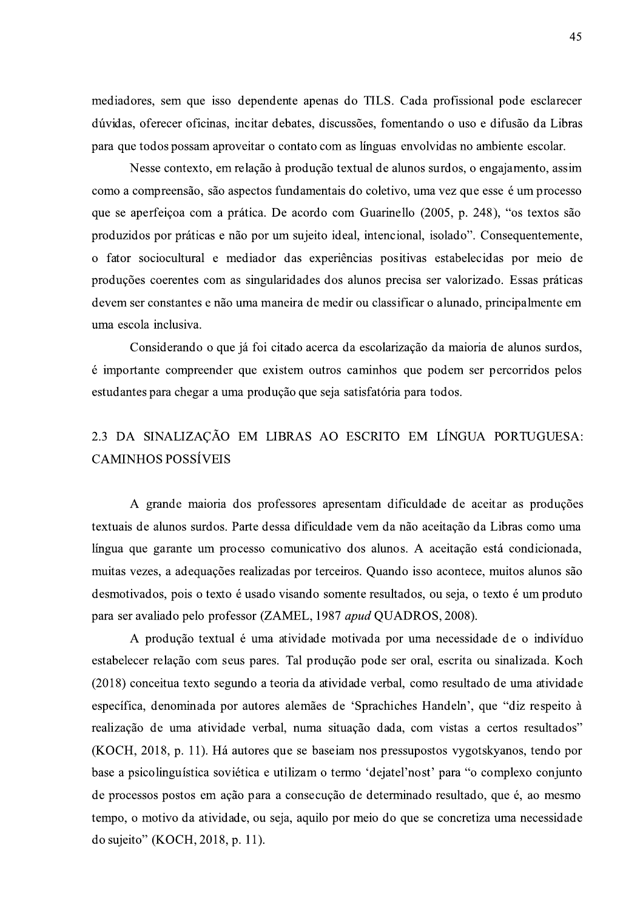mediadores, sem que isso dependente apenas do TILS. Cada profissional pode esclarecer dúvidas, oferecer oficinas, incitar debates, discussões, fomentando o uso e difusão da Libras para que todos possam aproveitar o contato com as línguas envolvidas no ambiente escolar.

Nesse contexto, em relação à produção textual de alunos surdos, o engajamento, assim como a compreensão, são aspectos fundamentais do coletivo, uma vez que esse é um processo que se aperfeiçoa com a prática. De acordo com Guarinello (2005, p. 248), "os textos são produzidos por práticas e não por um sujeito ideal, intencional, isolado". Consequentemente, o fator sociocultural e mediador das experiências positivas estabelecidas por meio de produções coerentes com as singularidades dos alunos precisa ser valorizado. Essas práticas devem ser constantes e não uma maneira de medir ou classificar o alunado, principalmente em uma escola inclusiva.

Considerando o que já foi citado acerca da escolarização da maioria de alunos surdos, é importante compreender que existem outros caminhos que podem ser percorridos pelos estudantes para chegar a uma produção que seja satisfatória para todos.

# 2.3 DA SINALIZAÇÃO EM LIBRAS AO ESCRITO EM LÍNGUA PORTUGUESA: **CAMINHOS POSSÍVEIS**

A grande maioria dos professores apresentam dificuldade de aceitar as produções textuais de alunos surdos. Parte dessa dificuldade vem da não aceitação da Libras como uma língua que garante um processo comunicativo dos alunos. A aceitação está condicionada, muitas vezes, a adequações realizadas por terceiros. Quando isso acontece, muitos alunos são desmotivados, pois o texto é usado visando somente resultados, ou seja, o texto é um produto para ser avaliado pelo professor (ZAMEL, 1987 apud QUADROS, 2008).

A produção textual é uma atividade motivada por uma necessidade de o indivíduo estabelecer relação com seus pares. Tal produção pode ser oral, escrita ou sinalizada. Koch (2018) conceitua texto segundo a teoria da atividade verbal, como resultado de uma atividade específica, denominada por autores alemães de 'Sprachiches Handeln', que "diz respeito à realização de uma atividade verbal, numa situação dada, com vistas a certos resultados" (KOCH, 2018, p. 11). Há autores que se baseiam nos pressupostos vygotskyanos, tendo por base a psicolinguística soviética e utilizam o termo 'dejatel'nost' para "o complexo conjunto de processos postos em ação para a consecução de determinado resultado, que é, ao mesmo tempo, o motivo da atividade, ou seja, aquilo por meio do que se concretiza uma necessidade do sujeito" (KOCH, 2018, p. 11).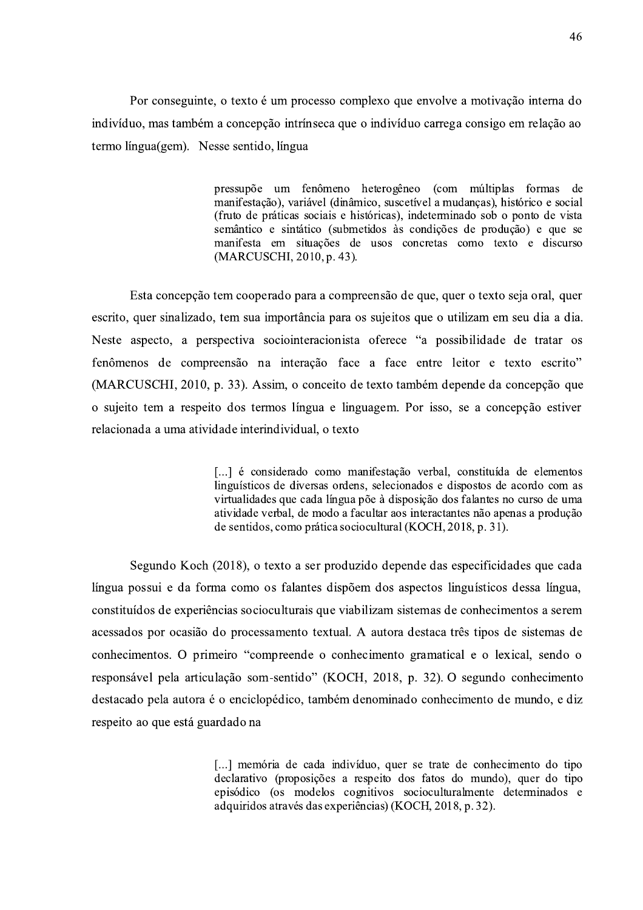Por conseguinte, o texto é um processo complexo que envolve a motivação interna do indivíduo, mas também a concepção intrínseca que o indivíduo carrega consigo em relação ao termo língua(gem). Nesse sentido, língua

> pressupõe um fenômeno heterogêneo (com múltiplas formas de manifestação), variável (dinâmico, suscetível a mudanças), histórico e social (fruto de práticas sociais e históricas), indeterminado sob o ponto de vista semântico e sintático (submetidos às condições de produção) e que se manifesta em situações de usos concretas como texto e discurso (MARCUSCHI, 2010, p. 43).

Esta concepção tem cooperado para a compreensão de que, quer o texto seja oral, quer escrito, quer sinalizado, tem sua importância para os sujeitos que o utilizam em seu dia a dia. Neste aspecto, a perspectiva sociointeracionista oferece "a possibilidade de tratar os fenômenos de compreensão na interação face a face entre leitor e texto escrito" (MARCUSCHI, 2010, p. 33). Assim, o conceito de texto também depende da concepção que o sujeito tem a respeito dos termos língua e linguagem. Por isso, se a concepção estiver relacionada a uma atividade interindividual, o texto

> [...] é considerado como manifestação verbal, constituída de elementos linguísticos de diversas ordens, selecionados e dispostos de acordo com as virtualidades que cada língua põe à disposição dos falantes no curso de uma atividade verbal, de modo a facultar aos interactantes não apenas a produção de sentidos, como prática sociocultural (KOCH, 2018, p. 31).

Segundo Koch (2018), o texto a ser produzido depende das especificidades que cada língua possui e da forma como os falantes dispõem dos aspectos linguísticos dessa língua, constituídos de experiências socioculturais que viabilizam sistemas de conhecimentos a serem acessados por ocasião do processamento textual. A autora destaca três tipos de sistemas de conhecimentos. O primeiro "compreende o conhecimento gramatical e o lexical, sendo o responsável pela articulação som-sentido" (KOCH, 2018, p. 32). O segundo conhecimento destacado pela autora é o enciclopédico, também denominado conhecimento de mundo, e diz respeito ao que está guardado na

> [...] memória de cada indivíduo, quer se trate de conhecimento do tipo declarativo (proposições a respeito dos fatos do mundo), quer do tipo episódico (os modelos cognitivos socioculturalmente determinados e adquiridos através das experiências) (KOCH, 2018, p. 32).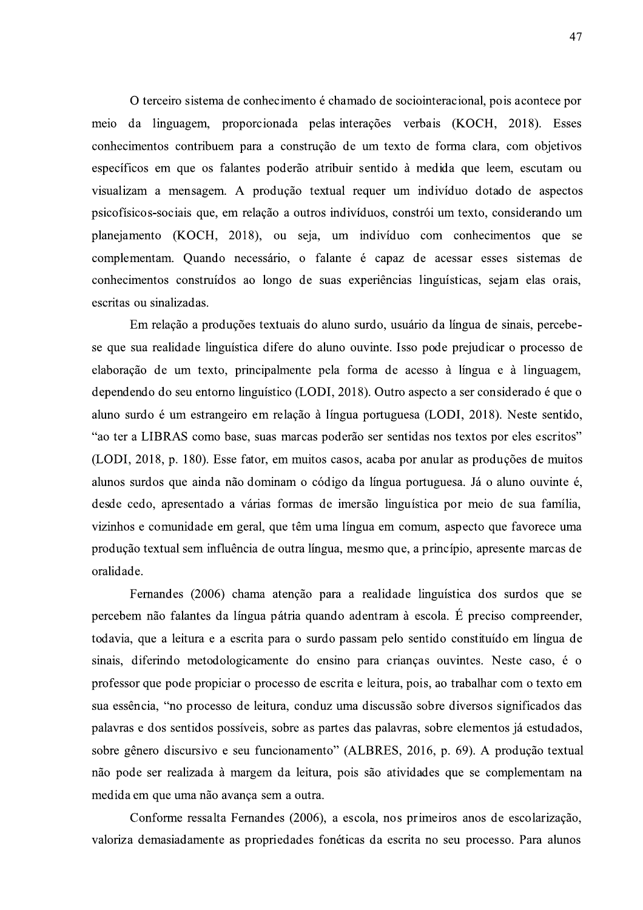O terceiro sistema de conhecimento é chamado de sociointeracional, pois acontece por meio da linguagem, proporcionada pelas interações verbais (KOCH, 2018). Esses conhecimentos contribuem para a construção de um texto de forma clara, com objetivos específicos em que os falantes poderão atribuir sentido à medida que leem, escutam ou visualizam a mensagem. A produção textual requer um indivíduo dotado de aspectos psicofísicos-sociais que, em relação a outros indivíduos, constrói um texto, considerando um planejamento (KOCH, 2018), ou seja, um indivíduo com conhecimentos que se complementam. Quando necessário, o falante é capaz de acessar esses sistemas de conhecimentos construídos ao longo de suas experiências linguísticas, sejam elas orais, escritas ou sinalizadas.

Em relação a produções textuais do aluno surdo, usuário da língua de sinais, percebese que sua realidade linguística difere do aluno ouvinte. Isso pode prejudicar o processo de elaboração de um texto, principalmente pela forma de acesso à língua e à linguagem, dependendo do seu entorno linguístico (LODI, 2018). Outro aspecto a ser considerado é que o aluno surdo é um estrangeiro em relação à língua portuguesa (LODI, 2018). Neste sentido, "ao ter a LIBRAS como base, suas marcas poderão ser sentidas nos textos por eles escritos" (LODI, 2018, p. 180). Esse fator, em muitos casos, acaba por anular as produções de muitos alunos surdos que ainda não dominam o código da língua portuguesa. Já o aluno ouvinte é, desde cedo, apresentado a várias formas de imersão linguística por meio de sua família, vizinhos e comunidade em geral, que têm uma língua em comum, aspecto que favorece uma produção textual sem influência de outra língua, mesmo que, a princípio, apresente marcas de oralidade.

Fernandes (2006) chama atenção para a realidade linguística dos surdos que se percebem não falantes da língua pátria quando adentram à escola. É preciso compreender, todavia, que a leitura e a escrita para o surdo passam pelo sentido constituído em língua de sinais, diferindo metodologicamente do ensino para crianças ouvintes. Neste caso, é o professor que pode propiciar o processo de escrita e leitura, pois, ao trabalhar com o texto em sua essência, "no processo de leitura, conduz uma discussão sobre diversos significados das palayras e dos sentidos possíveis, sobre as partes das palayras, sobre elementos já estudados, sobre gênero discursivo e seu funcionamento" (ALBRES, 2016, p. 69). A produção textual não pode ser realizada à margem da leitura, pois são atividades que se complementam na medida em que uma não avança sem a outra.

Conforme ressalta Fernandes (2006), a escola, nos primeiros anos de escolarização, valoriza demasiadamente as propriedades fonéticas da escrita no seu processo. Para alunos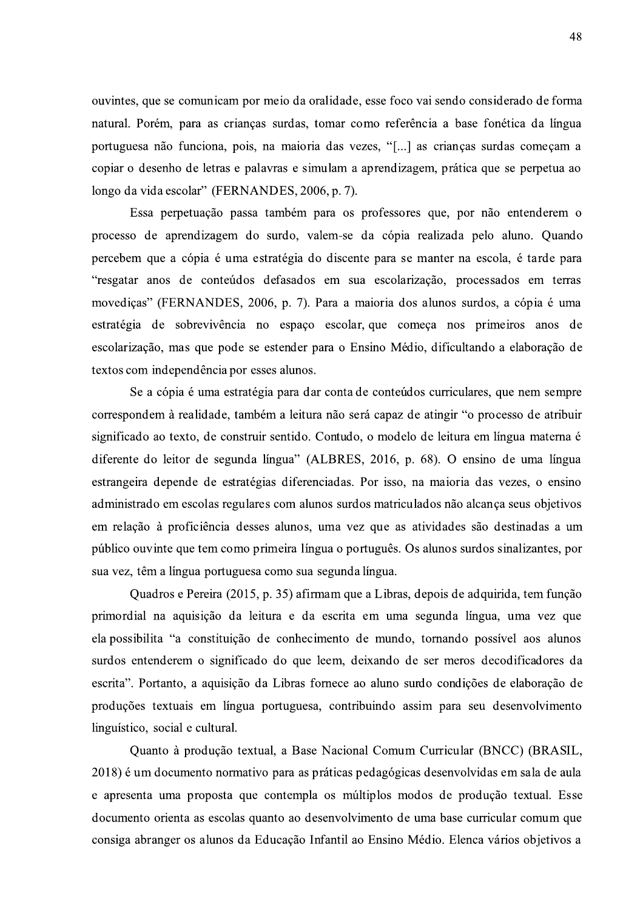ouvintes, que se comunicam por meio da oralidade, esse foco vai sendo considerado de forma natural. Porém, para as crianças surdas, tomar como referência a base fonética da língua portuguesa não funciona, pois, na maioria das vezes, "[...] as crianças surdas começam a copiar o desenho de letras e palavras e simulam a aprendizagem, prática que se perpetua ao longo da vida escolar" (FERNANDES, 2006, p. 7).

Essa perpetuação passa também para os professores que, por não entenderem o processo de aprendizagem do surdo, valem-se da cópia realizada pelo aluno. Quando percebem que a cópia é uma estratégia do discente para se manter na escola, é tarde para "resgatar anos de conteúdos defasados em sua escolarização, processados em terras movediças" (FERNANDES, 2006, p. 7). Para a maioria dos alunos surdos, a cópia é uma estratégia de sobrevivência no espaço escolar, que começa nos primeiros anos de escolarização, mas que pode se estender para o Ensino Médio, dificultando a elaboração de textos com independência por esses alunos.

Se a cópia é uma estratégia para dar conta de conteúdos curriculares, que nem sempre correspondem à realidade, também a leitura não será capaz de atingir "o processo de atribuir significado ao texto, de construir sentido. Contudo, o modelo de leitura em língua materna é diferente do leitor de segunda língua" (ALBRES, 2016, p. 68). O ensino de uma língua estrangeira depende de estratégias diferenciadas. Por isso, na maioria das vezes, o ensino administrado em escolas regulares com alunos surdos matriculados não alcança seus objetivos em relação à proficiência desses alunos, uma vez que as atividades são destinadas a um público ouvinte que tem como primeira língua o português. Os alunos surdos sinalizantes, por sua vez, têm a língua portuguesa como sua segunda língua.

Quadros e Pereira (2015, p. 35) afirmam que a Libras, depois de adquirida, tem função primordial na aquisição da leitura e da escrita em uma segunda língua, uma vez que ela possibilita "a constituição de conhecimento de mundo, tornando possível aos alunos surdos entenderem o significado do que leem, deixando de ser meros decodificadores da escrita". Portanto, a aquisição da Libras fornece ao aluno surdo condições de elaboração de produções textuais em língua portuguesa, contribuindo assim para seu desenvolvimento linguístico, social e cultural.

Quanto à produção textual, a Base Nacional Comum Curricular (BNCC) (BRASIL, 2018) é um documento normativo para as práticas pedagógicas desenvolvidas em sala de aula e apresenta uma proposta que contempla os múltiplos modos de produção textual. Esse documento orienta as escolas quanto ao desenvolvimento de uma base curricular comum que consiga abranger os alunos da Educação Infantil ao Ensino Médio. Elenca vários objetivos a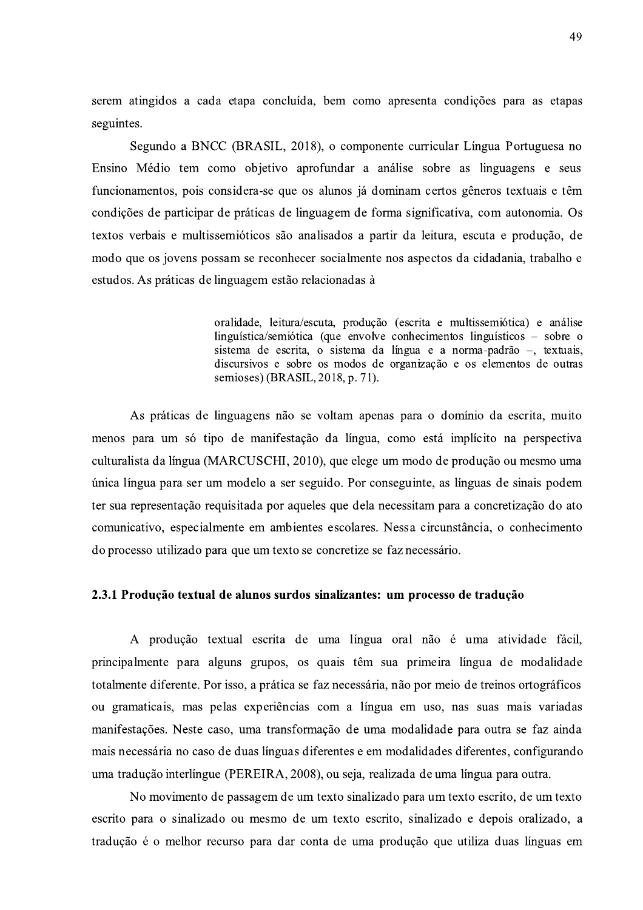serem atingidos a cada etapa concluída, bem como apresenta condições para as etapas seguintes.

Segundo a BNCC (BRASIL, 2018), o componente curricular Língua Portuguesa no Ensino Médio tem como objetivo aprofundar a análise sobre as linguagens e seus funcionamentos, pois considera-se que os alunos já dominam certos gêneros textuais e têm condições de participar de práticas de linguagem de forma significativa, com autonomia. Os textos verbais e multissemióticos são analisados a partir da leitura, escuta e produção, de modo que os jovens possam se reconhecer socialmente nos aspectos da cidadania, trabalho e estudos. As práticas de linguagem estão relacionadas à

> oralidade, leitura/escuta, produção (escrita e multissemiótica) e análise  $linguística/semiótica$  (que envolve conhecimentos linguísticos – sobre o sistema de escrita, o sistema da língua e a norma-padrão -, textuais, discursivos e sobre os modos de organização e os elementos de outras semioses) (BRASIL, 2018, p. 71).

As práticas de linguagens não se voltam apenas para o domínio da escrita, muito menos para um só tipo de manifestação da língua, como está implícito na perspectiva culturalista da língua (MARCUSCHI, 2010), que elege um modo de produção ou mesmo uma única língua para ser um modelo a ser seguido. Por conseguinte, as línguas de sinais podem ter sua representação requisitada por aqueles que dela necessitam para a concretização do ato comunicativo, especialmente em ambientes escolares. Nessa circunstância, o conhecimento do processo utilizado para que um texto se concretize se faz necessário.

#### 2.3.1 Produção textual de alunos surdos sinalizantes: um processo de tradução

A produção textual escrita de uma língua oral não é uma atividade fácil, principalmente para alguns grupos, os quais têm sua primeira língua de modalidade totalmente diferente. Por isso, a prática se faz necessária, não por meio de treinos ortográficos ou gramaticais, mas pelas experiências com a língua em uso, nas suas mais variadas manifestações. Neste caso, uma transformação de uma modalidade para outra se faz ainda mais necessária no caso de duas línguas diferentes e em modalidades diferentes, configurando uma tradução interlíngue (PEREIRA, 2008), ou seja, realizada de uma língua para outra.

No movimento de passagem de um texto sinalizado para um texto escrito, de um texto escrito para o sinalizado ou mesmo de um texto escrito, sinalizado e depois oralizado, a tradução é o melhor recurso para dar conta de uma produção que utiliza duas línguas em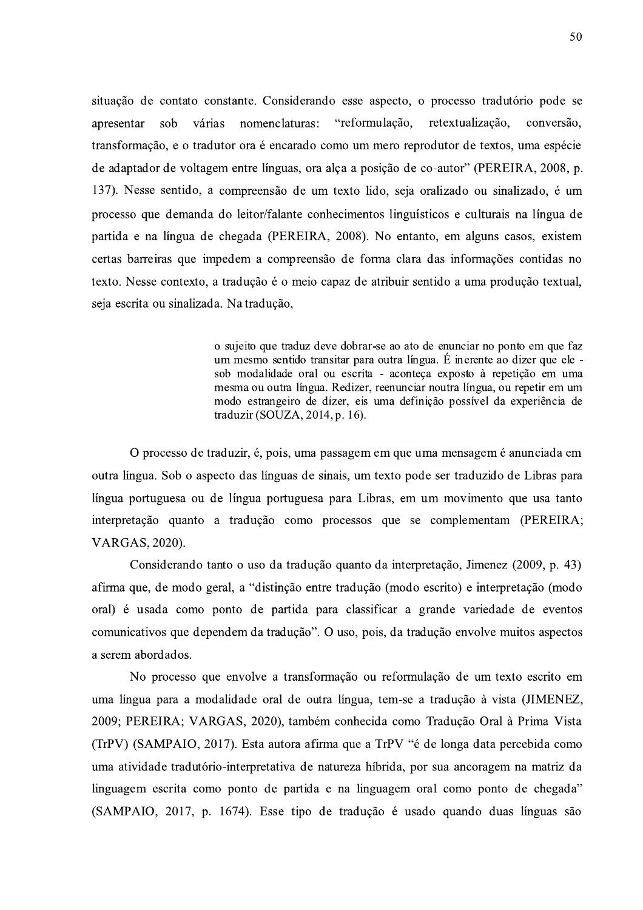situação de contato constante. Considerando esse aspecto, o processo tradutório pode se sob várias nomenclaturas: "reformulação, retextualização, conversão, apresentar transformação, e o tradutor ora é encarado como um mero reprodutor de textos, uma espécie de adaptador de voltagem entre línguas, ora alça a posição de co-autor" (PEREIRA, 2008, p. 137). Nesse sentido, a compreensão de um texto lido, seja oralizado ou sinalizado, é um processo que demanda do leitor/falante conhecimentos linguísticos e culturais na língua de partida e na língua de chegada (PEREIRA, 2008). No entanto, em alguns casos, existem certas barreiras que impedem a compreensão de forma clara das informações contidas no texto. Nesse contexto, a tradução é o meio capaz de atribuir sentido a uma produção textual, seja escrita ou sinalizada. Na tradução,

> o sujeito que traduz deve dobrar-se ao ato de enunciar no ponto em que faz um mesmo sentido transitar para outra língua. É inerente ao dizer que ele sob modalidade oral ou escrita - aconteca exposto à repetição em uma mesma ou outra língua. Redizer, reenunciar noutra língua, ou repetir em um modo estrangeiro de dizer, eis uma definição possível da experiência de traduzir (SOUZA, 2014, p. 16).

O processo de traduzir, é, pois, uma passagem em que uma mensagem é anunciada em outra língua. Sob o aspecto das línguas de sinais, um texto pode ser traduzido de Libras para língua portuguesa ou de língua portuguesa para Libras, em um movimento que usa tanto interpretação quanto a tradução como processos que se complementam (PEREIRA; VARGAS, 2020).

Considerando tanto o uso da tradução quanto da interpretação, Jimenez (2009, p. 43) afirma que, de modo geral, a "distinção entre tradução (modo escrito) e interpretação (modo oral) é usada como ponto de partida para classificar a grande variedade de eventos comunicativos que dependem da tradução". O uso, pois, da tradução envolve muitos aspectos a serem abordados.

No processo que envolve a transformação ou reformulação de um texto escrito em uma língua para a modalidade oral de outra língua, tem-se a tradução à vista (JIMENEZ, 2009; PEREIRA; VARGAS, 2020), também conhecida como Tradução Oral à Prima Vista (TrPV) (SAMPAIO, 2017). Esta autora afirma que a TrPV "é de longa data percebida como uma atividade tradutório-interpretativa de natureza híbrida, por sua ancoragem na matriz da linguagem escrita como ponto de partida e na linguagem oral como ponto de chegada" (SAMPAIO, 2017, p. 1674). Esse tipo de tradução é usado quando duas línguas são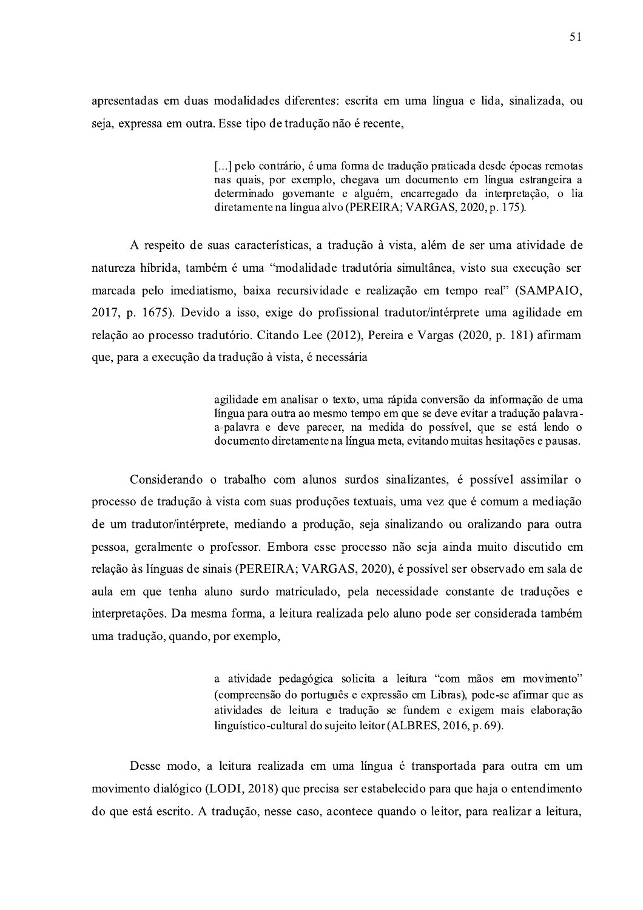apresentadas em duas modalidades diferentes: escrita em uma língua e lida, sinalizada, ou seja, expressa em outra. Esse tipo de tradução não é recente,

> [...] pelo contrário, é uma forma de tradução praticada desde épocas remotas nas quais, por exemplo, chegava um documento em língua estrangeira a determinado governante e alguém, encarregado da interpretação, o lia diretamente na língua alvo (PEREIRA; VARGAS, 2020, p. 175).

A respeito de suas características, a tradução à vista, além de ser uma atividade de natureza híbrida, também é uma "modalidade tradutória simultânea, visto sua execução ser marcada pelo imediatismo, baixa recursividade e realização em tempo real" (SAMPAIO, 2017, p. 1675). Devido a isso, exige do profissional tradutor/intérprete uma agilidade em relação ao processo tradutório. Citando Lee (2012), Pereira e Vargas (2020, p. 181) afirmam que, para a execução da tradução à vista, é necessária

> agilidade em analisar o texto, uma rápida conversão da informação de uma língua para outra ao mesmo tempo em que se deve evitar a tradução palavraa-palavra e deve parecer, na medida do possível, que se está lendo o documento diretamente na língua meta, evitando muitas hesitações e pausas.

Considerando o trabalho com alunos surdos sinalizantes, é possível assimilar o processo de tradução à vista com suas produções textuais, uma vez que é comum a mediação de um tradutor/intérprete, mediando a produção, seja sinalizando ou oralizando para outra pessoa, geralmente o professor. Embora esse processo não seja ainda muito discutido em relação às línguas de sinais (PEREIRA; VARGAS, 2020), é possível ser observado em sala de aula em que tenha aluno surdo matriculado, pela necessidade constante de traduções e interpretações. Da mesma forma, a leitura realizada pelo aluno pode ser considerada também uma tradução, quando, por exemplo,

> a atividade pedagógica solicita a leitura "com mãos em movimento" (compreensão do português e expressão em Libras), pode-se afirmar que as atividades de leitura e tradução se fundem e exigem mais elaboração linguístico-cultural do sujeito leitor (ALBRES, 2016, p. 69).

Desse modo, a leitura realizada em uma língua é transportada para outra em um movimento dialógico (LODI, 2018) que precisa ser estabelecido para que haja o entendimento do que está escrito. A tradução, nesse caso, acontece quando o leitor, para realizar a leitura,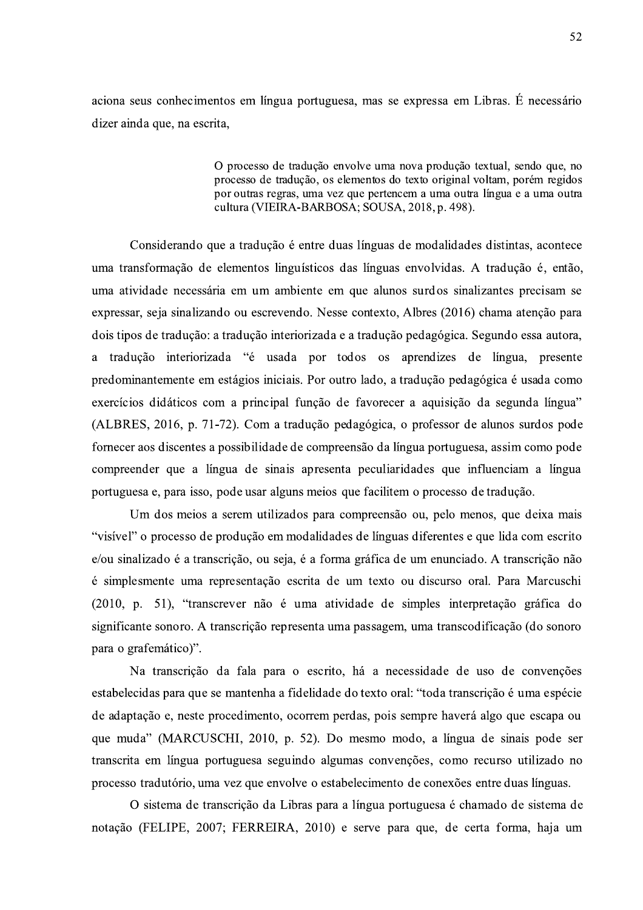aciona seus conhecimentos em língua portuguesa, mas se expressa em Libras. É necessário dizer ainda que, na escrita,

> O processo de tradução envolve uma nova produção textual, sendo que, no processo de tradução, os elementos do texto original voltam, porém regidos por outras regras, uma vez que pertencem a uma outra língua e a uma outra cultura (VIEIRA-BARBOSA; SOUSA, 2018, p. 498).

Considerando que a tradução é entre duas línguas de modalidades distintas, acontece uma transformação de elementos linguísticos das línguas envolvidas. A tradução é, então, uma atividade necessária em um ambiente em que alunos surdos sinalizantes precisam se expressar, seja sinalizando ou escrevendo. Nesse contexto, Albres (2016) chama atenção para dois tipos de tradução: a tradução interiorizada e a tradução pedagógica. Segundo essa autora, a tradução interiorizada "é usada por todos os aprendizes de língua, presente predominantemente em estágios iniciais. Por outro lado, a tradução pedagógica é usada como exercícios didáticos com a principal função de favorecer a aquisição da segunda língua" (ALBRES, 2016, p. 71-72). Com a tradução pedagógica, o professor de alunos surdos pode fornecer aos discentes a possibilidade de compreensão da língua portuguesa, assim como pode compreender que a língua de sinais apresenta peculiaridades que influenciam a língua portuguesa e, para isso, pode usar alguns meios que facilitem o processo de tradução.

Um dos meios a serem utilizados para compreensão ou, pelo menos, que deixa mais "visível" o processo de produção em modalidades de línguas diferentes e que lida com escrito e/ou sinalizado é a transcrição, ou seja, é a forma gráfica de um enunciado. A transcrição não é simplesmente uma representação escrita de um texto ou discurso oral. Para Marcuschi (2010, p. 51), "transcrever não é uma atividade de simples interpretação gráfica do significante sonoro. A transcrição representa uma passagem, uma transcodificação (do sonoro para o grafemático)".

Na transcrição da fala para o escrito, há a necessidade de uso de convenções estabelecidas para que se mantenha a fidelidade do texto oral: "toda transcrição é uma espécie de adaptação e, neste procedimento, ocorrem perdas, pois sempre haverá algo que escapa ou que muda" (MARCUSCHI, 2010, p. 52). Do mesmo modo, a língua de sinais pode ser transcrita em língua portuguesa seguindo algumas convenções, como recurso utilizado no processo tradutório, uma vez que envolve o estabelecimento de conexões entre duas línguas.

O sistema de transcrição da Libras para a língua portuguesa é chamado de sistema de notação (FELIPE, 2007; FERREIRA, 2010) e serve para que, de certa forma, haja um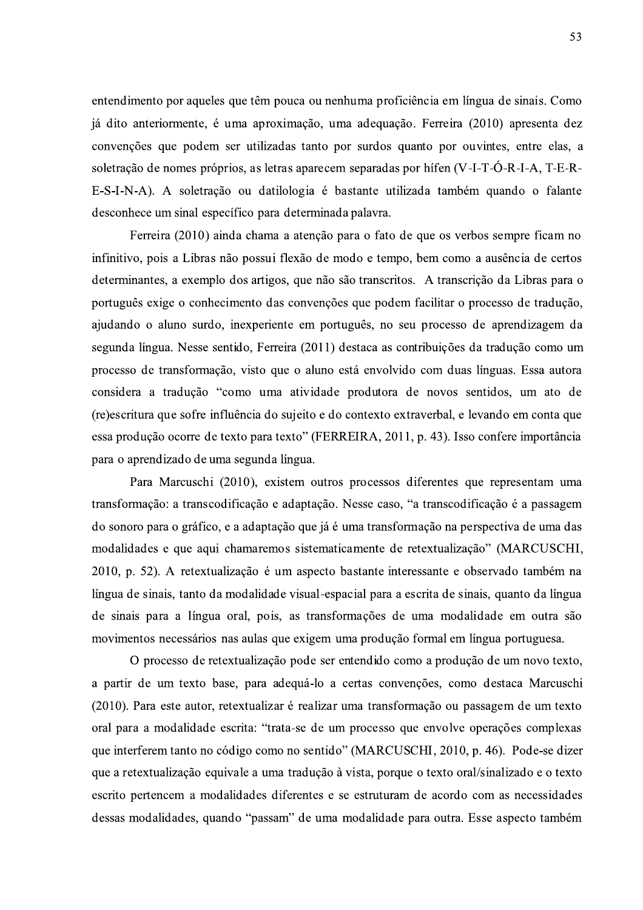entendimento por aqueles que têm pouca ou nenhuma proficiência em língua de sinais. Como já dito anteriormente, é uma aproximação, uma adequação. Ferreira (2010) apresenta dez convenções que podem ser utilizadas tanto por surdos quanto por ouvintes, entre elas, a soletração de nomes próprios, as letras aparecem separadas por hífen (V-I-T-Ó-R-I-A, T-E-R-E-S-I-N-A). A soletração ou datilologia é bastante utilizada também quando o falante desconhece um sinal específico para determinada palavra.

Ferreira (2010) ainda chama a atenção para o fato de que os verbos sempre ficam no infinitivo, pois a Libras não possui flexão de modo e tempo, bem como a ausência de certos determinantes, a exemplo dos artigos, que não são transcritos. A transcrição da Libras para o português exige o conhecimento das convenções que podem facilitar o processo de tradução, ajudando o aluno surdo, inexperiente em português, no seu processo de aprendizagem da segunda língua. Nesse sentido, Ferreira (2011) destaca as contribuições da tradução como um processo de transformação, visto que o aluno está envolvido com duas línguas. Essa autora considera a tradução "como uma atividade produtora de novos sentidos, um ato de (re)escritura que sofre influência do sujeito e do contexto extraverbal, e levando em conta que essa produção ocorre de texto para texto" (FERREIRA, 2011, p. 43). Isso confere importância para o aprendizado de uma segunda língua.

Para Marcuschi (2010), existem outros processos diferentes que representam uma transformação: a transcodificação e adaptação. Nesse caso, "a transcodificação é a passagem do sonoro para o gráfico, e a adaptação que já é uma transformação na perspectiva de uma das modalidades e que aqui chamaremos sistematicamente de retextualização" (MARCUSCHI, 2010, p. 52). A retextualização é um aspecto bastante interessante e observado também na língua de sinais, tanto da modalidade visual-espacial para a escrita de sinais, quanto da língua de sinais para a língua oral, pois, as transformações de uma modalidade em outra são movimentos necessários nas aulas que exigem uma produção formal em língua portuguesa.

O processo de retextualização pode ser entendido como a produção de um novo texto, a partir de um texto base, para adequá-lo a certas convenções, como destaca Marcuschi (2010). Para este autor, retextualizar é realizar uma transformação ou passagem de um texto oral para a modalidade escrita: "trata-se de um processo que envolve operações complexas que interferem tanto no código como no sentido" (MARCUSCHI, 2010, p. 46). Pode-se dizer que a retextualização equivale a uma tradução à vista, porque o texto oral/sinalizado e o texto escrito pertencem a modalidades diferentes e se estruturam de acordo com as necessidades dessas modalidades, quando "passam" de uma modalidade para outra. Esse aspecto também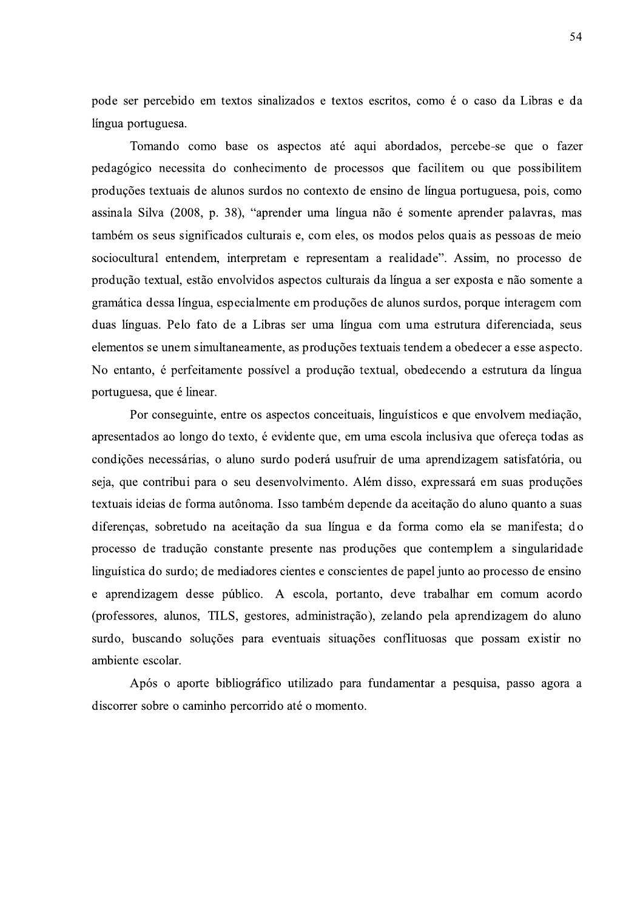pode ser percebido em textos sinalizados e textos escritos, como é o caso da Libras e da língua portuguesa.

Tomando como base os aspectos até aqui abordados, percebe-se que o fazer pedagógico necessita do conhecimento de processos que facilitem ou que possibilitem produções textuais de alunos surdos no contexto de ensino de língua portuguesa, pois, como assinala Silva (2008, p. 38), "aprender uma língua não é somente aprender palavras, mas também os seus significados culturais e, com eles, os modos pelos quais as pessoas de meio sociocultural entendem, interpretam e representam a realidade". Assim, no processo de produção textual, estão envolvidos aspectos culturais da língua a ser exposta e não somente a gramática dessa língua, especialmente em produções de alunos surdos, porque interagem com duas línguas. Pelo fato de a Libras ser uma língua com uma estrutura diferenciada, seus elementos se unem simultaneamente, as produções textuais tendem a obedecer a esse aspecto. No entanto, é perfeitamente possível a produção textual, obedecendo a estrutura da língua portuguesa, que é linear.

Por conseguinte, entre os aspectos conceituais, linguísticos e que envolvem mediação, apresentados ao longo do texto, é evidente que, em uma escola inclusiva que ofereça todas as condições necessárias, o aluno surdo poderá usufruir de uma aprendizagem satisfatória, ou seja, que contribui para o seu desenvolvimento. Além disso, expressará em suas produções textuais ideias de forma autônoma. Isso também depende da aceitação do aluno quanto a suas diferenças, sobretudo na aceitação da sua língua e da forma como ela se manifesta; do processo de tradução constante presente nas produções que contemplem a singularidade linguística do surdo; de mediadores cientes e conscientes de papel junto ao processo de ensino e aprendizagem desse público. A escola, portanto, deve trabalhar em comum acordo (professores, alunos, TILS, gestores, administração), zelando pela aprendizagem do aluno surdo, buscando soluções para eventuais situações conflituosas que possam existir no ambiente escolar.

Após o aporte bibliográfico utilizado para fundamentar a pesquisa, passo agora a discorrer sobre o caminho percorrido até o momento.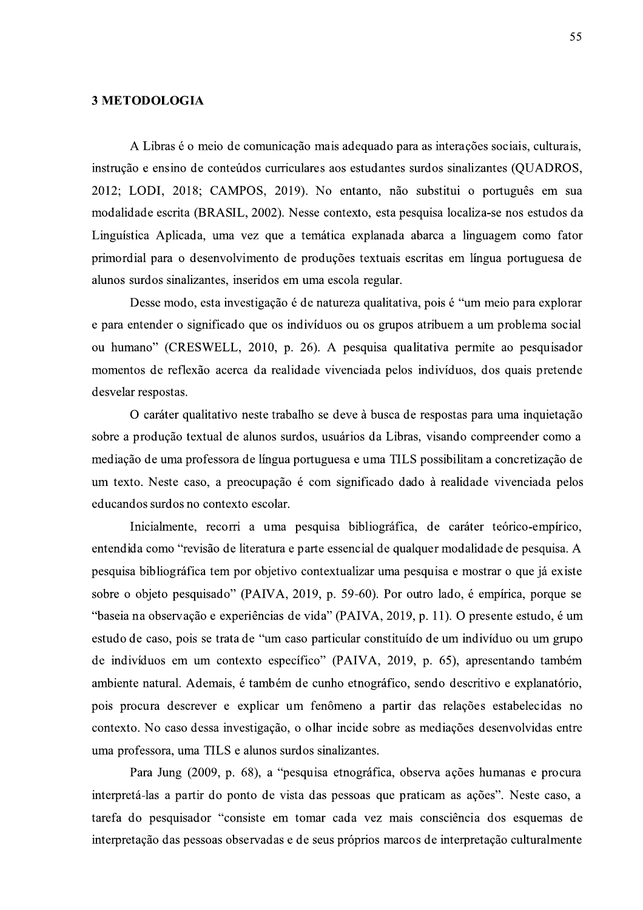#### **3 METODOLOGIA**

A Libras é o meio de comunicação mais adequado para as interações sociais, culturais, instrução e ensino de conteúdos curriculares aos estudantes surdos sinalizantes (QUADROS, 2012; LODI, 2018; CAMPOS, 2019). No entanto, não substitui o português em sua modalidade escrita (BRASIL, 2002). Nesse contexto, esta pesquisa localiza-se nos estudos da Linguística Aplicada, uma vez que a temática explanada abarca a linguagem como fator primordial para o desenvolvimento de produções textuais escritas em língua portuguesa de alunos surdos sinalizantes, inseridos em uma escola regular.

Desse modo, esta investigação é de natureza qualitativa, pois é "um meio para explorar" e para entender o significado que os indivíduos ou os grupos atribuem a um problema social ou humano" (CRESWELL, 2010, p. 26). A pesquisa qualitativa permite ao pesquisador momentos de reflexão acerca da realidade vivenciada pelos indivíduos, dos quais pretende desvelar respostas.

O caráter qualitativo neste trabalho se deve à busca de respostas para uma inquietação sobre a produção textual de alunos surdos, usuários da Libras, visando compreender como a mediação de uma professora de língua portuguesa e uma TILS possibilitam a concretização de um texto. Neste caso, a preocupação é com significado dado à realidade vivenciada pelos educandos surdos no contexto escolar.

Inicialmente, recorri a uma pesquisa bibliográfica, de caráter teórico-empírico, entendida como "revisão de literatura e parte essencial de qualquer modalidade de pesquisa. A pesquisa bibliográfica tem por objetivo contextualizar uma pesquisa e mostrar o que já existe sobre o objeto pesquisado" (PAIVA, 2019, p. 59-60). Por outro lado, é empírica, porque se "baseia na observação e experiências de vida" (PAIVA, 2019, p. 11). O presente estudo, é um estudo de caso, pois se trata de "um caso particular constituído de um indivíduo ou um grupo de indivíduos em um contexto específico" (PAIVA, 2019, p. 65), apresentando também ambiente natural. Ademais, é também de cunho etnográfico, sendo descritivo e explanatório, pois procura descrever e explicar um fenômeno a partir das relações estabelecidas no contexto. No caso dessa investigação, o olhar incide sobre as mediações desenvolvidas entre uma professora, uma TILS e alunos surdos sinalizantes.

Para Jung (2009, p. 68), a "pesquisa etnográfica, observa ações humanas e procura interpretá-las a partir do ponto de vista das pessoas que praticam as ações". Neste caso, a tarefa do pesquisador "consiste em tomar cada vez mais consciência dos esquemas de interpretação das pessoas observadas e de seus próprios marcos de interpretação culturalmente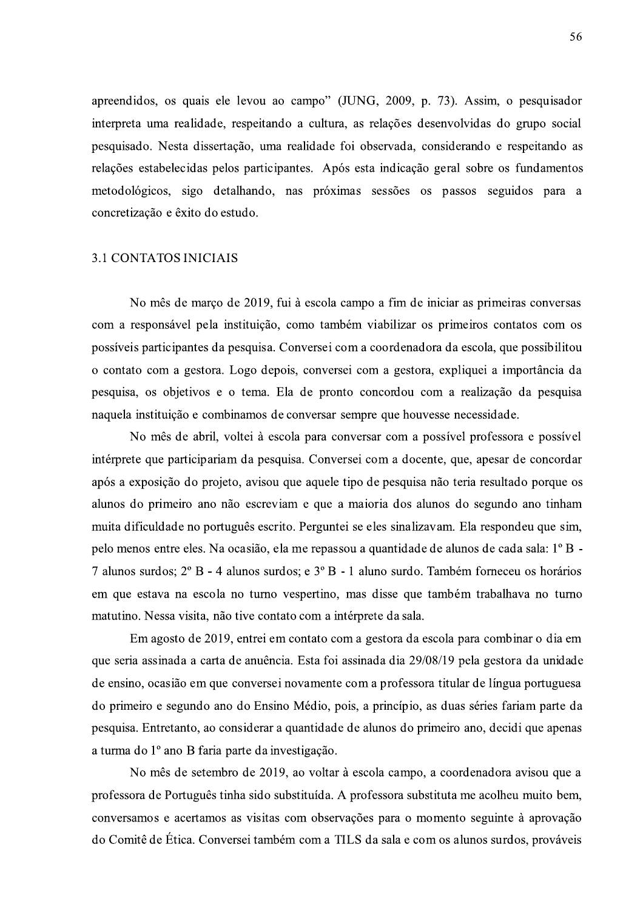apreendidos, os quais ele levou ao campo" (JUNG, 2009, p. 73). Assim, o pesquisador interpreta uma realidade, respeitando a cultura, as relações desenvolvidas do grupo social pesquisado. Nesta dissertação, uma realidade foi observada, considerando e respeitando as relações estabelecidas pelos participantes. Após esta indicação geral sobre os fundamentos metodológicos, sigo detalhando, nas próximas sessões os passos seguidos para a concretização e êxito do estudo.

### **3.1 CONTATOS INICIAIS**

No mês de marco de 2019, fui à escola campo a fim de iniciar as primeiras conversas com a responsável pela instituição, como também viabilizar os primeiros contatos com os possíveis participantes da pesquisa. Conversei com a coordenadora da escola, que possibilitou o contato com a gestora. Logo depois, conversei com a gestora, expliquei a importância da pesquisa, os objetivos e o tema. Ela de pronto concordou com a realização da pesquisa naquela instituição e combinamos de conversar sempre que houvesse necessidade.

No mês de abril, voltei à escola para conversar com a possível professora e possível intérprete que participariam da pesquisa. Conversei com a docente, que, apesar de concordar após a exposição do projeto, avisou que aquele tipo de pesquisa não teria resultado porque os alunos do primeiro ano não escreviam e que a maioria dos alunos do segundo ano tinham muita dificuldade no português escrito. Perguntei se eles sinalizavam. Ela respondeu que sim, pelo menos entre eles. Na ocasião, ela me repassou a quantidade de alunos de cada sala: 1º B -7 alunos surdos; 2º B - 4 alunos surdos; e 3º B - 1 aluno surdo. Também forneceu os horários em que estava na escola no turno vespertino, mas disse que também trabalhava no turno matutino. Nessa visita, não tive contato com a intérprete da sala.

Em agosto de 2019, entrei em contato com a gestora da escola para combinar o dia em que seria assinada a carta de anuência. Esta foi assinada dia 29/08/19 pela gestora da unidade de ensino, ocasião em que conversei novamente com a professora titular de língua portuguesa do primeiro e segundo ano do Ensino Médio, pois, a princípio, as duas séries fariam parte da pesquisa. Entretanto, ao considerar a quantidade de alunos do primeiro ano, decidi que apenas a turma do 1º ano B faria parte da investigação.

No mês de setembro de 2019, ao voltar à escola campo, a coordenadora avisou que a professora de Português tinha sido substituída. A professora substituta me acolheu muito bem, conversamos e acertamos as visitas com observações para o momento seguinte à aprovação do Comitê de Ética. Conversei também com a TILS da sala e com os alunos surdos, prováveis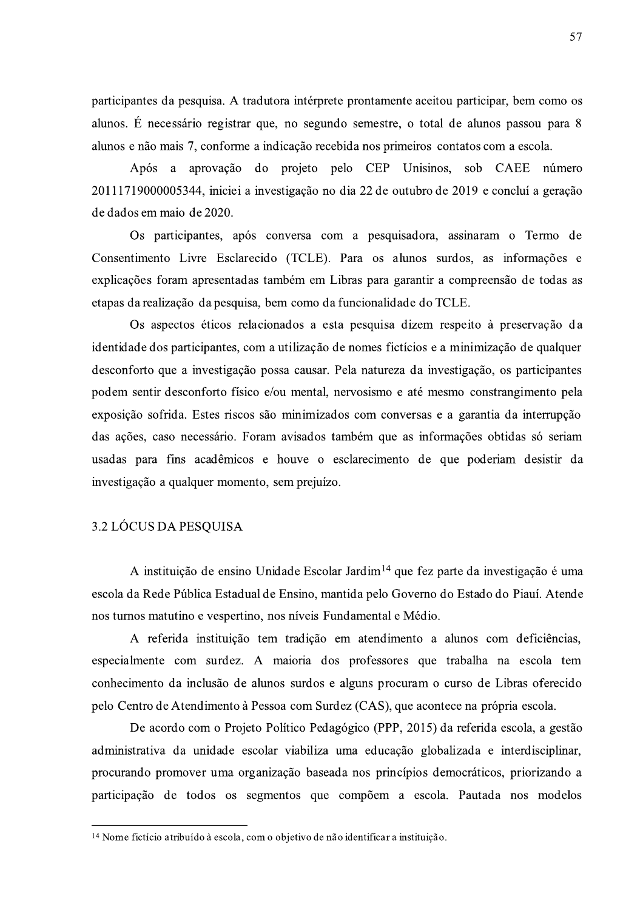57

participantes da pesquisa. A tradutora intérprete prontamente aceitou participar, bem como os alunos. É necessário registrar que, no segundo semestre, o total de alunos passou para 8 alunos e não mais 7, conforme a indicação recebida nos primeiros contatos com a escola.

Após a aprovação do projeto pelo CEP Unisinos, sob CAEE número 20111719000005344, iniciei a investigação no dia 22 de outubro de 2019 e concluí a geração de dados em maio de 2020.

Os participantes, após conversa com a pesquisadora, assinaram o Termo de Consentimento Livre Esclarecido (TCLE). Para os alunos surdos, as informações e explicações foram apresentadas também em Libras para garantir a compreensão de todas as etapas da realização da pesquisa, bem como da funcionalidade do TCLE.

Os aspectos éticos relacionados a esta pesquisa dizem respeito à preservação da identidade dos participantes, com a utilização de nomes fictícios e a minimização de qualquer desconforto que a investigação possa causar. Pela natureza da investigação, os participantes podem sentir desconforto físico e/ou mental, nervosismo e até mesmo constrangimento pela exposição sofrida. Estes riscos são minimizados com conversas e a garantia da interrupção das ações, caso necessário. Foram avisados também que as informações obtidas só seriam usadas para fins acadêmicos e houve o esclarecimento de que poderiam desistir da investigação a qualquer momento, sem prejuízo.

## 3.2 LÓCUS DA PESQUISA

A instituição de ensino Unidade Escolar Jardim<sup>14</sup> que fez parte da investigação é uma escola da Rede Pública Estadual de Ensino, mantida pelo Governo do Estado do Piauí. Atende nos turnos matutino e vespertino, nos níveis Fundamental e Médio.

A referida instituição tem tradição em atendimento a alunos com deficiências, especialmente com surdez. A maioria dos professores que trabalha na escola tem conhecimento da inclusão de alunos surdos e alguns procuram o curso de Libras oferecido pelo Centro de Atendimento à Pessoa com Surdez (CAS), que acontece na própria escola.

De acordo com o Projeto Político Pedagógico (PPP, 2015) da referida escola, a gestão administrativa da unidade escolar viabiliza uma educação globalizada e interdisciplinar, procurando promover uma organização baseada nos princípios democráticos, priorizando a participação de todos os segmentos que compõem a escola. Pautada nos modelos

<sup>&</sup>lt;sup>14</sup> Nome fictício atribuído à escola, com o objetivo de não identificar a instituição.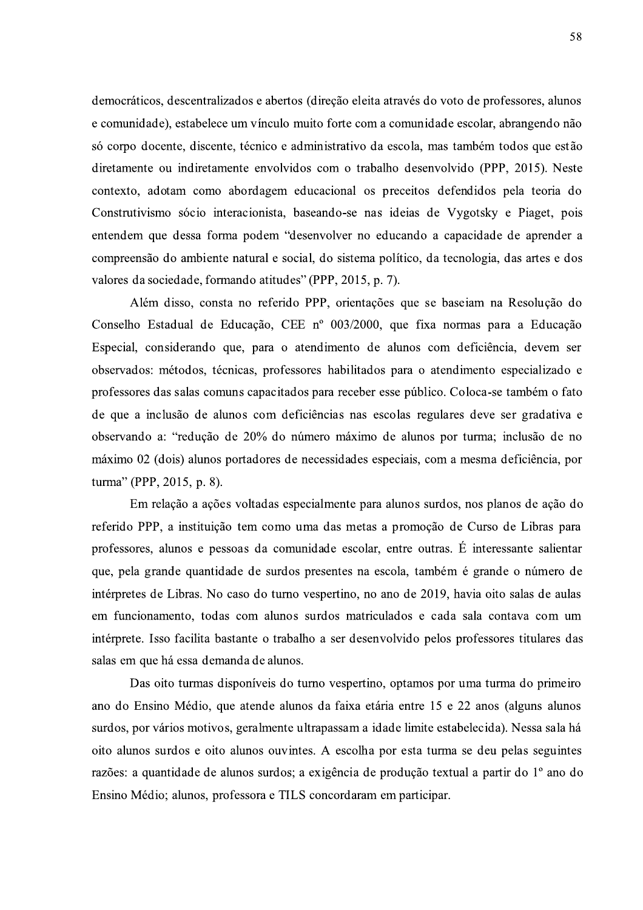democráticos, descentralizados e abertos (direção eleita através do voto de professores, alunos e comunidade), estabelece um vínculo muito forte com a comunidade escolar, abrangendo não só corpo docente, discente, técnico e administrativo da escola, mas também todos que estão diretamente ou indiretamente envolvidos com o trabalho desenvolvido (PPP, 2015). Neste contexto, adotam como abordagem educacional os preceitos defendidos pela teoria do Construtivismo sócio interacionista, baseando-se nas ideias de Vygotsky e Piaget, pois entendem que dessa forma podem "desenvolver no educando a capacidade de aprender a compreensão do ambiente natural e social, do sistema político, da tecnologia, das artes e dos valores da sociedade, formando atitudes" (PPP, 2015, p. 7).

Além disso, consta no referido PPP, orientações que se baseiam na Resolução do Conselho Estadual de Educação, CEE nº 003/2000, que fixa normas para a Educação Especial, considerando que, para o atendimento de alunos com deficiência, devem ser observados: métodos, técnicas, professores habilitados para o atendimento especializado e professores das salas comuns capacitados para receber esse público. Coloca-se também o fato de que a inclusão de alunos com deficiências nas escolas regulares deve ser gradativa e observando a: "redução de 20% do número máximo de alunos por turma; inclusão de no máximo 02 (dois) alunos portadores de necessidades especiais, com a mesma deficiência, por turma" (PPP, 2015, p. 8).

Em relação a ações voltadas especialmente para alunos surdos, nos planos de ação do referido PPP, a instituição tem como uma das metas a promoção de Curso de Libras para professores, alunos e pessoas da comunidade escolar, entre outras. É interessante salientar que, pela grande quantidade de surdos presentes na escola, também é grande o número de intérpretes de Libras. No caso do turno vespertino, no ano de 2019, havia oito salas de aulas em funcionamento, todas com alunos surdos matriculados e cada sala contava com um intérprete. Isso facilita bastante o trabalho a ser desenvolvido pelos professores titulares das salas em que há essa demanda de alunos.

Das oito turmas disponíveis do turno vespertino, optamos por uma turma do primeiro ano do Ensino Médio, que atende alunos da faixa etária entre 15 e 22 anos (alguns alunos surdos, por vários motivos, geralmente ultrapassam a idade limite estabelecida). Nessa sala há oito alunos surdos e oito alunos ouvintes. A escolha por esta turma se deu pelas seguintes razões: a quantidade de alunos surdos; a exigência de produção textual a partir do 1º ano do Ensino Médio; alunos, professora e TILS concordaram em participar.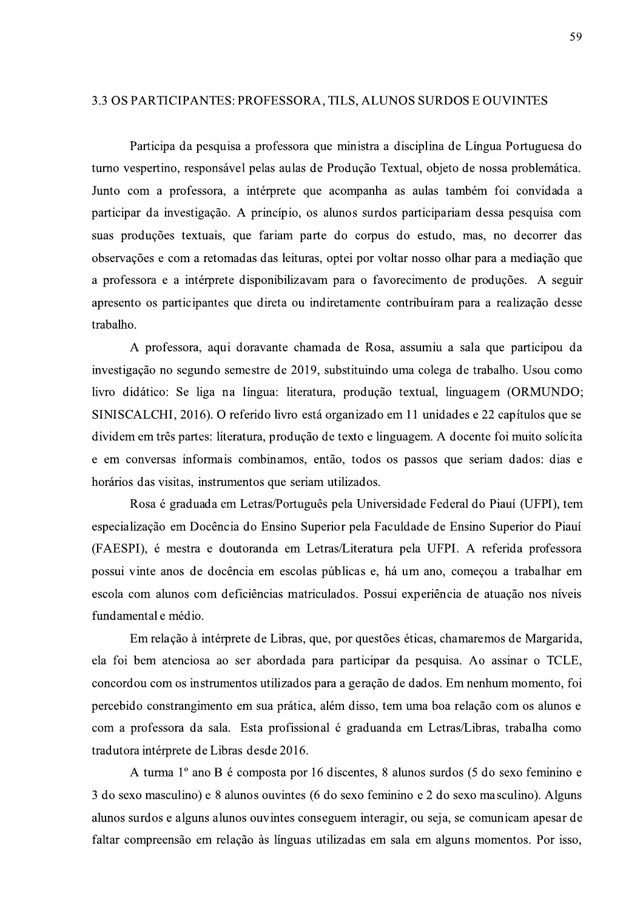#### 3.3 OS PARTICIPANTES: PROFESSORA, TILS, ALUNOS SURDOS E OUVINTES

Participa da pesquisa a professora que ministra a disciplina de Língua Portuguesa do turno vespertino, responsável pelas aulas de Produção Textual, objeto de nossa problemática. Junto com a professora, a intérprete que acompanha as aulas também foi convidada a participar da investigação. A princípio, os alunos surdos participariam dessa pesquisa com suas produções textuais, que fariam parte do corpus do estudo, mas, no decorrer das observações e com a retomadas das leituras, optei por voltar nosso olhar para a mediação que a professora e a intérprete disponibilizavam para o favorecimento de produções. A seguir apresento os participantes que direta ou indiretamente contribuíram para a realização desse trabalho.

A professora, aqui doravante chamada de Rosa, assumiu a sala que participou da investigação no segundo semestre de 2019, substituindo uma colega de trabalho. Usou como livro didático: Se liga na língua: literatura, produção textual, linguagem (ORMUNDO; SINISCALCHI, 2016). O referido livro está organizado em 11 unidades e 22 capítulos que se dividem em três partes: literatura, produção de texto e linguagem. A docente foi muito solícita e em conversas informais combinamos, então, todos os passos que seriam dados: dias e horários das visitas, instrumentos que seriam utilizados.

Rosa é graduada em Letras/Português pela Universidade Federal do Piauí (UFPI), tem especialização em Docência do Ensino Superior pela Faculdade de Ensino Superior do Piauí (FAESPI), é mestra e doutoranda em Letras/Literatura pela UFPI. A referida professora possui vinte anos de docência em escolas públicas e, há um ano, começou a trabalhar em escola com alunos com deficiências matriculados. Possui experiência de atuação nos níveis fundamental e médio.

Em relação à intérprete de Libras, que, por questões éticas, chamaremos de Margarida, ela foi bem atenciosa ao ser abordada para participar da pesquisa. Ao assinar o TCLE, concordou com os instrumentos utilizados para a geração de dados. Em nenhum momento, foi percebido constrangimento em sua prática, além disso, tem uma boa relação com os alunos e com a professora da sala. Esta profissional é graduanda em Letras/Libras, trabalha como tradutora intérprete de Libras desde 2016.

A turma 1<sup>°</sup> ano B é composta por 16 discentes, 8 alunos surdos (5 do sexo feminino e 3 do sexo masculino) e 8 alunos ouvintes (6 do sexo feminino e 2 do sexo masculino). Alguns alunos surdos e alguns alunos ouvintes conseguem interagir, ou seja, se comunicam apesar de faltar compreensão em relação às línguas utilizadas em sala em alguns momentos. Por isso,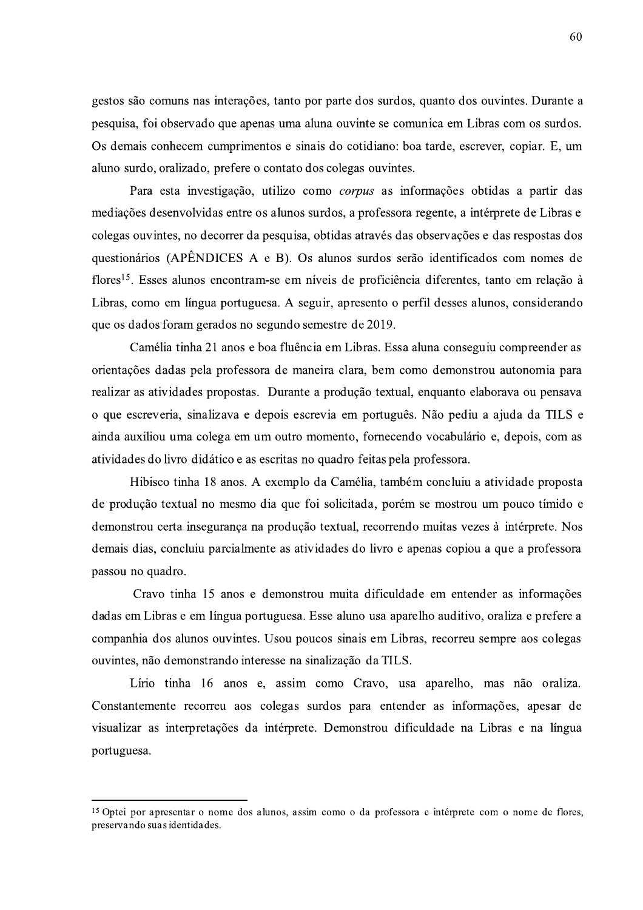gestos são comuns nas interações, tanto por parte dos surdos, quanto dos ouvintes. Durante a pesquisa, foi observado que apenas uma aluna ouvinte se comunica em Libras com os surdos. Os demais conhecem cumprimentos e sinais do cotidiano: boa tarde, escrever, copiar. E, um aluno surdo, oralizado, prefere o contato dos colegas ouvintes.

Para esta investigação, utilizo como *corpus* as informações obtidas a partir das mediações desenvolvidas entre os alunos surdos, a professora regente, a intérprete de Libras e colegas ouvintes, no decorrer da pesquisa, obtidas através das observações e das respostas dos questionários (APÊNDICES A e B). Os alunos surdos serão identificados com nomes de flores<sup>15</sup>. Esses alunos encontram-se em níveis de proficiência diferentes, tanto em relação à Libras, como em língua portuguesa. A seguir, apresento o perfil desses alunos, considerando que os dados foram gerados no segundo semestre de 2019.

Camélia tinha 21 anos e boa fluência em Libras. Essa aluna conseguiu compreender as orientações dadas pela professora de maneira clara, bem como demonstrou autonomia para realizar as atividades propostas. Durante a produção textual, enquanto elaborava ou pensava o que escreveria, sinalizava e depois escrevia em português. Não pediu a ajuda da TILS e ainda auxiliou uma colega em um outro momento, fornecendo vocabulário e, depois, com as atividades do livro didático e as escritas no quadro feitas pela professora.

Hibisco tinha 18 anos. A exemplo da Camélia, também concluiu a atividade proposta de produção textual no mesmo dia que foi solicitada, porém se mostrou um pouco tímido e demonstrou certa insegurança na produção textual, recorrendo muitas vezes à intérprete. Nos demais dias, concluiu parcialmente as atividades do livro e apenas copiou a que a professora passou no quadro.

Cravo tinha 15 anos e demonstrou muita dificuldade em entender as informações dadas em Libras e em língua portuguesa. Esse aluno usa aparelho auditivo, oraliza e prefere a companhia dos alunos ouvintes. Usou poucos sinais em Libras, recorreu sempre aos colegas ouvintes, não demonstrando interesse na sinalização da TILS.

Lírio tinha 16 anos e, assim como Cravo, usa aparelho, mas não oraliza. Constantemente recorreu aos colegas surdos para entender as informações, apesar de visualizar as interpretações da intérprete. Demonstrou dificuldade na Libras e na língua portuguesa.

<sup>&</sup>lt;sup>15</sup> Optei por apresentar o nome dos alunos, assim como o da professora e intérprete com o nome de flores, preservando suas identidades.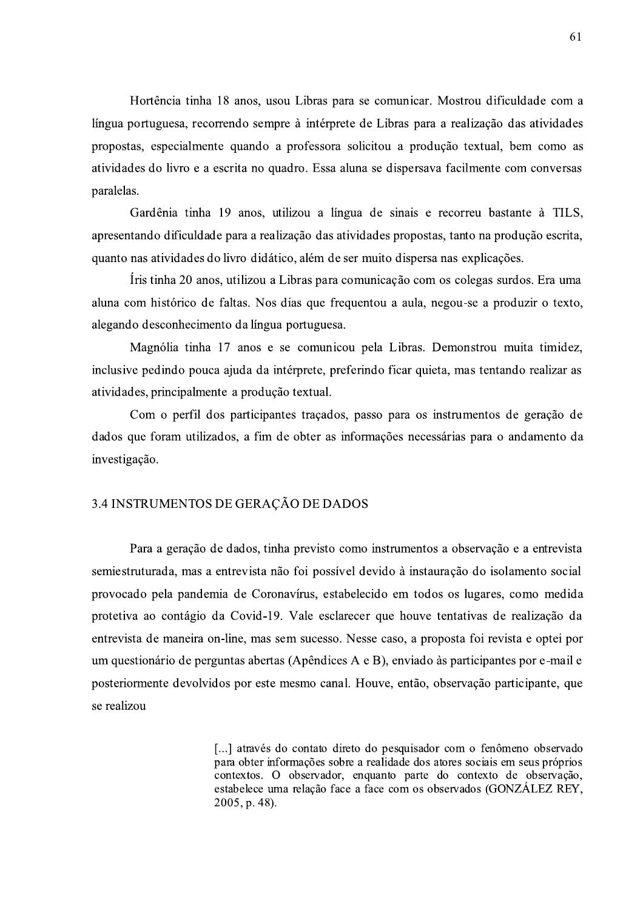Hortência tinha 18 anos, usou Libras para se comunicar. Mostrou dificuldade com a língua portuguesa, recorrendo sempre à intérprete de Libras para a realização das atividades propostas, especialmente quando a professora solicitou a produção textual, bem como as atividades do livro e a escrita no quadro. Essa aluna se dispersava facilmente com conversas paralelas.

Gardênia tinha 19 anos, utilizou a língua de sinais e recorreu bastante à TILS, apresentando dificuldade para a realização das atividades propostas, tanto na produção escrita, quanto nas atividades do livro didático, além de ser muito dispersa nas explicações.

Íris tinha 20 anos, utilizou a Libras para comunicação com os colegas surdos. Era uma aluna com histórico de faltas. Nos dias que frequentou a aula, negou-se a produzir o texto, alegando desconhecimento da língua portuguesa.

Magnólia tinha 17 anos e se comunicou pela Libras. Demonstrou muita timidez, inclusive pedindo pouca ajuda da intérprete, preferindo ficar quieta, mas tentando realizar as atividades, principalmente a produção textual.

Com o perfil dos participantes traçados, passo para os instrumentos de geração de dados que foram utilizados, a fim de obter as informações necessárias para o andamento da investigação.

### 3.4 INSTRUMENTOS DE GERAÇÃO DE DADOS

Para a geração de dados, tinha previsto como instrumentos a observação e a entrevista semiestruturada, mas a entrevista não foi possível devido à instauração do isolamento social provocado pela pandemia de Coronavírus, estabelecido em todos os lugares, como medida protetiva ao contágio da Covid-19. Vale esclarecer que houve tentativas de realização da entrevista de maneira on-line, mas sem sucesso. Nesse caso, a proposta foi revista e optei por um questionário de perguntas abertas (Apêndices A e B), enviado às participantes por e-mail e posteriormente devolvidos por este mesmo canal. Houve, então, observação participante, que se realizou

> [...] através do contato direto do pesquisador com o fenômeno observado para obter informações sobre a realidade dos atores sociais em seus próprios contextos. O observador, enquanto parte do contexto de observação, estabelece uma relação face a face com os observados (GONZÁLEZ REY, 2005, p. 48).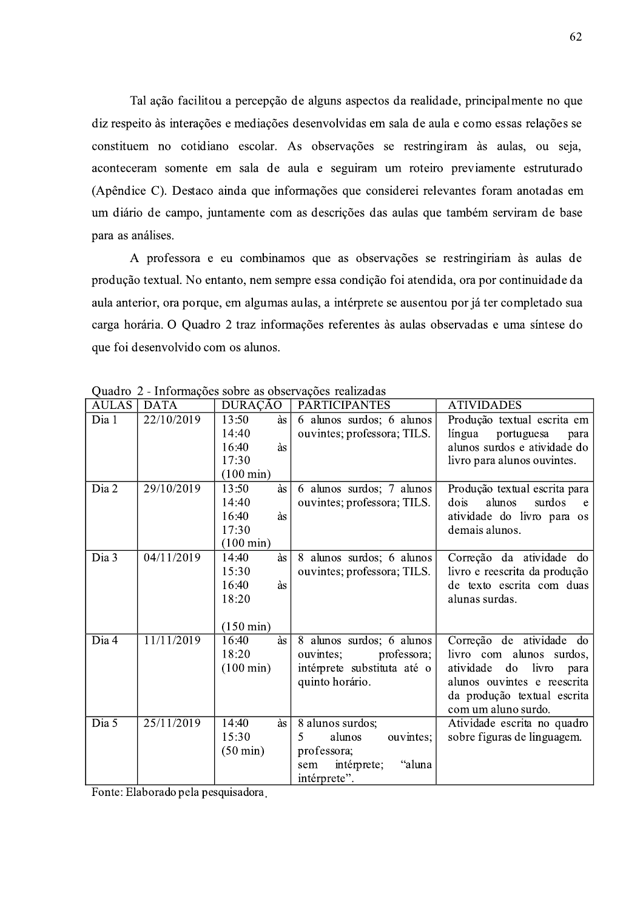Tal ação facilitou a percepção de alguns aspectos da realidade, principalmente no que diz respeito às interações e mediações desenvolvidas em sala de aula e como essas relações se constituem no cotidiano escolar. As observações se restringiram às aulas, ou seja, aconteceram somente em sala de aula e seguiram um roteiro previamente estruturado (Apêndice C). Destaco ainda que informações que considerei relevantes foram anotadas em um diário de campo, juntamente com as descrições das aulas que também serviram de base para as análises.

A professora e eu combinamos que as observações se restringiriam às aulas de produção textual. No entanto, nem sempre essa condição foi atendida, ora por continuidade da aula anterior, ora porque, em algumas aulas, a intérprete se ausentou por já ter completado sua carga horária. O Quadro 2 traz informações referentes às aulas observadas e uma síntese do que foi desenvolvido com os alunos.

| <b>AULAS</b>     | <b>DATA</b> | <b>DURAÇÃO</b>      | <b>PARTICIPANTES</b>         | <b>ATIVIDADES</b>                |
|------------------|-------------|---------------------|------------------------------|----------------------------------|
| Dia 1            | 22/10/2019  | 13:50<br>às         | 6 alunos surdos; 6 alunos    | Produção textual escrita em      |
|                  |             | 14:40               | ouvintes; professora; TILS.  | língua<br>portuguesa<br>para     |
|                  |             | às<br>16:40         |                              | alunos surdos e atividade do     |
|                  |             | 17:30               |                              | livro para alunos ouvintes.      |
|                  |             | $(100 \text{ min})$ |                              |                                  |
| Dia 2            | 29/10/2019  | 13:50<br>às         | 6 alunos surdos; 7 alunos    | Produção textual escrita para    |
|                  |             | 14:40               | ouvintes; professora; TILS.  | dois<br>alunos<br>surdos<br>e    |
|                  |             | às<br>16:40         |                              | atividade do livro para os       |
|                  |             | 17:30               |                              | demais alunos.                   |
|                  |             | $(100 \text{ min})$ |                              |                                  |
| Dia 3            | 04/11/2019  | 14:40<br>às         | 8 alunos surdos; 6 alunos    | Correção da atividade do         |
|                  |             | 15:30               | ouvintes; professora; TILS.  | livro e reescrita da produção    |
|                  |             | às<br>16:40         |                              | de texto escrita com duas        |
|                  |             | 18:20               |                              | alunas surdas.                   |
|                  |             |                     |                              |                                  |
|                  |             | $(150 \text{ min})$ |                              |                                  |
| Dia 4            | 11/11/2019  | 16:40<br>às         | 8 alunos surdos; 6 alunos    | Correção de atividade do         |
|                  |             | 18:20               | ouvintes;<br>professora;     | livro com alunos surdos,         |
|                  |             | $(100 \text{ min})$ | intérprete substituta até o  | atividade<br>do<br>livro<br>para |
|                  |             |                     | quinto horário.              | alunos ouvintes e reescrita      |
|                  |             |                     |                              | da produção textual escrita      |
|                  |             |                     |                              | com um aluno surdo.              |
| Dia <sub>5</sub> | 25/11/2019  | 14:40<br>às         | 8 alunos surdos;             | Atividade escrita no quadro      |
|                  |             | 15:30               | alunos<br>ouvintes;<br>5     | sobre figuras de linguagem.      |
|                  |             | $(50 \text{ min})$  | professora;                  |                                  |
|                  |             |                     | intérprete;<br>"aluna<br>sem |                                  |
|                  |             |                     | intérprete".                 |                                  |

Quadro 2 - Informações sobre as observações realizadas

Fonte: Elaborado pela pesquisadora.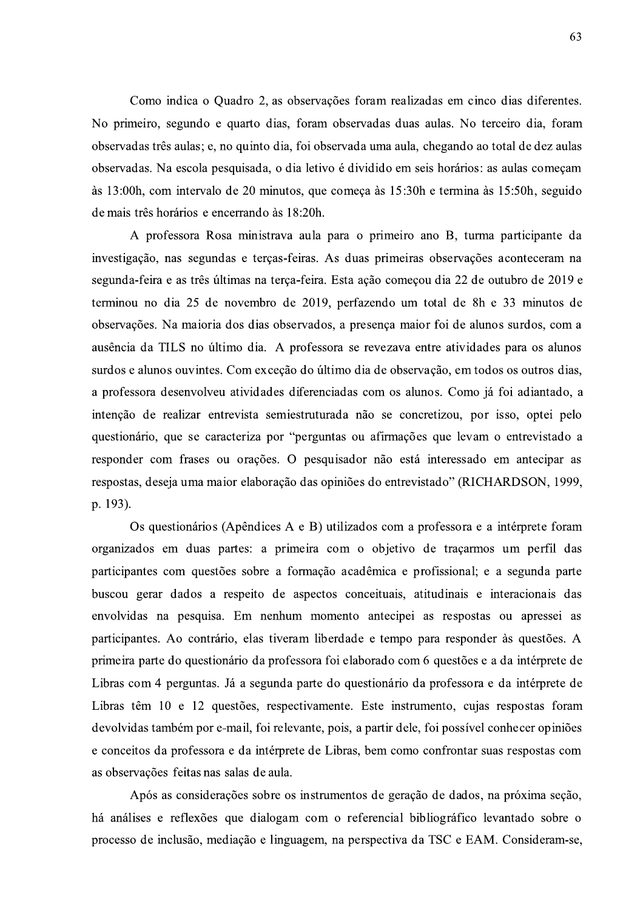Como indica o Quadro 2, as observações foram realizadas em cinco dias diferentes. No primeiro, segundo e quarto dias, foram observadas duas aulas. No terceiro dia, foram observadas três aulas; e, no quinto dia, foi observada uma aula, chegando ao total de dez aulas observadas. Na escola pesquisada, o dia letivo é dividido em seis horários: as aulas começam às 13:00h, com intervalo de 20 minutos, que começa às 15:30h e termina às 15:50h, seguido de mais três horários e encerrando às 18:20h.

A professora Rosa ministrava aula para o primeiro ano B, turma participante da investigação, nas segundas e terças-feiras. As duas primeiras observações aconteceram na segunda-feira e as três últimas na terça-feira. Esta ação começou dia 22 de outubro de 2019 e terminou no dia 25 de novembro de 2019, perfazendo um total de 8h e 33 minutos de observações. Na maioria dos dias observados, a presença maior foi de alunos surdos, com a ausência da TILS no último dia. A professora se revezava entre atividades para os alunos surdos e alunos ouvintes. Com exceção do último dia de observação, em todos os outros dias, a professora desenvolveu atividades diferenciadas com os alunos. Como já foi adiantado, a intenção de realizar entrevista semiestruturada não se concretizou, por isso, optei pelo questionário, que se caracteriza por "perguntas ou afirmações que levam o entrevistado a responder com frases ou orações. O pesquisador não está interessado em antecipar as respostas, deseja uma maior elaboração das opiniões do entrevistado" (RICHARDSON, 1999, p. 193).

Os questionários (Apêndices A e B) utilizados com a professora e a intérprete foram organizados em duas partes: a primeira com o objetivo de traçarmos um perfil das participantes com questões sobre a formação acadêmica e profissional; e a segunda parte buscou gerar dados a respeito de aspectos conceituais, atitudinais e interacionais das envolvidas na pesquisa. Em nenhum momento antecipei as respostas ou apressei as participantes. Ao contrário, elas tiveram liberdade e tempo para responder às questões. A primeira parte do questionário da professora foi elaborado com 6 questões e a da intérprete de Libras com 4 perguntas. Já a segunda parte do questionário da professora e da intérprete de Libras têm 10 e 12 questões, respectivamente. Este instrumento, cujas respostas foram devolvidas também por e-mail, foi relevante, pois, a partir dele, foi possível conhecer opiniões e conceitos da professora e da intérprete de Libras, bem como confrontar suas respostas com as observações feitas nas salas de aula.

Após as considerações sobre os instrumentos de geração de dados, na próxima seção, há análises e reflexões que dialogam com o referencial bibliográfico levantado sobre o processo de inclusão, mediação e linguagem, na perspectiva da TSC e EAM. Consideram-se,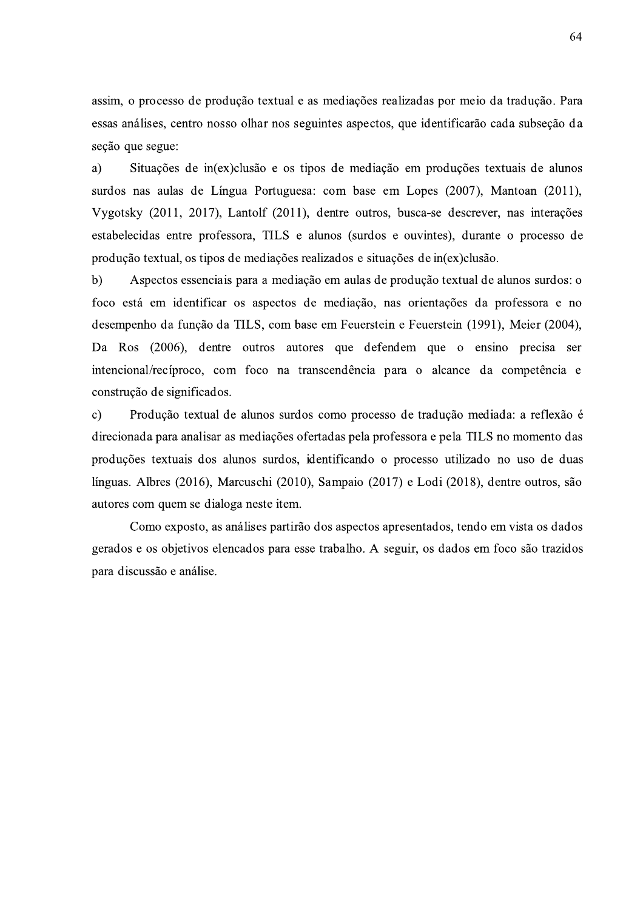assim, o processo de produção textual e as mediações realizadas por meio da tradução. Para essas análises, centro nosso olhar nos seguintes aspectos, que identificarão cada subseção da seção que segue:

Situações de in(ex)clusão e os tipos de mediação em produções textuais de alunos a) surdos nas aulas de Língua Portuguesa: com base em Lopes (2007), Mantoan (2011), Vygotsky (2011, 2017), Lantolf (2011), dentre outros, busca-se descrever, nas interações estabelecidas entre professora, TILS e alunos (surdos e ouvintes), durante o processo de produção textual, os tipos de mediações realizados e situações de in(ex)clusão.

 $b)$ Aspectos essenciais para a mediação em aulas de produção textual de alunos surdos: o foco está em identificar os aspectos de mediação, nas orientações da professora e no desempenho da função da TILS, com base em Feuerstein e Feuerstein (1991), Meier (2004), Da Ros (2006), dentre outros autores que defendem que o ensino precisa ser intencional/recíproco, com foco na transcendência para o alcance da competência e construção de significados.

Produção textual de alunos surdos como processo de tradução mediada: a reflexão é  $\mathbf{c}$ direcionada para analisar as mediações ofertadas pela professora e pela TILS no momento das produções textuais dos alunos surdos, identificando o processo utilizado no uso de duas línguas. Albres (2016), Marcuschi (2010), Sampaio (2017) e Lodi (2018), dentre outros, são autores com quem se dialoga neste item.

Como exposto, as análises partirão dos aspectos apresentados, tendo em vista os dados gerados e os objetivos elencados para esse trabalho. A seguir, os dados em foco são trazidos para discussão e análise.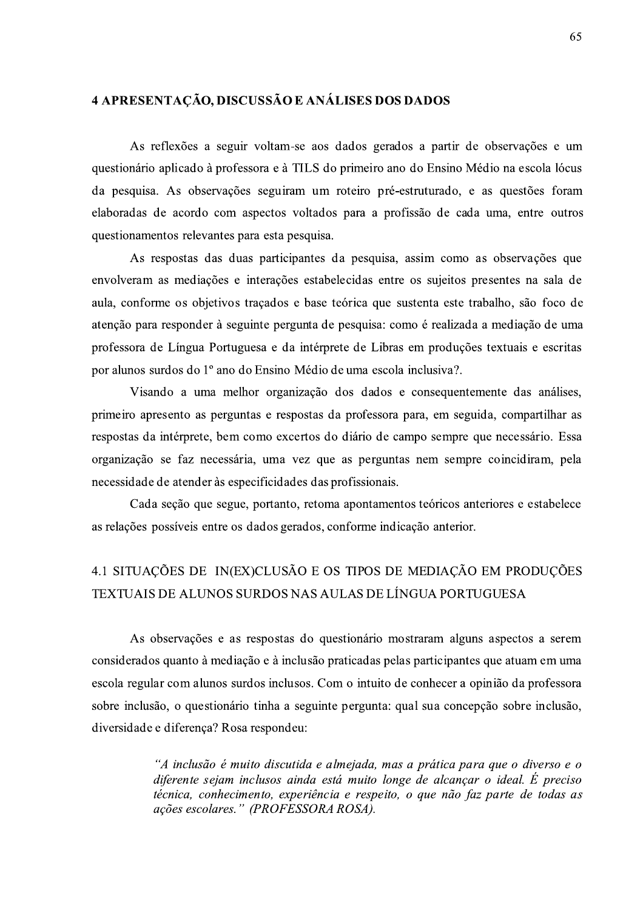#### 4 APRESENTAÇÃO, DISCUSSÃO E ANÁLISES DOS DADOS

As reflexões a seguir voltam-se aos dados gerados a partir de observações e um questionário aplicado à professora e à TILS do primeiro ano do Ensino Médio na escola lócus da pesquisa. As observações seguiram um roteiro pré-estruturado, e as questões foram elaboradas de acordo com aspectos voltados para a profissão de cada uma, entre outros questionamentos relevantes para esta pesquisa.

As respostas das duas participantes da pesquisa, assim como as observações que envolveram as mediações e interações estabelecidas entre os sujeitos presentes na sala de aula, conforme os objetivos traçados e base teórica que sustenta este trabalho, são foco de atenção para responder à seguinte pergunta de pesquisa: como é realizada a mediação de uma professora de Língua Portuguesa e da intérprete de Libras em produções textuais e escritas por alunos surdos do 1º ano do Ensino Médio de uma escola inclusiva?.

Visando a uma melhor organização dos dados e consequentemente das análises, primeiro apresento as perguntas e respostas da professora para, em seguida, compartilhar as respostas da intérprete, bem como excertos do diário de campo sempre que necessário. Essa organização se faz necessária, uma vez que as perguntas nem sempre coincidiram, pela necessidade de atender às especificidades das profissionais.

Cada seção que segue, portanto, retoma apontamentos teóricos anteriores e estabelece as relações possíveis entre os dados gerados, conforme indicação anterior.

# 4.1 SITUAÇÕES DE IN(EX)CLUSÃO E OS TIPOS DE MEDIAÇÃO EM PRODUÇÕES TEXTUAIS DE ALUNOS SURDOS NAS AULAS DE LÍNGUA PORTUGUESA

As observações e as respostas do questionário mostraram alguns aspectos a serem considerados quanto à mediação e à inclusão praticadas pelas participantes que atuam em uma escola regular com alunos surdos inclusos. Com o intuito de conhecer a opinião da professora sobre inclusão, o questionário tinha a seguinte pergunta: qual sua concepção sobre inclusão, diversidade e diferença? Rosa respondeu:

> "A inclusão é muito discutida e almejada, mas a prática para que o diverso e o diferente sejam inclusos ainda está muito longe de alcancar o ideal. É preciso técnica, conhecimento, experiência e respeito, o que não faz parte de todas as ações escolares." (PROFESSORA ROSA).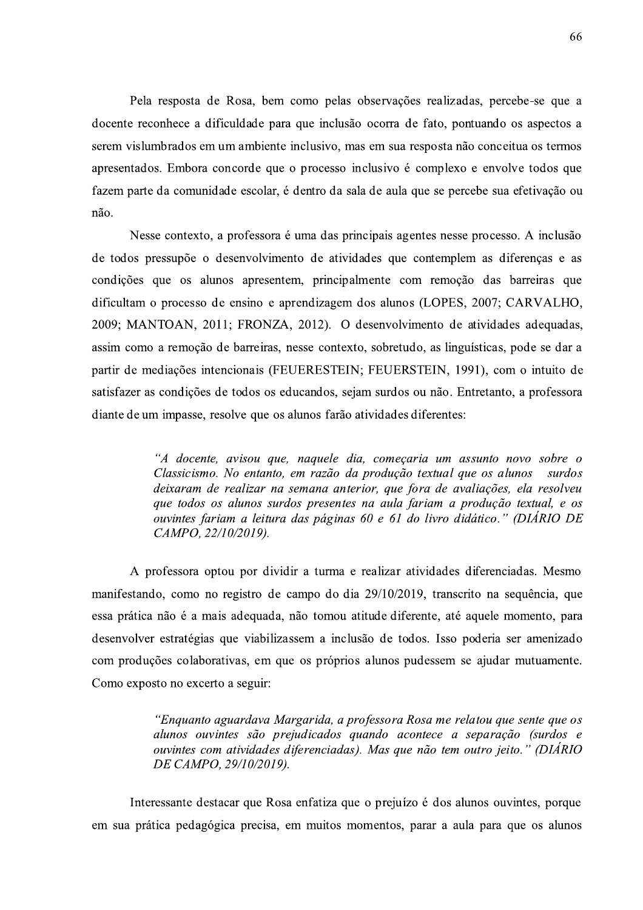Pela resposta de Rosa, bem como pelas observações realizadas, percebe-se que a docente reconhece a dificuldade para que inclusão ocorra de fato, pontuando os aspectos a serem vislumbrados em um ambiente inclusivo, mas em sua resposta não conceitua os termos apresentados. Embora concorde que o processo inclusivo é complexo e envolve todos que fazem parte da comunidade escolar, é dentro da sala de aula que se percebe sua efetivação ou não.

Nesse contexto, a professora é uma das principais agentes nesse processo. A inclusão de todos pressupõe o desenvolvimento de atividades que contemplem as diferenças e as condições que os alunos apresentem, principalmente com remoção das barreiras que dificultam o processo de ensino e aprendizagem dos alunos (LOPES, 2007; CARVALHO, 2009; MANTOAN, 2011; FRONZA, 2012). O desenvolvimento de atividades adequadas, assim como a remoção de barreiras, nesse contexto, sobretudo, as linguísticas, pode se dar a partir de mediações intencionais (FEUERESTEIN; FEUERSTEIN, 1991), com o intuito de satisfazer as condições de todos os educandos, sejam surdos ou não. Entretanto, a professora diante de um impasse, resolve que os alunos farão atividades diferentes:

> "A docente, avisou que, naquele dia, começaria um assunto novo sobre o Classicismo. No entanto, em razão da produção textual que os alunos surdos deixaram de realizar na semana anterior, que fora de avaliações, ela resolveu que todos os alunos surdos presentes na aula fariam a produção textual, e os ouvintes fariam a leitura das páginas 60 e 61 do livro didático." (DIÁRIO DE CAMPO, 22/10/2019).

A professora optou por dividir a turma e realizar atividades diferenciadas. Mesmo manifestando, como no registro de campo do dia 29/10/2019, transcrito na sequência, que essa prática não é a mais adequada, não tomou atitude diferente, até aquele momento, para desenvolver estratégias que viabilizassem a inclusão de todos. Isso poderia ser amenizado com produções colaborativas, em que os próprios alunos pudessem se ajudar mutuamente. Como exposto no excerto a seguir:

> "Enquanto aguardava Margarida, a professora Rosa me relatou que sente que os alunos ouvintes são prejudicados quando acontece a separação (surdos e ouvintes com atividades diferenciadas). Mas que não tem outro jeito." (DIÁRIO DE CAMPO, 29/10/2019).

Interessante destacar que Rosa enfatiza que o prejuízo é dos alunos ouvintes, porque em sua prática pedagógica precisa, em muitos momentos, parar a aula para que os alunos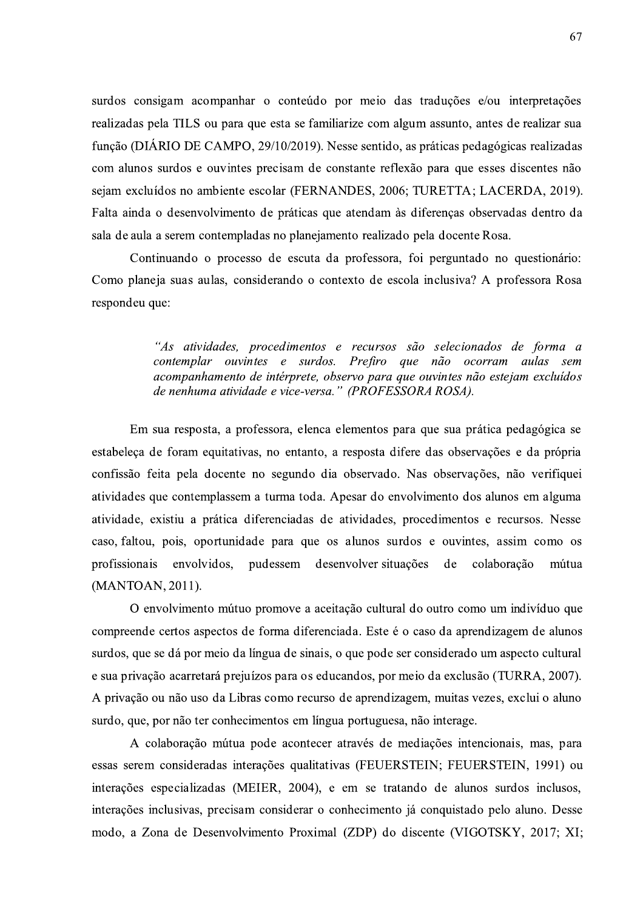surdos consigam acompanhar o conteúdo por meio das traduções e/ou interpretações realizadas pela TILS ou para que esta se familiarize com algum assunto, antes de realizar sua função (DIÁRIO DE CAMPO, 29/10/2019). Nesse sentido, as práticas pedagógicas realizadas com alunos surdos e ouvintes precisam de constante reflexão para que esses discentes não sejam excluídos no ambiente escolar (FERNANDES, 2006; TURETTA; LACERDA, 2019). Falta ainda o desenvolvimento de práticas que atendam às diferenças observadas dentro da sala de aula a serem contempladas no planejamento realizado pela docente Rosa.

Continuando o processo de escuta da professora, foi perguntado no questionário: Como planeja suas aulas, considerando o contexto de escola inclusiva? A professora Rosa respondeu que:

> "As atividades, procedimentos e recursos são selecionados de forma a contemplar ouvintes e surdos. Prefiro que não ocorram aulas sem acompanhamento de intérprete, observo para que ouvintes não estejam excluídos de nenhuma atividade e vice-versa." (PROFESSORA ROSA).

Em sua resposta, a professora, elenca elementos para que sua prática pedagógica se estabeleca de foram equitativas, no entanto, a resposta difere das observações e da própria confissão feita pela docente no segundo dia observado. Nas observações, não verifiquei atividades que contemplassem a turma toda. Apesar do envolvimento dos alunos em alguma atividade, existiu a prática diferenciadas de atividades, procedimentos e recursos. Nesse caso, faltou, pois, oportunidade para que os alunos surdos e ouvintes, assim como os profissionais envolvidos. pudessem desenvolver situações de colaboração mútua (MANTOAN, 2011).

O envolvimento mútuo promove a aceitação cultural do outro como um indivíduo que compreende certos aspectos de forma diferenciada. Este é o caso da aprendizagem de alunos surdos, que se dá por meio da língua de sinais, o que pode ser considerado um aspecto cultural e sua privação acarretará prejuízos para os educandos, por meio da exclusão (TURRA, 2007). A privação ou não uso da Libras como recurso de aprendizagem, muitas vezes, exclui o aluno surdo, que, por não ter conhecimentos em língua portuguesa, não interage.

A colaboração mútua pode acontecer através de mediações intencionais, mas, para essas serem consideradas interações qualitativas (FEUERSTEIN; FEUERSTEIN, 1991) ou interações especializadas (MEIER, 2004), e em se tratando de alunos surdos inclusos, interações inclusivas, precisam considerar o conhecimento já conquistado pelo aluno. Desse modo, a Zona de Desenvolvimento Proximal (ZDP) do discente (VIGOTSKY, 2017; XI;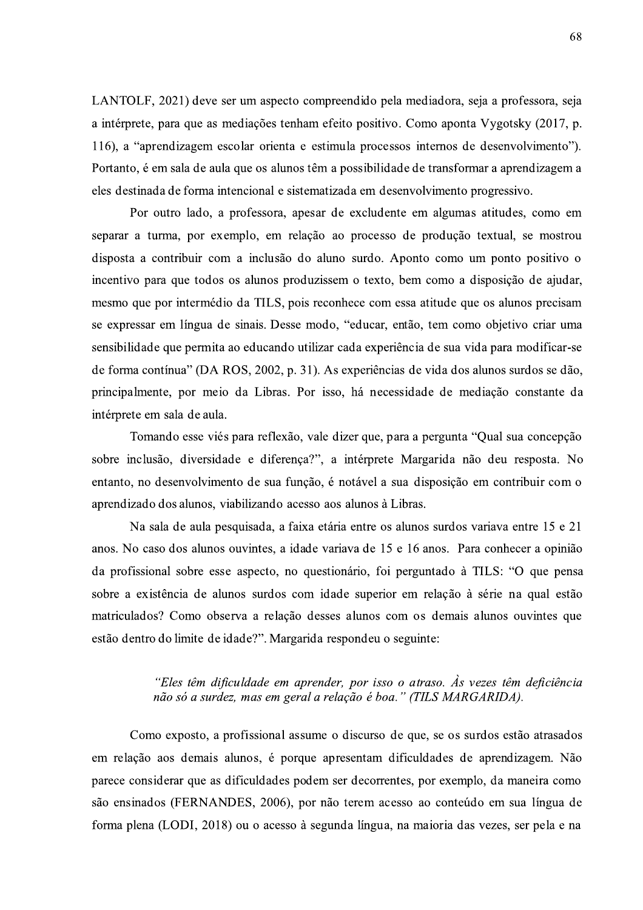LANTOLF, 2021) deve ser um aspecto compreendido pela mediadora, seja a professora, seja a intérprete, para que as mediações tenham efeito positivo. Como aponta Vygotsky (2017, p. 116), a "aprendizagem escolar orienta e estimula processos internos de desenvolvimento"). Portanto, é em sala de aula que os alunos têm a possibilidade de transformar a aprendizagem a eles destinada de forma intencional e sistematizada em desenvolvimento progressivo.

Por outro lado, a professora, apesar de excludente em algumas atitudes, como em separar a turma, por exemplo, em relação ao processo de produção textual, se mostrou disposta a contribuir com a inclusão do aluno surdo. Aponto como um ponto positivo o incentivo para que todos os alunos produzissem o texto, bem como a disposição de ajudar, mesmo que por intermédio da TILS, pois reconhece com essa atitude que os alunos precisam se expressar em língua de sinais. Desse modo, "educar, então, tem como objetivo criar uma sensibilidade que permita ao educando utilizar cada experiência de sua vida para modificar-se de forma contínua" (DA ROS, 2002, p. 31). As experiências de vida dos alunos surdos se dão, principalmente, por meio da Libras. Por isso, há necessidade de mediação constante da intérprete em sala de aula.

Tomando esse viés para reflexão, vale dizer que, para a pergunta "Qual sua concepção sobre inclusão, diversidade e diferença?", a intérprete Margarida não deu resposta. No entanto, no desenvolvimento de sua função, é notável a sua disposição em contribuir com o aprendizado dos alunos, viabilizando acesso aos alunos à Libras.

Na sala de aula pesquisada, a faixa etária entre os alunos surdos variava entre 15 e 21 anos. No caso dos alunos ouvintes, a idade variava de 15 e 16 anos. Para conhecer a opinião da profissional sobre esse aspecto, no questionário, foi perguntado à TILS: "O que pensa sobre a existência de alunos surdos com idade superior em relação à série na qual estão matriculados? Como observa a relação desses alunos com os demais alunos ouvintes que estão dentro do limite de idade?". Margarida respondeu o seguinte:

## "Eles têm dificuldade em aprender, por isso o atraso. Às vezes têm deficiência não só a surdez, mas em geral a relação é boa." (TILS MARGARIDA).

Como exposto, a profissional assume o discurso de que, se os surdos estão atrasados em relação aos demais alunos, é porque apresentam dificuldades de aprendizagem. Não parece considerar que as dificuldades podem ser decorrentes, por exemplo, da maneira como são ensinados (FERNANDES, 2006), por não terem acesso ao conteúdo em sua língua de forma plena (LODI, 2018) ou o acesso à segunda língua, na maioria das vezes, ser pela e na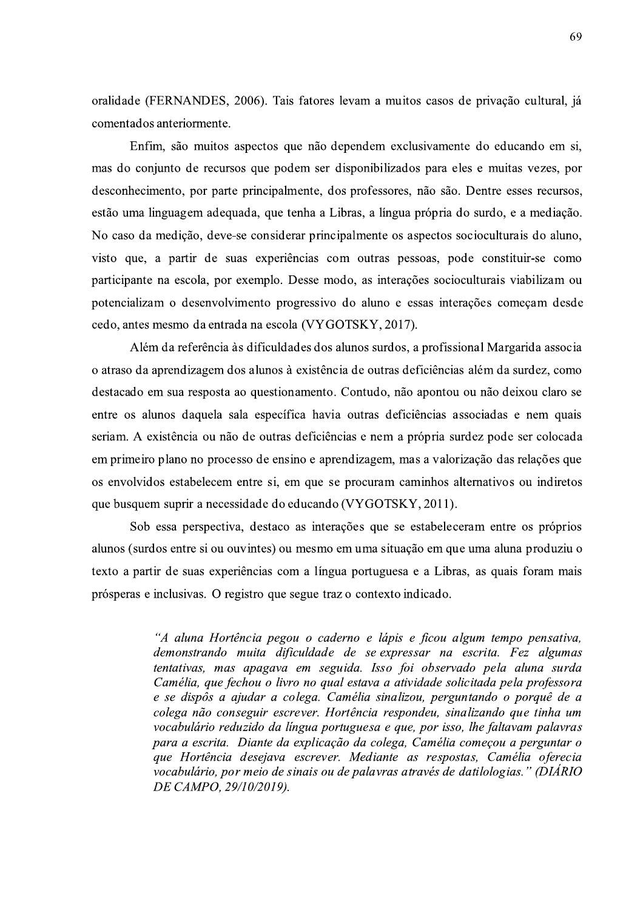oralidade (FERNANDES, 2006). Tais fatores levam a muitos casos de privação cultural, já comentados anteriormente.

Enfim, são muitos aspectos que não dependem exclusivamente do educando em si, mas do conjunto de recursos que podem ser disponibilizados para eles e muitas vezes, por desconhecimento, por parte principalmente, dos professores, não são. Dentre esses recursos, estão uma linguagem adequada, que tenha a Libras, a língua própria do surdo, e a mediação. No caso da medição, deve-se considerar principalmente os aspectos socioculturais do aluno, visto que, a partir de suas experiências com outras pessoas, pode constituir-se como participante na escola, por exemplo. Desse modo, as interações socioculturais viabilizam ou potencializam o desenvolvimento progressivo do aluno e essas interações começam desde cedo, antes mesmo da entrada na escola (VYGOTSKY, 2017).

Além da referência às dificuldades dos alunos surdos, a profissional Margarida associa o atraso da aprendizagem dos alunos à existência de outras deficiências além da surdez, como destacado em sua resposta ao questionamento. Contudo, não apontou ou não deixou claro se entre os alunos daquela sala específica havia outras deficiências associadas e nem quais seriam. A existência ou não de outras deficiências e nem a própria surdez pode ser colocada em primeiro plano no processo de ensino e aprendizagem, mas a valorização das relações que os envolvidos estabelecem entre si, em que se procuram caminhos alternativos ou indiretos que busquem suprir a necessidade do educando (VYGOTSKY, 2011).

Sob essa perspectiva, destaco as interações que se estabeleceram entre os próprios alunos (surdos entre si ou ouvintes) ou mesmo em uma situação em que uma aluna produziu o texto a partir de suas experiências com a língua portuguesa e a Libras, as quais foram mais prósperas e inclusivas. O registro que segue traz o contexto indicado.

> "A aluna Hortência pegou o caderno e lápis e ficou algum tempo pensativa, demonstrando muita dificuldade de se expressar na escrita. Fez algumas tentativas, mas apagava em seguida. Isso foi observado pela aluna surda Camélia, que fechou o livro no qual estava a atividade solicitada pela professora e se dispôs a ajudar a colega. Camélia sinalizou, perguntando o porquê de a colega não conseguir escrever. Hortência respondeu, sinalizando que tinha um vocabulário reduzido da língua portuguesa e que, por isso, lhe faltavam palavras para a escrita. Diante da explicação da colega, Camélia começou a perguntar o que Hortência desejava escrever. Mediante as respostas, Camélia oferecia vocabulário, por meio de sinais ou de palavras através de datilologias." (DIÁRIO DE CAMPO, 29/10/2019).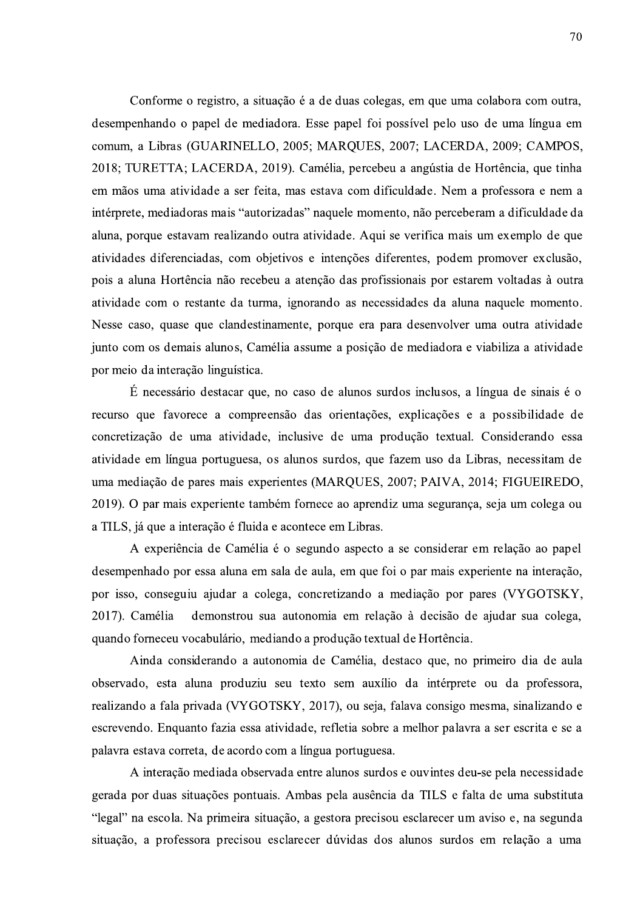Conforme o registro, a situação é a de duas colegas, em que uma colabora com outra, desempenhando o papel de mediadora. Esse papel foi possível pelo uso de uma língua em comum, a Libras (GUARINELLO, 2005; MARQUES, 2007; LACERDA, 2009; CAMPOS, 2018; TURETTA; LACERDA, 2019). Camélia, percebeu a angústia de Hortência, que tinha em mãos uma atividade a ser feita, mas estava com dificuldade. Nem a professora e nem a intérprete, mediadoras mais "autorizadas" naquele momento, não perceberam a dificuldade da aluna, porque estavam realizando outra atividade. Aqui se verifica mais um exemplo de que atividades diferenciadas, com objetivos e intenções diferentes, podem promover exclusão, pois a aluna Hortência não recebeu a atenção das profissionais por estarem voltadas à outra atividade com o restante da turma, ignorando as necessidades da aluna naquele momento. Nesse caso, quase que clandestinamente, porque era para desenvolver uma outra atividade junto com os demais alunos, Camélia assume a posição de mediadora e viabiliza a atividade por meio da interação linguística.

É necessário destacar que, no caso de alunos surdos inclusos, a língua de sinais é o recurso que favorece a compreensão das orientações, explicações e a possibilidade de concretização de uma atividade, inclusive de uma produção textual. Considerando essa atividade em língua portuguesa, os alunos surdos, que fazem uso da Libras, necessitam de uma mediação de pares mais experientes (MARQUES, 2007; PAIVA, 2014; FIGUEIREDO, 2019). O par mais experiente também fornece ao aprendiz uma segurança, seja um colega ou a TILS, já que a interação é fluida e acontece em Libras.

A experiência de Camélia é o segundo aspecto a se considerar em relação ao papel desempenhado por essa aluna em sala de aula, em que foi o par mais experiente na interação, por isso, conseguiu ajudar a colega, concretizando a mediação por pares (VYGOTSKY, 2017). Camélia demonstrou sua autonomia em relação à decisão de ajudar sua colega, quando forneceu vocabulário, mediando a produção textual de Hortência.

Ainda considerando a autonomia de Camélia, destaco que, no primeiro dia de aula observado, esta aluna produziu seu texto sem auxílio da intérprete ou da professora, realizando a fala privada (VYGOTSKY, 2017), ou seja, falava consigo mesma, sinalizando e escrevendo. Enquanto fazia essa atividade, refletia sobre a melhor palavra a ser escrita e se a palavra estava correta, de acordo com a língua portuguesa.

A interação mediada observada entre alunos surdos e ouvintes deu-se pela necessidade gerada por duas situações pontuais. Ambas pela ausência da TILS e falta de uma substituta "legal" na escola. Na primeira situação, a gestora precisou esclarecer um aviso e, na segunda situação, a professora precisou esclarecer dúvidas dos alunos surdos em relação a uma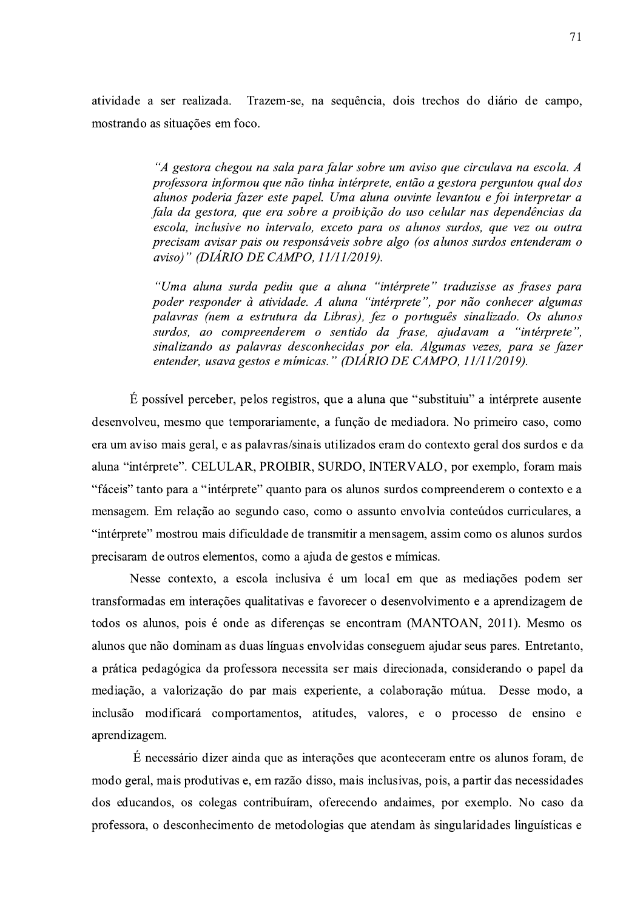atividade a ser realizada. Trazem-se, na sequência, dois trechos do diário de campo, mostrando as situações em foco.

> "A gestora chegou na sala para falar sobre um aviso que circulava na escola. A professora informou que não tinha intérprete, então a gestora perguntou qual dos alunos poderia fazer este papel. Uma aluna ouvinte levantou e foi interpretar a fala da gestora, que era sobre a proibição do uso celular nas dependências da escola, inclusive no intervalo, exceto para os alunos surdos, que vez ou outra precisam avisar pais ou responsáveis sobre algo (os alunos surdos entenderam o aviso)" (DIÁRIO DE CAMPO, 11/11/2019).

> "Uma aluna surda pediu que a aluna "intérprete" traduzisse as frases para poder responder à atividade. A aluna "intérprete", por não conhecer algumas palavras (nem a estrutura da Libras), fez o português sinalizado. Os alunos surdos, ao compreenderem o sentido da frase, ajudavam a "intérprete", sinalizando as palavras desconhecidas por ela. Algumas vezes, para se fazer entender, usava gestos e mímicas." (DIÁRIO DE CAMPO, 11/11/2019).

É possível perceber, pelos registros, que a aluna que "substituiu" a intérprete ausente desenvolveu, mesmo que temporariamente, a função de mediadora. No primeiro caso, como era um aviso mais geral, e as palavras/sinais utilizados eram do contexto geral dos surdos e da aluna "intérprete". CELULAR, PROIBIR, SURDO, INTERVALO, por exemplo, foram mais "fáceis" tanto para a "intérprete" quanto para os alunos surdos compreenderem o contexto e a mensagem. Em relação ao segundo caso, como o assunto envolvia conteúdos curriculares, a "intérprete" mostrou mais dificuldade de transmitir a mensagem, assim como os alunos surdos precisaram de outros elementos, como a ajuda de gestos e mímicas.

Nesse contexto, a escola inclusiva é um local em que as mediações podem ser transformadas em interações qualitativas e favorecer o desenvolvimento e a aprendizagem de todos os alunos, pois é onde as diferenças se encontram (MANTOAN, 2011). Mesmo os alunos que não dominam as duas línguas envolvidas conseguem ajudar seus pares. Entretanto, a prática pedagógica da professora necessita ser mais direcionada, considerando o papel da mediação, a valorização do par mais experiente, a colaboração mútua. Desse modo, a inclusão modificará comportamentos, atitudes, valores, e o processo de ensino e aprendizagem.

É necessário dizer ainda que as interações que aconteceram entre os alunos foram, de modo geral, mais produtivas e, em razão disso, mais inclusivas, pois, a partir das necessidades dos educandos, os colegas contribuíram, oferecendo andaimes, por exemplo. No caso da professora, o desconhecimento de metodologias que atendam às singularidades linguísticas e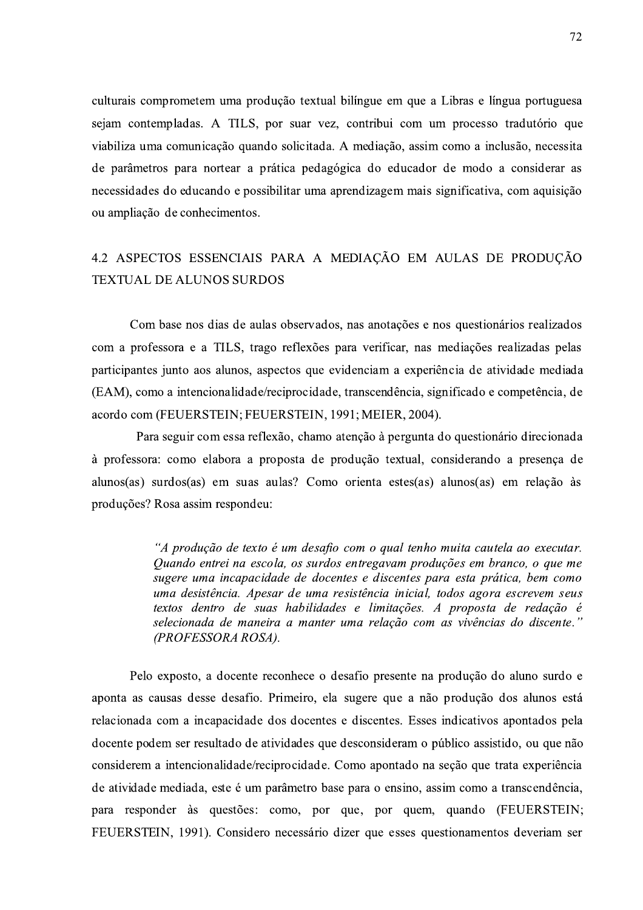culturais comprometem uma produção textual bilíngue em que a Libras e língua portuguesa sejam contempladas. A TILS, por suar vez, contribui com um processo tradutório que viabiliza uma comunicação quando solicitada. A mediação, assim como a inclusão, necessita de parâmetros para nortear a prática pedagógica do educador de modo a considerar as necessidades do educando e possibilitar uma aprendizagem mais significativa, com aquisição ou ampliação de conhecimentos.

# 4.2 ASPECTOS ESSENCIAIS PARA A MEDIAÇÃO EM AULAS DE PRODUÇÃO **TEXTUAL DE ALUNOS SURDOS**

Com base nos dias de aulas observados, nas anotações e nos questionários realizados com a professora e a TILS, trago reflexões para verificar, nas mediações realizadas pelas participantes junto aos alunos, aspectos que evidenciam a experiência de atividade mediada (EAM), como a intencionalidade/reciprocidade, transcendência, significado e competência, de acordo com (FEUERSTEIN; FEUERSTEIN, 1991; MEIER, 2004).

Para seguir com essa reflexão, chamo atenção à pergunta do questionário direcionada à professora: como elabora a proposta de produção textual, considerando a presença de alunos(as) surdos(as) em suas aulas? Como orienta estes(as) alunos(as) em relação às produções? Rosa assim respondeu:

> "A produção de texto é um desafio com o qual tenho muita cautela ao executar. Quando entrei na escola, os surdos entregavam produções em branco, o que me sugere uma incapacidade de docentes e discentes para esta prática, bem como uma desistência. Apesar de uma resistência inicial, todos agora escrevem seus textos dentro de suas habilidades e limitações. A proposta de redação é selecionada de maneira a manter uma relação com as vivências do discente." (PROFESSORA ROSA).

Pelo exposto, a docente reconhece o desafio presente na produção do aluno surdo e aponta as causas desse desafio. Primeiro, ela sugere que a não produção dos alunos está relacionada com a incapacidade dos docentes e discentes. Esses indicativos apontados pela docente podem ser resultado de atividades que desconsideram o público assistido, ou que não considerem a intencionalidade/reciprocidade. Como apontado na seção que trata experiência de atividade mediada, este é um parâmetro base para o ensino, assim como a transcendência, para responder às questões: como, por que, por quem, quando (FEUERSTEIN; FEUERSTEIN, 1991). Considero necessário dizer que esses questionamentos deveriam ser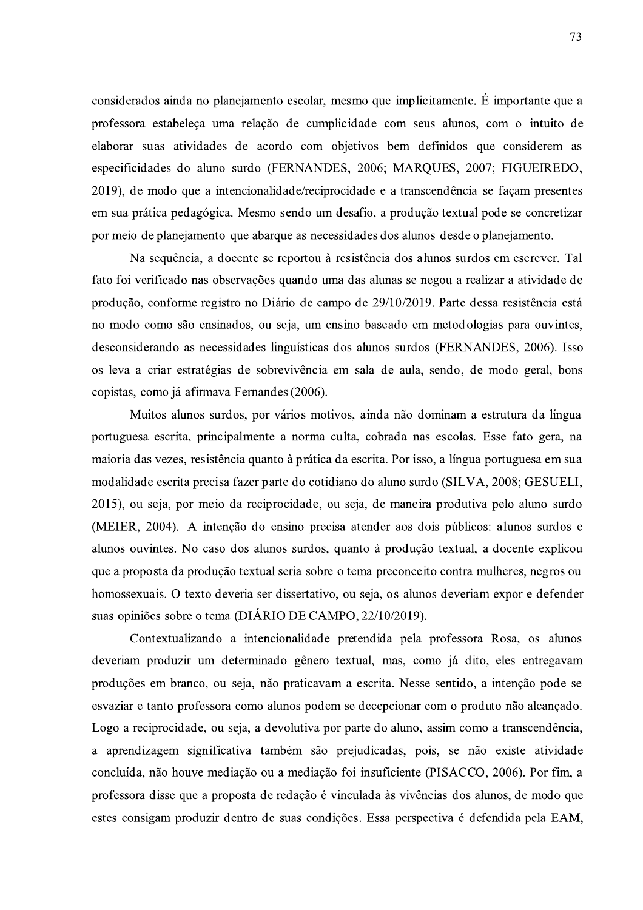considerados ainda no planejamento escolar, mesmo que implicitamente. É importante que a professora estabeleça uma relação de cumplicidade com seus alunos, com o intuito de elaborar suas atividades de acordo com objetivos bem definidos que considerem as especificidades do aluno surdo (FERNANDES, 2006; MARQUES, 2007; FIGUEIREDO, 2019), de modo que a intencionalidade/reciprocidade e a transcendência se façam presentes em sua prática pedagógica. Mesmo sendo um desafio, a produção textual pode se concretizar por meio de planejamento que abarque as necessidades dos alunos desde o planejamento.

Na sequência, a docente se reportou à resistência dos alunos surdos em escrever. Tal fato foi verificado nas observações quando uma das alunas se negou a realizar a atividade de produção, conforme registro no Diário de campo de 29/10/2019. Parte dessa resistência está no modo como são ensinados, ou seja, um ensino baseado em metodologias para ouvintes, desconsiderando as necessidades linguísticas dos alunos surdos (FERNANDES, 2006). Isso os leva a criar estratégias de sobrevivência em sala de aula, sendo, de modo geral, bons copistas, como já afirmava Fernandes (2006).

Muitos alunos surdos, por vários motivos, ainda não dominam a estrutura da língua portuguesa escrita, principalmente a norma culta, cobrada nas escolas. Esse fato gera, na maioria das vezes, resistência quanto à prática da escrita. Por isso, a língua portuguesa em sua modalidade escrita precisa fazer parte do cotidiano do aluno surdo (SILVA, 2008; GESUELI, 2015), ou seja, por meio da reciprocidade, ou seja, de maneira produtiva pelo aluno surdo (MEIER, 2004). A intenção do ensino precisa atender aos dois públicos: alunos surdos e alunos ouvintes. No caso dos alunos surdos, quanto à produção textual, a docente explicou que a proposta da produção textual seria sobre o tema preconceito contra mulheres, negros ou homossexuais. O texto deveria ser dissertativo, ou seja, os alunos deveriam expor e defender suas opiniões sobre o tema (DIÁRIO DE CAMPO, 22/10/2019).

Contextualizando a intencionalidade pretendida pela professora Rosa, os alunos deveriam produzir um determinado gênero textual, mas, como já dito, eles entregavam produções em branco, ou seja, não praticavam a escrita. Nesse sentido, a intenção pode se esvaziar e tanto professora como alunos podem se decepcionar com o produto não alcancado. Logo a reciprocidade, ou seja, a devolutiva por parte do aluno, assim como a transcendência, a aprendizagem significativa também são prejudicadas, pois, se não existe atividade concluída, não houve mediação ou a mediação foi insuficiente (PISACCO, 2006). Por fim, a professora disse que a proposta de redação é vinculada às vivências dos alunos, de modo que estes consigam produzir dentro de suas condições. Essa perspectiva é defendida pela EAM,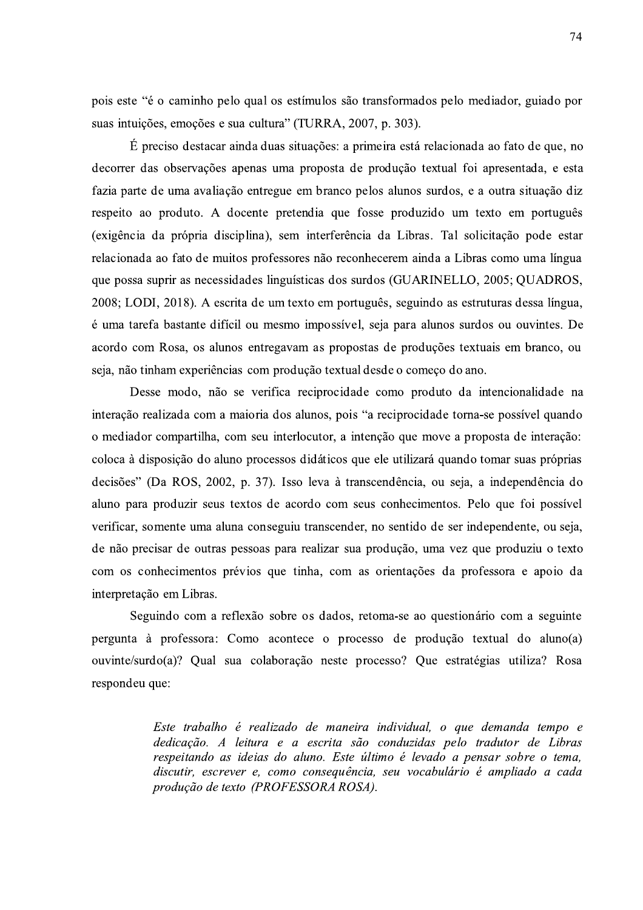pois este "é o caminho pelo qual os estímulos são transformados pelo mediador, guiado por

74<br>pois este "é o caminho pelo qual os estímulos são transformados pelo mediador, guiado por<br>suas intuições, emoções e sua cultura" (TURRA, 2007, p. 303).<br>É preciso destacar ainda duas situações: a primeira está relacionad que possa suprir as necessidades linguísticas dos surdos (GUARINELLO, 2005; QUADROS, 2008; LODI, 2018). A escrita de um texto em português, seguindo as estruturas dessa língua, é uma tarefa bastante difícil ou mesmo impossível, seja para alunos surdos ou ouvintes. De acordo com Rosa, os alunos entregavam as propostas de produções textuais em branco, ou seja, não tinham experiências com produção textual desde o começo do ano.

Desse modo, não se verifica reciprocidade como produto da intencionalidade na interação realizada com a maioria dos alunos, pois "a reciprocidade torna-se possível quando o mediador compartilha, com seu interlocutor, a intenção que move a proposta de interação: coloca à disposição do aluno processos didáticos que ele utilizará quando tomar suas próprias decisões" (Da ROS, 2002, p. 37). Isso leva à transcendência, ou seja, a independência do aluno para produzir seus textos de acordo com seus conhecimentos. Pelo que foi possível verificar, somente uma aluna conseguiu transcender, no sentido de ser independente, ou seja, de não precisar de outras pessoas para realizar sua produção, uma vez que produziu o texto com os conhecimentos prévios que tinha, com as orientações da professora e apoio da interpretação em Libras.

Seguindo com a reflexão sobre os dados, retoma-se ao questionário com a seguinte pergunta à professora: Como acontece o processo de produção textual do aluno(a) ouvinte/surdo(a)? Qual sua colaboração neste processo? Que estratégias utiliza? Rosa respondeu que:

> Este trabalho é realizado de maneira individual, o que demanda tempo e dedicação. A leitura e a escrita são conduzidas pelo tradutor de Libras respeitando as ideias do aluno. Este último é levado a pensar sobre o tema, discutir, escrever e, como consequência, seu vocabulário é ampliado a cada produção de texto (PROFESSORA ROSA).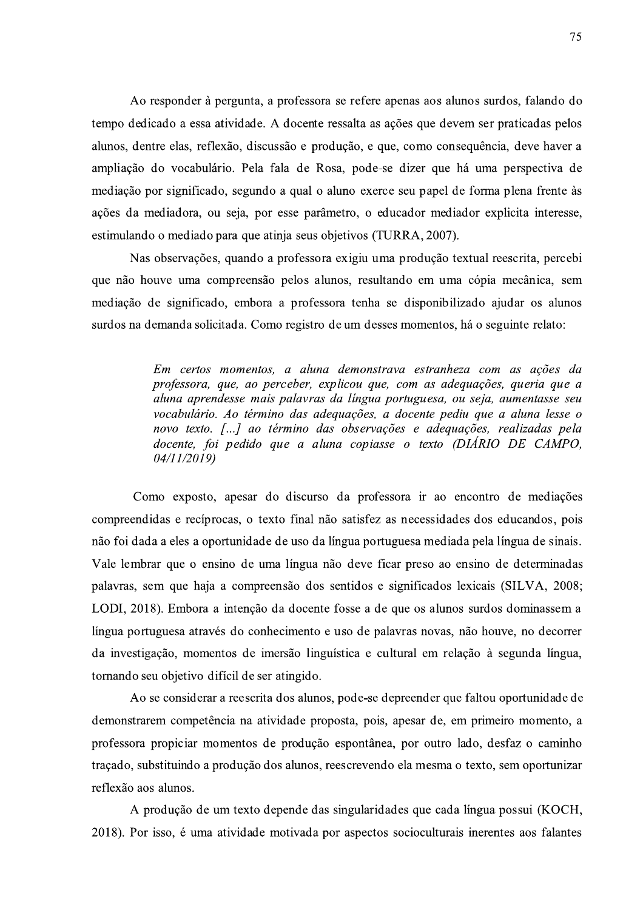Ao responder a pergunta, a professora se refere apenas aos alunos surdos, falando do tempo dedicado a essa atividade. A docente ressalta as ações que devem ser praticadas pelos alunos, dentre elas, reflexão, discussão e produção, e que, como consequencia, deve haver a ampliação do vocabulario. Pela fala de Rosa, pode-se dizer que ha uma perspectiva de mediação por significado, segundo a qual o aluno exerce seu papel de forma plena frente as ações da mediadora, ou seja, por esse parametro, o educador mediador explícita interesse, estimulando o mediado dedicado a essa atividade. A docente ressalta as ações que devem ser p<br>dentre elas, reflexão, discussão e produção, e que, como consequências<br>cão do vocabulário. Pela fala de Rosa, pode-se dizer que há uma<br>ão por significa

o a professora exigiu uma produção textual reescrita, percebi que nao houve uma compreensao pelos alunos, resultando em uma copia mecanica, sem mediação de significado, embora a professora tenha se disponibilizado ajudar os alunos surdos na demanda solicitada. Como registro de um desses momentos, há o seguinte relato:

> Em certos momentos, a aluna demonstrava estranheza com as ações da professora, que, ao perceber, explicou que, com as adequações, queria que a aluna aprendesse mais palavras da língua portuguesa, ou seja, aumentasse seu vocabulário. Ao término das adequações, a docente pediu que a aluna lesse o novo texto. [...] ao término das observações e adequações, realizadas pela docente, foi pedido que a aluna copiasse o texto ( $DI\acute{A}RIO$  DE CAMPO,  $04/11/2019$

Como exposto, apesar do discurso da professora ir ao encontro de mediações compreendidas e reciprocas, o texto final não satisfez as necessidades dos educandos, pois nao foi dada a eles a oportunidade de uso da lingua portuguesa mediada pela lingua de sinais. Vale lembrar que o ensino de uma lingua não deve ficar preso ao ensino de determinadas palavras, sem que haja a compreensão dos sentidos e significado Como exposto, apesar do discurso da professora ir ao encontro de mediações<br>
compreendidas e recíprocas, o texto final não satisfez as necessidades dos educandos, pois<br>
não foi dada a eles a oportunidade de uso da língua po a docente fosse a de que os alunos surdos dominassem a lingua portuguesa atraves do conhecimento e uso de palavras novas, nao houve, no decorrer da investigação, momentos de imersão linguística e cultural em relação à segunda lingua, tornando seu objetivo difícil de ser atingido.

Ao se considerar a reescrita dos alunos, pode-se depreender que faltou oportunidade de demonstrarem competência na atividade proposta, pois, apesar de, em primeiro momento, a professora propiciar momentos de produção espontanea, por outro lado, desfaz o caminho traçado, substituíndo a produção dos alunos, reescrevendo ela mesma o texto, sem oportunizar reflexão aos alunos. Ao se considerar a reescrita dos alunos, pode-se depreender que faltou oportunidade de<br>demonstrarem competência na atividade proposta, pois, apesar de, em primeiro momento, a<br>professora propiciar momentos de produção espon

A produção de um texto depende das singularidades que cada ade motivada por aspectos socioculturais inerentes aos falantes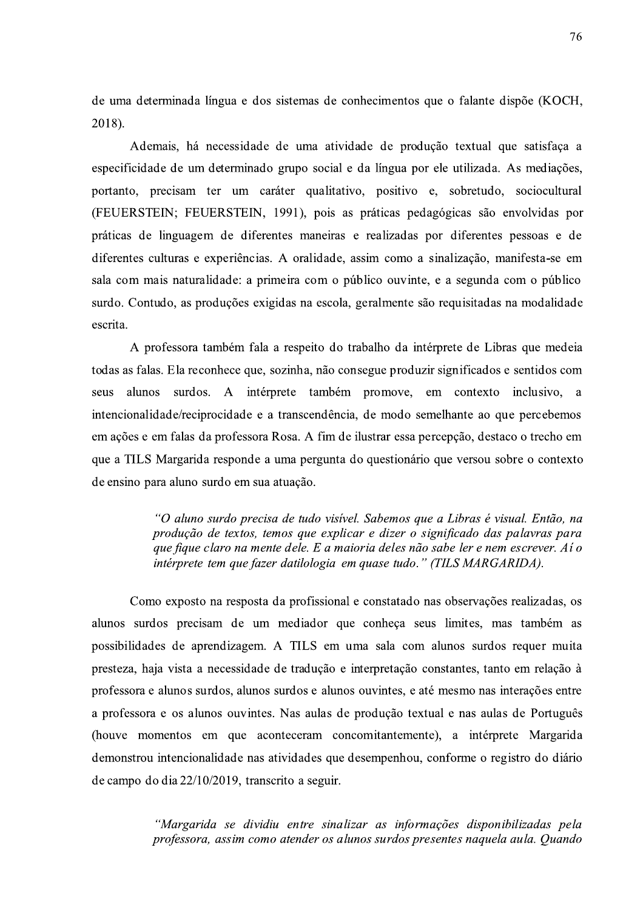de uma determinada língua e dos sistemas de conhecimentos que o falante dispõe (KOCH, 2018).

Ademais, há necessidade de uma atividade de produção textual que satisfaça a especificidade de um determinado grupo social e da língua por ele utilizada. As mediações, portanto, precisam ter um caráter qualitativo, positivo e, sobretudo, sociocultural (FEUERSTEIN; FEUERSTEIN, 1991), pois as práticas pedagógicas são envolvidas por práticas de linguagem de diferentes maneiras e realizadas por diferentes pessoas e de diferentes culturas e experiências. A oralidade, assim como a sinalização, manifesta-se em sala com mais naturalidade: a primeira com o público ouvinte, e a segunda com o público surdo. Contudo, as produções exigidas na escola, geralmente são requisitadas na modalidade escrita.

A professora também fala a respeito do trabalho da intérprete de Libras que medeia todas as falas. Ela reconhece que, sozinha, não consegue produzir significados e sentidos com surdos. A intérprete também promove, em contexto inclusivo, a seus alunos intencionalidade/reciprocidade e a transcendência, de modo semelhante ao que percebemos em ações e em falas da professora Rosa. A fim de ilustrar essa percepção, destaco o trecho em que a TILS Margarida responde a uma pergunta do questionário que versou sobre o contexto de ensino para aluno surdo em sua atuação.

> "O aluno surdo precisa de tudo visível. Sabemos que a Libras é visual. Então, na produção de textos, temos que explicar e dizer o significado das palavras para que fique claro na mente dele. E a maioria deles não sabe ler e nem escrever. Aí o intérprete tem que fazer datilologia em quase tudo." (TILS MARGARIDA).

Como exposto na resposta da profissional e constatado nas observações realizadas, os alunos surdos precisam de um mediador que conheça seus limites, mas também as possibilidades de aprendizagem. A TILS em uma sala com alunos surdos requer muita presteza, haja vista a necessidade de tradução e interpretação constantes, tanto em relação à professora e alunos surdos, alunos surdos e alunos ouvintes, e até mesmo nas interações entre a professora e os alunos ouvintes. Nas aulas de produção textual e nas aulas de Português (houve momentos em que aconteceram concomitantemente), a intérprete Margarida demonstrou intencionalidade nas atividades que desempenhou, conforme o registro do diário de campo do dia 22/10/2019, transcrito a seguir.

> "Margarida se dividiu entre sinalizar as informações disponibilizadas pela professora, assim como atender os alunos surdos presentes naquela aula. Quando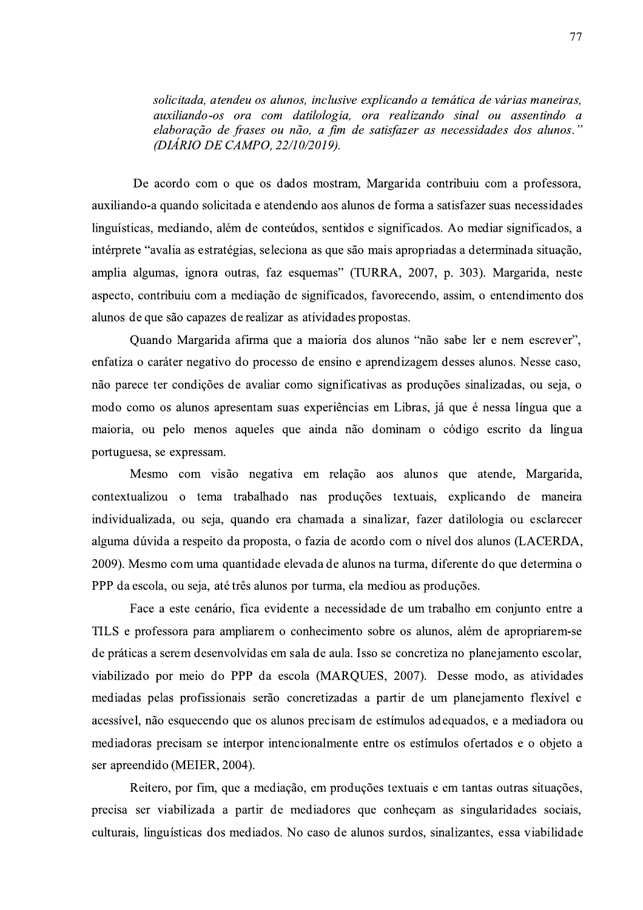solicitada, atendeu os alunos, inclusive explicando a tematica de varias maneiras, auxiliando-os ora com datilologia, ora realizando sinal ou assentindo a elaboraçao de frases ou nao, a fim de satisfazer as necessidades dos alunos."<br>' (DIÁRIO DE CAMPO, 22/10/2019).

solicitada, atendeu os alunos, inclusive explicando a temática de várias maneiras,<br>auxiliando-os ora com datilologia, ora realizando sinal ou assentindo a<br>elaboração de frases ou não, a fim de satisfazer as necessidades d De acordo com o que os dados mostram, Margarida contribuiu com a professora, auxiliando-a quando solicitada e atendendo aos alunos de forma a satisfazer suas necessidades linguísticas, mediando, além de conteúdos, sentidos e significados. Ao mediar significados, a intérprete "avalia as estratégias, seleciona as que são mais apropriadas a determinada situação, amplia algumas, ignora outras, faz esquemas" (TURRA, 2007, p. 303). Margarida, neste aspecto, contribuiu com a mediação de significados, favorecendo, assim, o entendimento dos alunos de que são capazes de realizar as atividades propostas.

Quando Margarida afirma que a maioria dos alunos "não sabe ler e nem escrever", enfatiza o caráter negativo do processo de ensino e aprendizagem desses alunos. Nesse caso, não parece ter condições de avaliar como significativas as produções sinalizadas, ou seja, o modo como os alunos apresentam suas experiências em Libras, já que é nessa língua que a maioria, ou pelo menos aqueles que ainda não dominam o código escrito da língua portuguesa, se expressam.

Mesmo com visão negativa em relação aos alunos que atende, Margarida,  $\overline{3}$ contextualizou o tema trabalhado nas produções textuais, explicando de maneira individualizada, ou seja, quando era chamada a sinalizar, fazer datilologia ou esclarecer alguma dúvida a respeito da proposta, o fazia de acordo com o nível dos alunos (LACERDA, 2009). Mesmo com uma quantidade elevada de alunos na turma, diferente do que determina o PPP da escola, ou seja, até três alunos por turma, ela mediou as produções.

Face a este cenário, fica evidente a necessidade de um trabalho em conjunto entre a TILS e professora para ampliarem o conhecimento sobre os alunos, além de apropriarem-se de práticas a serem desenvolvidas em sala de aula. Isso se concretiza no planejamento escolar, viabilizado por meio do PPP da escola (MARQUES, 2007). Desse modo, as atividades mediadas pelas profissionais serão concretizadas a partir de um planejamento flexível e acessível, não esquecendo que os alunos precisam de estímulos adequados, e a mediadora ou mediadoras precisam se interpor intencionalmente entre os estímulos ofertados e o objeto a ser apreendido (MEIER, 2004).

Reitero, por fim, que a mediação, em produções textuais e em tantas outras situações, precisa ser viabilizada a partir de mediadores que conheçam as singularidades sociais, culturais, linguísticas dos mediados. No caso de alunos surdos, sinalizantes, essa viabilidade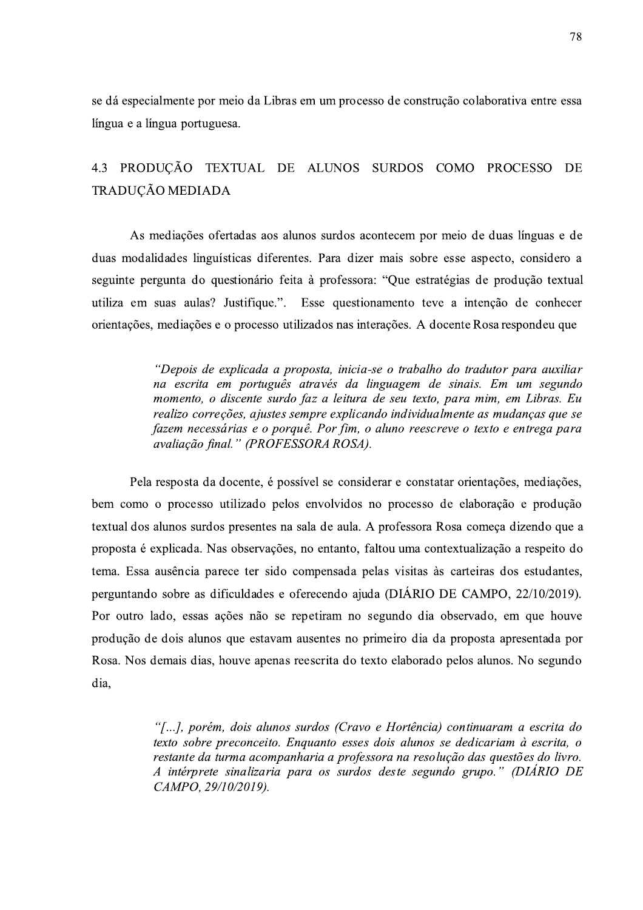se dá especialmente por meio da Libras em um processo de construção colaborativa entre essa língua e a língua portuguesa.

# 4.3 PRODUCÃO TEXTUAL DE ALUNOS SURDOS COMO PROCESSO DE TRADUÇÃO MEDIADA

As mediações ofertadas aos alunos surdos acontecem por meio de duas línguas e de duas modalidades linguísticas diferentes. Para dizer mais sobre esse aspecto, considero a seguinte pergunta do questionário feita à professora: "Que estratégias de produção textual utiliza em suas aulas? Justifique.". Esse questionamento teve a intenção de conhecer orientações, mediações e o processo utilizados nas interações. A docente Rosa respondeu que

> "Depois de explicada a proposta, inicia-se o trabalho do tradutor para auxiliar na escrita em português através da linguagem de sinais. Em um segundo momento, o discente surdo faz a leitura de seu texto, para mim, em Libras. Eu realizo correções, ajustes sempre explicando individualmente as mudanças que se fazem necessárias e o porquê. Por fim, o aluno reescreve o texto e entrega para avaliação final." (PROFESSORA ROSA).

Pela resposta da docente, é possível se considerar e constatar orientações, mediações, bem como o processo utilizado pelos envolvidos no processo de elaboração e produção textual dos alunos surdos presentes na sala de aula. A professora Rosa começa dizendo que a proposta é explicada. Nas observações, no entanto, faltou uma contextualização a respeito do tema. Essa ausência parece ter sido compensada pelas visitas às carteiras dos estudantes, perguntando sobre as dificuldades e oferecendo ajuda (DIÁRIO DE CAMPO, 22/10/2019). Por outro lado, essas ações não se repetiram no segundo dia observado, em que houve produção de dois alunos que estavam ausentes no primeiro dia da proposta apresentada por Rosa. Nos demais dias, houve apenas reescrita do texto elaborado pelos alunos. No segundo dia.

> "[...], porém, dois alunos surdos (Cravo e Hortência) continuaram a escrita do texto sobre preconceito. Enquanto esses dois alunos se dedicariam à escrita, o restante da turma acompanharia a professora na resolução das questões do livro. A intérprete sinalizaria para os surdos deste segundo grupo." (DIÁRIO DE CAMPO, 29/10/2019).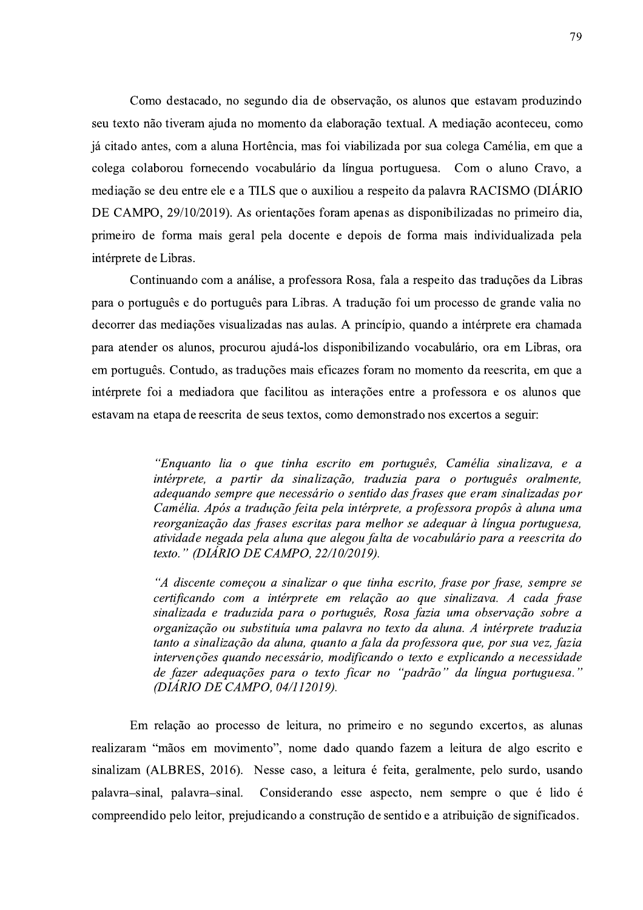Como destacado, no segundo dia de observação, os alunos que estavam produzindo seu texto não tiveram ajuda no momento da elaboração textual. A mediação aconteceu, como já citado antes, com a aluna Hortência, mas foi viabilizada por sua colega Camélia, em que a colega colaborou fornecendo vocabulário da língua portuguesa. Com o aluno Cravo, a mediação se deu entre ele e a TILS que o auxiliou a respeito da palavra RACISMO (DIÁRIO DE CAMPO, 29/10/2019). As orientações foram apenas as disponibilizadas no primeiro dia, primeiro de forma mais geral pela docente e depois de forma mais individualizada pela intérprete de Libras.

Continuando com a análise, a professora Rosa, fala a respeito das traduções da Libras para o português e do português para Libras. A tradução foi um processo de grande valia no decorrer das mediações visualizadas nas aulas. A princípio, quando a intérprete era chamada para atender os alunos, procurou ajudá-los disponibilizando vocabulário, ora em Libras, ora em português. Contudo, as traduções mais eficazes foram no momento da reescrita, em que a intérprete foi a mediadora que facilitou as interações entre a professora e os alunos que estavam na etapa de reescrita de seus textos, como demonstrado nos excertos a seguir:

> "Enquanto lia o que tinha escrito em português, Camélia sinalizava, e a intérprete, a partir da sinalização, traduzia para o português oralmente, adequando sempre que necessário o sentido das frases que eram sinalizadas por Camélia. Após a tradução feita pela intérprete, a professora propôs à aluna uma reorganização das frases escritas para melhor se adequar à língua portuguesa, atividade negada pela aluna que alegou falta de vocabulário para a reescrita do texto." (DIÁRIO DE CAMPO, 22/10/2019).

> "A discente começou a sinalizar o que tinha escrito, frase por frase, sempre se certificando com a intérprete em relação ao que sinalizava. A cada frase sinalizada e traduzida para o português, Rosa fazia uma observação sobre a organização ou substituía uma palavra no texto da aluna. A intérprete traduzia tanto a sinalização da aluna, quanto a fala da professora que, por sua vez, fazia intervenções quando necessário, modificando o texto e explicando a necessidade de fazer adequações para o texto ficar no "padrão" da língua portuguesa." (DIÁRIO DE CAMPO, 04/112019).

Em relação ao processo de leitura, no primeiro e no segundo excertos, as alunas realizaram "mãos em movimento", nome dado quando fazem a leitura de algo escrito e sinalizam (ALBRES, 2016). Nesse caso, a leitura é feita, geralmente, pelo surdo, usando palavra-sinal, palavra-sinal. Considerando esse aspecto, nem sempre o que é lido é compreendido pelo leitor, prejudicando a construção de sentido e a atribuição de significados.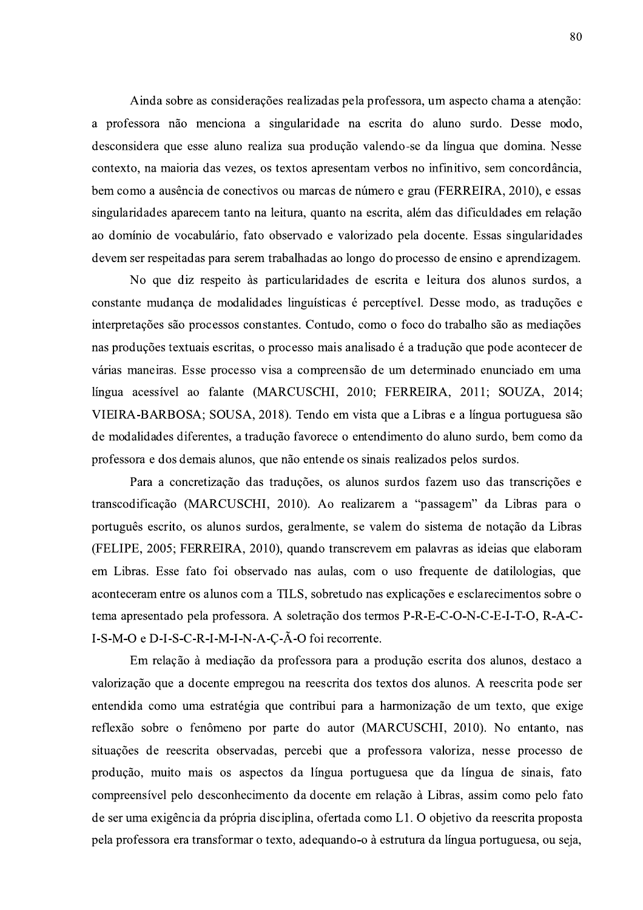Ainda sobre as considerações realizadas pela professora, um aspecto chama a atenção: a professora não menciona a singularidade na escrita do aluno surdo. Desse modo, desconsidera que esse aluno realiza sua produção valendo-se da língua que domina. Nesse contexto, na maioria das vezes, os textos apresentam verbos no infinitivo, sem concordância, bem como a ausência de conectivos ou marcas de número e grau (FERREIRA, 2010), e essas singularidades aparecem tanto na leitura, quanto na escrita, além das dificuldades em relação ao domínio de vocabulário, fato observado e valorizado pela docente. Essas singularidades devem ser respeitadas para serem trabalhadas ao longo do processo de ensino e aprendizagem.

No que diz respeito às particularidades de escrita e leitura dos alunos surdos, a constante mudança de modalidades linguísticas é perceptível. Desse modo, as traduções e interpretações são processos constantes. Contudo, como o foco do trabalho são as mediações nas produções textuais escritas, o processo mais analisado é a tradução que pode acontecer de várias maneiras. Esse processo visa a compreensão de um determinado enunciado em uma língua acessível ao falante (MARCUSCHI, 2010; FERREIRA, 2011; SOUZA, 2014; VIEIRA-BARBOSA; SOUSA, 2018). Tendo em vista que a Libras e a língua portuguesa são de modalidades diferentes, a tradução favorece o entendimento do aluno surdo, bem como da professora e dos demais alunos, que não entende os sinais realizados pelos surdos.

Para a concretização das traduções, os alunos surdos fazem uso das transcrições e transcodificação (MARCUSCHI, 2010). Ao realizarem a "passagem" da Libras para o português escrito, os alunos surdos, geralmente, se valem do sistema de notação da Libras (FELIPE, 2005; FERREIRA, 2010), quando transcrevem em palavras as ideias que elaboram em Libras. Esse fato foi observado nas aulas, com o uso frequente de datilologias, que aconteceram entre os alunos com a TILS, sobretudo nas explicações e esclarecimentos sobre o tema apresentado pela professora. A soletração dos termos P-R-E-C-O-N-C-E-I-T-O, R-A-C-I-S-M-O e D-I-S-C-R-I-M-I-N-A-C-Â-O foi recorrente.

Em relação à mediação da professora para a produção escrita dos alunos, destaco a valorização que a docente empregou na reescrita dos textos dos alunos. A reescrita pode ser entendida como uma estratégia que contribui para a harmonização de um texto, que exige reflexão sobre o fenômeno por parte do autor (MARCUSCHI, 2010). No entanto, nas situações de reescrita observadas, percebi que a professora valoriza, nesse processo de produção, muito mais os aspectos da língua portuguesa que da língua de sinais, fato compreensível pelo desconhecimento da docente em relação à Libras, assim como pelo fato de ser uma exigência da própria disciplina, ofertada como L1. O objetivo da reescrita proposta pela professora era transformar o texto, adequando-o à estrutura da língua portuguesa, ou seja,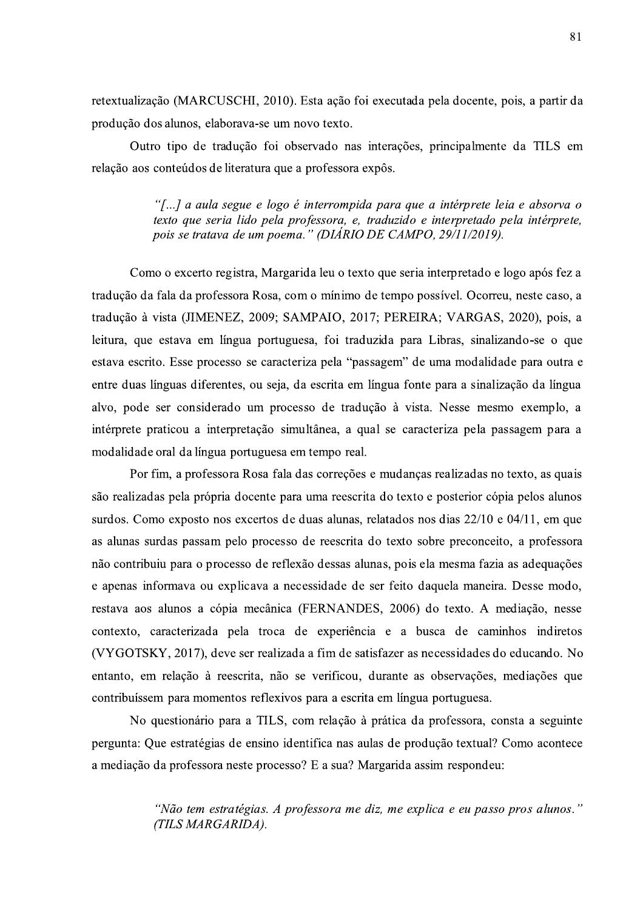retextualização (MARCUSCHI, 2010). Esta ação foi executada pela docente, pois, a partir da produção dos alunos, elaborava-se um novo texto.

Outro tipo de tradução foi observado nas interações, principalmente da TILS em relação aos conteúdos de literatura que a professora expôs.

> "[...] a aula segue e logo é interrompida para que a intérprete leia e absorva o texto que seria lido pela professora, e, traduzido e interpretado pela intérprete, pois se tratava de um poema." (DIÁRIO DE CAMPO, 29/11/2019).

Como o excerto registra, Margarida leu o texto que seria interpretado e logo após fez a tradução da fala da professora Rosa, com o mínimo de tempo possível. Ocorreu, neste caso, a tradução à vista (JIMENEZ, 2009; SAMPAIO, 2017; PEREIRA; VARGAS, 2020), pois, a leitura, que estava em língua portuguesa, foi traduzida para Libras, sinalizando-se o que estava escrito. Esse processo se caracteriza pela "passagem" de uma modalidade para outra e entre duas línguas diferentes, ou seja, da escrita em língua fonte para a sinalização da língua alvo, pode ser considerado um processo de tradução à vista. Nesse mesmo exemplo, a intérprete praticou a interpretação simultânea, a qual se caracteriza pela passagem para a modalidade oral da língua portuguesa em tempo real.

Por fim, a professora Rosa fala das correções e mudanças realizadas no texto, as quais são realizadas pela própria docente para uma reescrita do texto e posterior cópia pelos alunos surdos. Como exposto nos excertos de duas alunas, relatados nos dias 22/10 e 04/11, em que as alunas surdas passam pelo processo de reescrita do texto sobre preconceito, a professora não contribuiu para o processo de reflexão dessas alunas, pois ela mesma fazia as adequações e apenas informava ou explicava a necessidade de ser feito daquela maneira. Desse modo, restava aos alunos a cópia mecânica (FERNANDES, 2006) do texto. A mediação, nesse contexto, caracterizada pela troca de experiência e a busca de caminhos indiretos (VYGOTSKY, 2017), deve ser realizada a fim de satisfazer as necessidades do educando. No entanto, em relação à reescrita, não se verificou, durante as observações, mediações que contribuíssem para momentos reflexivos para a escrita em língua portuguesa.

No questionário para a TILS, com relação à prática da professora, consta a seguinte pergunta: Que estratégias de ensino identifica nas aulas de produção textual? Como acontece a mediação da professora neste processo? E a sua? Margarida assim respondeu:

> "Não tem estratégias. A professora me diz, me explica e eu passo pros alunos." (TILS MARGARIDA).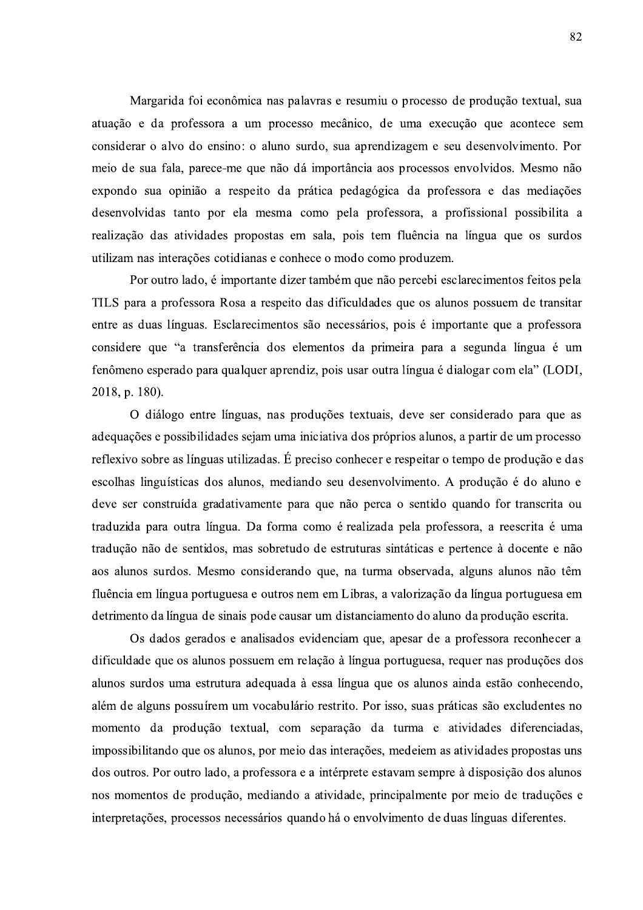Margarida foi econômica nas palavras e resumiu o processo de produção textual, sua atuação e da professora a um processo mecânico, de uma execução que acontece sem considerar o alvo do ensino: o aluno surdo, sua aprendizagem e seu desenvolvimento. Por meio de sua fala, parece-me que não dá importância aos processos envolvidos. Mesmo não expondo sua opinião a respeito da prática pedagógica da professora e das mediações desenvolvidas tanto por ela mesma como pela professora, a profissional possibilita a realização das atividades propostas em sala, pois tem fluência na língua que os surdos utilizam nas interações cotidianas e conhece o modo como produzem.

Por outro lado, é importante dizer também que não percebi esclarecimentos feitos pela TILS para a professora Rosa a respeito das dificuldades que os alunos possuem de transitar entre as duas línguas. Esclarecimentos são necessários, pois é importante que a professora considere que "a transferência dos elementos da primeira para a segunda língua é um fenômeno esperado para qualquer aprendiz, pois usar outra língua é dialogar com ela" (LODI, 2018, p. 180).

O diálogo entre línguas, nas produções textuais, deve ser considerado para que as adequações e possibilidades sejam uma iniciativa dos próprios alunos, a partir de um processo reflexivo sobre as línguas utilizadas. É preciso conhecer e respeitar o tempo de produção e das escolhas linguísticas dos alunos, mediando seu desenvolvimento. A produção é do aluno e deve ser construída gradativamente para que não perca o sentido quando for transcrita ou traduzida para outra língua. Da forma como é realizada pela professora, a reescrita é uma tradução não de sentidos, mas sobretudo de estruturas sintáticas e pertence à docente e não aos alunos surdos. Mesmo considerando que, na turma observada, alguns alunos não têm fluência em língua portuguesa e outros nem em Libras, a valorização da língua portuguesa em detrimento da língua de sinais pode causar um distanciamento do aluno da produção escrita.

Os dados gerados e analisados evidenciam que, apesar de a professora reconhecer a dificuldade que os alunos possuem em relação à língua portuguesa, requer nas produções dos alunos surdos uma estrutura adequada à essa língua que os alunos ainda estão conhecendo, além de alguns possuírem um vocabulário restrito. Por isso, suas práticas são excludentes no momento da produção textual, com separação da turma e atividades diferenciadas, impossibilitando que os alunos, por meio das interações, medeiem as atividades propostas uns dos outros. Por outro lado, a professora e a intérprete estavam sempre à disposição dos alunos nos momentos de produção, mediando a atividade, principalmente por meio de traduções e interpretações, processos necessários quando há o envolvimento de duas línguas diferentes.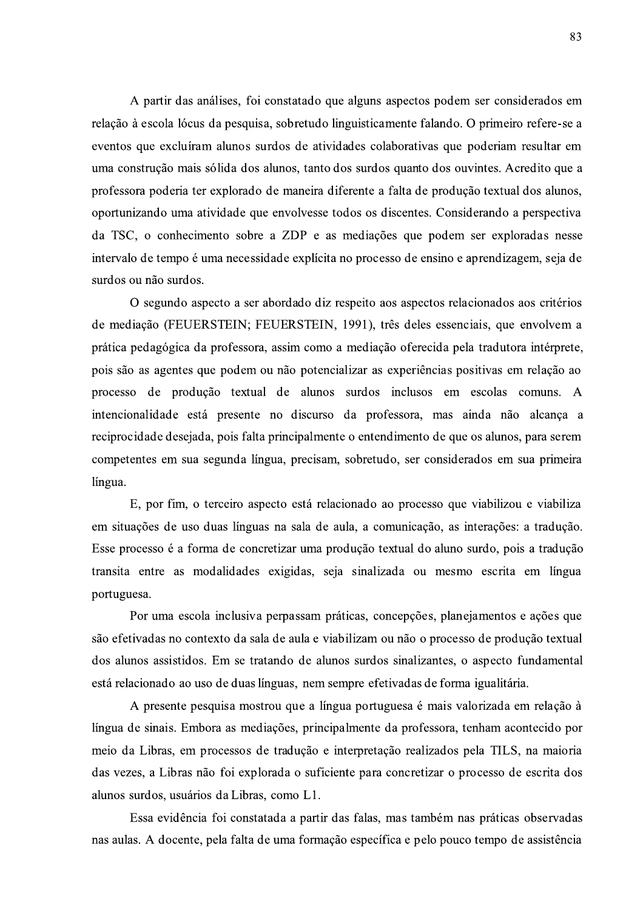A partir das análises, foi constatado que alguns aspectos podem ser considerados em relação à escola lócus da pesquisa, sobretudo linguisticamente falando. O primeiro refere-se a eventos que excluíram alunos surdos de atividades colaborativas que poderiam resultar em uma construção mais sólida dos alunos, tanto dos surdos quanto dos ouvintes. Acredito que a professora poderia ter explorado de maneira diferente a falta de produção textual dos alunos, oportunizando uma atividade que envolvesse todos os discentes. Considerando a perspectiva da TSC, o conhecimento sobre a ZDP e as mediações que podem ser exploradas nesse intervalo de tempo é uma necessidade explícita no processo de ensino e aprendizagem, seja de surdos ou não surdos.

O segundo aspecto a ser abordado diz respeito aos aspectos relacionados aos critérios de mediação (FEUERSTEIN; FEUERSTEIN, 1991), três deles essenciais, que envolvem a prática pedagógica da professora, assim como a mediação oferecida pela tradutora intérprete, pois são as agentes que podem ou não potencializar as experiências positivas em relação ao processo de produção textual de alunos surdos inclusos em escolas comuns. A intencionalidade está presente no discurso da professora, mas ainda não alcança a reciprocidade desejada, pois falta principalmente o entendimento de que os alunos, para serem competentes em sua segunda língua, precisam, sobretudo, ser considerados em sua primeira língua.

E, por fim, o terceiro aspecto está relacionado ao processo que viabilizou e viabiliza em situações de uso duas línguas na sala de aula, a comunicação, as interações: a tradução. Esse processo é a forma de concretizar uma produção textual do aluno surdo, pois a tradução transita entre as modalidades exigidas, seja sinalizada ou mesmo escrita em língua portuguesa.

Por uma escola inclusiva perpassam práticas, concepções, planejamentos e ações que são efetivadas no contexto da sala de aula e viabilizam ou não o processo de produção textual dos alunos assistidos. Em se tratando de alunos surdos sinalizantes, o aspecto fundamental está relacionado ao uso de duas línguas, nem sempre efetivadas de forma igualitária.

A presente pesquisa mostrou que a língua portuguesa é mais valorizada em relação à língua de sinais. Embora as mediações, principalmente da professora, tenham acontecido por meio da Libras, em processos de tradução e interpretação realizados pela TILS, na maioria das vezes, a Libras não foi explorada o suficiente para concretizar o processo de escrita dos alunos surdos, usuários da Libras, como L1.

Essa evidência foi constatada a partir das falas, mas também nas práticas observadas nas aulas. A docente, pela falta de uma formação específica e pelo pouco tempo de assistência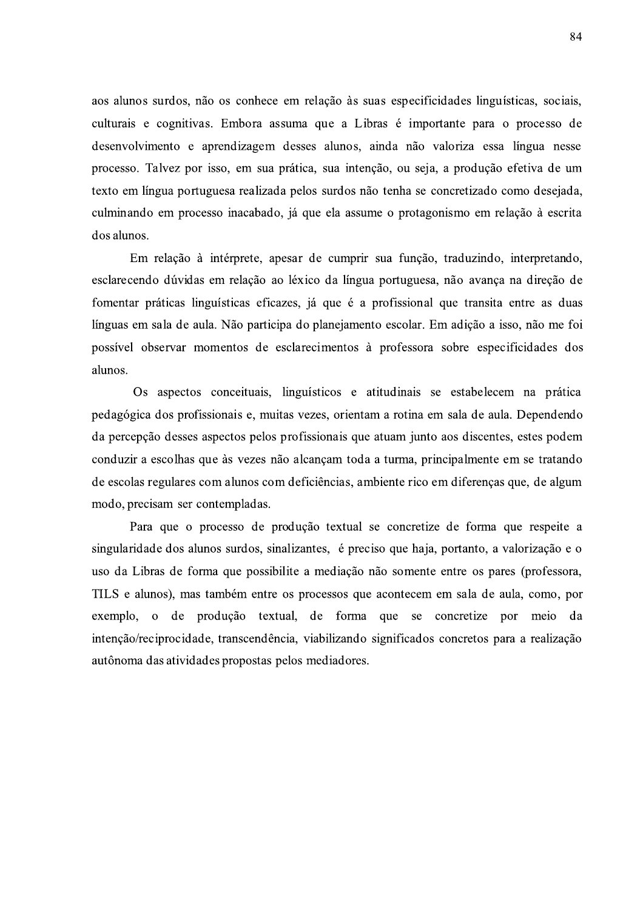aos alunos surdos, não os conhece em relação às suas especificidades linguísticas, sociais, culturais e cognitivas. Embora assuma que a Libras é importante para o processo de desenvolvimento e aprendizagem desses alunos, ainda não valoriza essa língua nesse processo. Talvez por isso, em sua prática, sua intenção, ou seja, a produção efetiva de um texto em língua portuguesa realizada pelos surdos não tenha se concretizado como desejada, culminando em processo inacabado, já que ela assume o protagonismo em relação à escrita dos alunos.

Em relação à intérprete, apesar de cumprir sua função, traduzindo, interpretando, esclarecendo dúvidas em relação ao léxico da língua portuguesa, não avança na direção de fomentar práticas linguísticas eficazes, já que é a profissional que transita entre as duas línguas em sala de aula. Não participa do planejamento escolar. Em adição a isso, não me foi possível observar momentos de esclarecimentos à professora sobre especificidades dos alunos.

Os aspectos conceituais, linguísticos e atitudinais se estabelecem na prática pedagógica dos profissionais e, muitas vezes, orientam a rotina em sala de aula. Dependendo da percepção desses aspectos pelos profissionais que atuam junto aos discentes, estes podem conduzir a escolhas que às vezes não alcançam toda a turma, principalmente em se tratando de escolas regulares com alunos com deficiências, ambiente rico em diferenças que, de algum modo, precisam ser contempladas.

Para que o processo de produção textual se concretize de forma que respeite a singularidade dos alunos surdos, sinalizantes, é preciso que haja, portanto, a valorização e o uso da Libras de forma que possibilite a mediação não somente entre os pares (professora, TILS e alunos), mas também entre os processos que acontecem em sala de aula, como, por exemplo, o de produção textual, de forma que se concretize por meio da intenção/reciprocidade, transcendência, viabilizando significados concretos para a realização autônoma das atividades propostas pelos mediadores.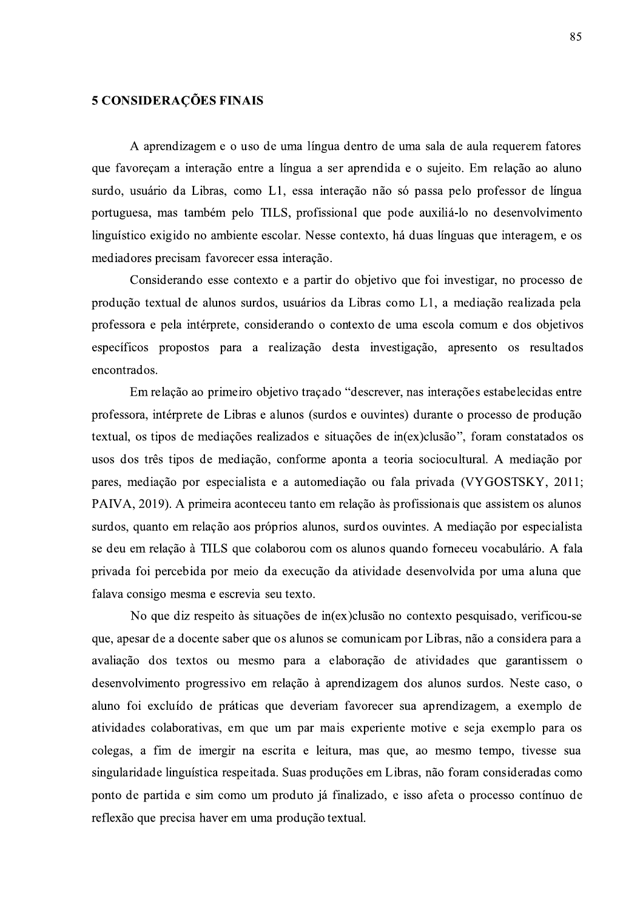#### 5 CONSIDERAÇÕES FINAIS

A aprendizagem e o uso de uma língua dentro de uma sala de aula requerem fatores que favoreçam a interação entre a língua a ser aprendida e o sujeito. Em relação ao aluno surdo, usuário da Libras, como L1, essa interação não só passa pelo professor de língua portuguesa, mas também pelo TILS, profissional que pode auxiliá-lo no desenvolvimento linguístico exigido no ambiente escolar. Nesse contexto, há duas línguas que interagem, e os mediadores precisam favorecer essa interação.

Considerando esse contexto e a partir do objetivo que foi investigar, no processo de produção textual de alunos surdos, usuários da Libras como L1, a mediação realizada pela professora e pela intérprete, considerando o contexto de uma escola comum e dos objetivos específicos propostos para a realização desta investigação, apresento os resultados encontrados.

Em relação ao primeiro objetivo traçado "descrever, nas interações estabelecidas entre professora, intérprete de Libras e alunos (surdos e ouvintes) durante o processo de produção textual, os tipos de mediações realizados e situações de in(ex)clusão", foram constatados os usos dos três tipos de mediação, conforme aponta a teoria sociocultural. A mediação por pares, mediação por especialista e a automediação ou fala privada (VYGOSTSKY, 2011; PAIVA, 2019). A primeira aconteceu tanto em relação às profissionais que assistem os alunos surdos, quanto em relação aos próprios alunos, surdos ouvintes. A mediação por especialista se deu em relação à TILS que colaborou com os alunos quando forneceu vocabulário. A fala privada foi percebida por meio da execução da atividade desenvolvida por uma aluna que falava consigo mesma e escrevia seu texto.

No que diz respeito às situações de in(ex) clusão no contexto pesquisado, verificou-se que, apesar de a docente saber que os alunos se comunicam por Libras, não a considera para a avaliação dos textos ou mesmo para a elaboração de atividades que garantissem o desenvolvimento progressivo em relação à aprendizagem dos alunos surdos. Neste caso, o aluno foi excluído de práticas que deveriam favorecer sua aprendizagem, a exemplo de atividades colaborativas, em que um par mais experiente motive e seja exemplo para os colegas, a fim de imergir na escrita e leitura, mas que, ao mesmo tempo, tivesse sua singularidade linguística respeitada. Suas produções em Libras, não foram consideradas como ponto de partida e sim como um produto já finalizado, e isso afeta o processo contínuo de reflexão que precisa haver em uma produção textual.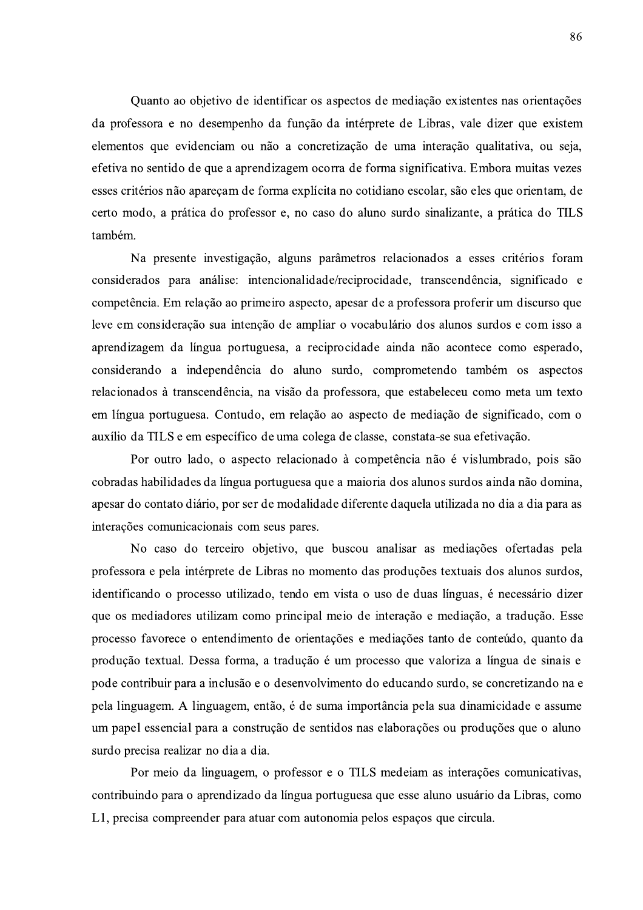Quanto ao objetivo de identificar os aspectos de mediação existentes nas orientações da professora e no desempenho da função da intérprete de Libras, vale dizer que existem elementos que evidenciam ou não a concretização de uma interação qualitativa, ou seja, efetiva no sentido de que a aprendizagem ocorra de forma significativa. Embora muitas vezes esses critérios não apareçam de forma explícita no cotidiano escolar, são eles que orientam, de certo modo, a prática do professor e, no caso do aluno surdo sinalizante, a prática do TILS também.

Na presente investigação, alguns parâmetros relacionados a esses critérios foram considerados para análise: intencionalidade/reciprocidade, transcendência, significado e competência. Em relação ao primeiro aspecto, apesar de a professora proferir um discurso que leve em consideração sua intenção de ampliar o vocabulário dos alunos surdos e com isso a aprendizagem da língua portuguesa, a reciprocidade ainda não acontece como esperado, considerando a independência do aluno surdo, comprometendo também os aspectos relacionados à transcendência, na visão da professora, que estabeleceu como meta um texto em língua portuguesa. Contudo, em relação ao aspecto de mediação de significado, com o auxílio da TILS e em específico de uma colega de classe, constata-se sua efetivação.

Por outro lado, o aspecto relacionado à competência não é vislumbrado, pois são cobradas habilidades da língua portuguesa que a maioria dos alunos surdos ainda não domina, apesar do contato diário, por ser de modalidade diferente daquela utilizada no dia a dia para as interações comunicacionais com seus pares.

No caso do terceiro objetivo, que buscou analisar as mediações ofertadas pela professora e pela intérprete de Libras no momento das produções textuais dos alunos surdos, identificando o processo utilizado, tendo em vista o uso de duas línguas, é necessário dizer que os mediadores utilizam como principal meio de interação e mediação, a tradução. Esse processo favorece o entendimento de orientações e mediações tanto de conteúdo, quanto da produção textual. Dessa forma, a tradução é um processo que valoriza a língua de sinais e pode contribuir para a inclusão e o desenvolvimento do educando surdo, se concretizando na e pela linguagem. A linguagem, então, é de suma importância pela sua dinamicidade e assume um papel essencial para a construção de sentidos nas elaborações ou produções que o aluno surdo precisa realizar no dia a dia.

Por meio da linguagem, o professor e o TILS medeiam as interações comunicativas, contribuindo para o aprendizado da língua portuguesa que esse aluno usuário da Libras, como L1, precisa compreender para atuar com autonomia pelos espaços que circula.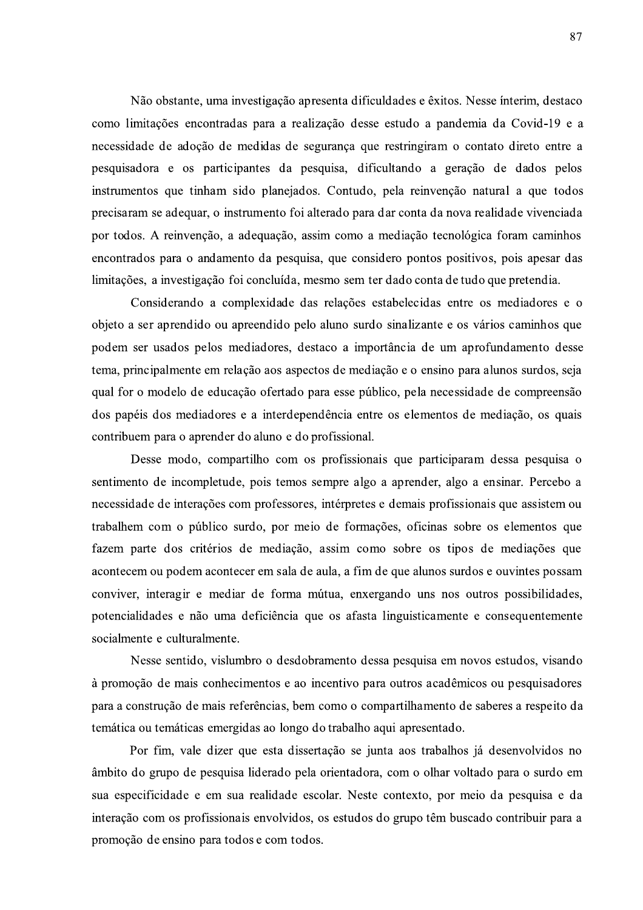Não obstante, uma investigação apresenta dificuldades e êxitos. Nesse ínterim, destaco como limitações encontradas para a realização desse estudo a pandemia da Covid-19 e a necessidade de adoção de medidas de segurança que restringiram o contato direto entre a pesquisadora e os participantes da pesquisa, dificultando a geração de dados pelos instrumentos que tinham sido planejados. Contudo, pela reinvenção natural a que todos precisaram se adequar, o instrumento foi alterado para dar conta da nova realidade vivenciada por todos. A reinvenção, a adequação, assim como a mediação tecnológica foram caminhos encontrados para o andamento da pesquisa, que considero pontos positivos, pois apesar das limitações, a investigação foi concluída, mesmo sem ter dado conta de tudo que pretendia.

Considerando a complexidade das relações estabelecidas entre os mediadores e o objeto a ser aprendido ou apreendido pelo aluno surdo sinalizante e os vários caminhos que podem ser usados pelos mediadores, destaco a importância de um aprofundamento desse tema, principalmente em relação aos aspectos de mediação e o ensino para alunos surdos, seja qual for o modelo de educação ofertado para esse público, pela necessidade de compreensão dos papéis dos mediadores e a interdependência entre os elementos de mediação, os quais contribuem para o aprender do aluno e do profissional.

Desse modo, compartilho com os profissionais que participaram dessa pesquisa o sentimento de incompletude, pois temos sempre algo a aprender, algo a ensinar. Percebo a necessidade de interações com professores, intérpretes e demais profissionais que assistem ou trabalhem com o público surdo, por meio de formações, oficinas sobre os elementos que fazem parte dos critérios de mediação, assim como sobre os tipos de mediações que acontecem ou podem acontecer em sala de aula, a fim de que alunos surdos e ouvintes possam conviver, interagir e mediar de forma mútua, enxergando uns nos outros possibilidades, potencialidades e não uma deficiência que os afasta linguisticamente e consequentemente socialmente e culturalmente.

Nesse sentido, vislumbro o desdobramento dessa pesquisa em novos estudos, visando à promoção de mais conhecimentos e ao incentivo para outros acadêmicos ou pesquisadores para a construção de mais referências, bem como o compartilhamento de saberes a respeito da temática ou temáticas emergidas ao longo do trabalho aqui apresentado.

Por fim, vale dizer que esta dissertação se junta aos trabalhos já desenvolvidos no âmbito do grupo de pesquisa liderado pela orientadora, com o olhar voltado para o surdo em sua especificidade e em sua realidade escolar. Neste contexto, por meio da pesquisa e da interação com os profissionais envolvidos, os estudos do grupo têm buscado contribuir para a promoção de ensino para todos e com todos.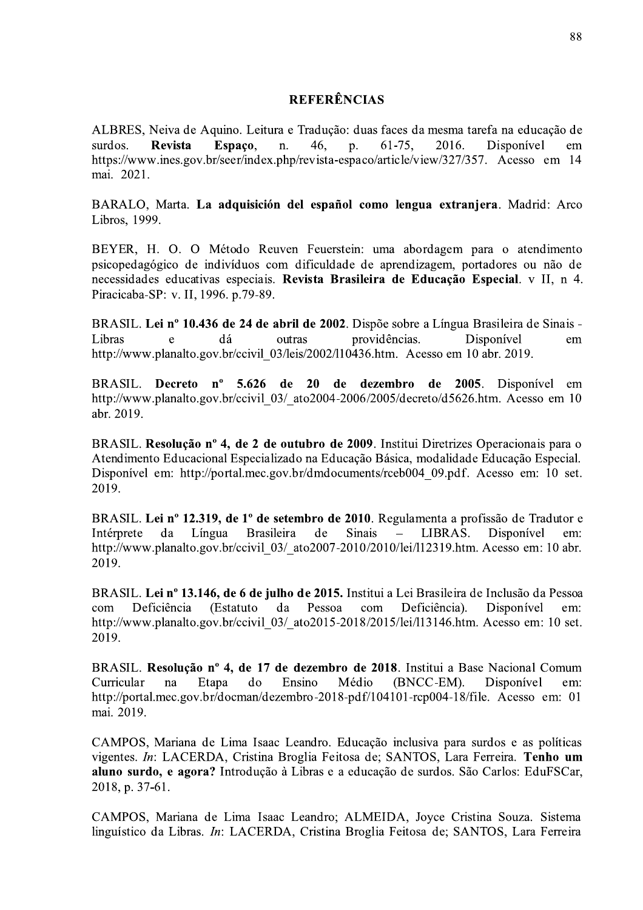### **REFERÊNCIAS**

ALBRES, Neiva de Aquino. Leitura e Tradução: duas faces da mesma tarefa na educação de 2016. Espaco. 46.  $61-75.$ Disponível surdos. Revista n.  $\mathbf{D}$ . em https://www.ines.gov.br/seer/index.php/revista-espaco/article/view/327/357. Acesso em 14 mai. 2021.

BARALO, Marta. La adquisición del español como lengua extranjera. Madrid: Arco Libros, 1999.

BEYER, H. O. O Método Reuven Feuerstein: uma abordagem para o atendimento psicopedagógico de indivíduos com dificuldade de aprendizagem, portadores ou não de necessidades educativas especiais. Revista Brasileira de Educação Especial. v II, n 4. Piracicaba-SP: v. II, 1996. p.79-89.

BRASIL. Lei nº 10.436 de 24 de abril de 2002. Dispõe sobre a Língua Brasileira de Sinais providências. Libras Disponível e dá outras em http://www.planalto.gov.br/ccivil 03/leis/2002/110436.htm. Acesso em 10 abr. 2019.

BRASIL. Decreto nº 5.626 de 20 de dezembro de 2005. Disponível em http://www.planalto.gov.br/ccivil 03/ ato2004-2006/2005/decreto/d5626.htm. Acesso em 10 abr. 2019.

BRASIL. Resolução nº 4, de 2 de outubro de 2009. Institui Diretrizes Operacionais para o Atendimento Educacional Especializado na Educação Básica, modalidade Educação Especial. Disponível em: http://portal.mec.gov.br/dmdocuments/rceb004 09.pdf. Acesso em: 10 set. 2019.

BRASIL. Lei nº 12.319, de 1º de setembro de 2010. Regulamenta a profissão de Tradutor e **Sinais** LIBRAS. Intérprete Língua **Brasileira** de Disponível da em: http://www.planalto.gov.br/ccivil 03/ ato2007-2010/2010/lei/l12319.htm. Acesso em: 10 abr. 2019.

BRASIL. Lei nº 13.146, de 6 de julho de 2015. Institui a Lei Brasileira de Inclusão da Pessoa com Deficiência (Estatuto da Pessoa com Deficiência). Disponível em: http://www.planalto.gov.br/ccivil 03/ ato2015-2018/2015/lei/l13146.htm. Acesso em: 10 set. 2019.

BRASIL. Resolução nº 4, de 17 de dezembro de 2018. Institui a Base Nacional Comum Curricular Etapa do Ensino Médio (BNCC-EM). Disponível na em: http://portal.mec.gov.br/docman/dezembro-2018-pdf/104101-rcp004-18/file. Acesso em: 01 mai. 2019.

CAMPOS, Mariana de Lima Isaac Leandro. Educação inclusiva para surdos e as políticas vigentes. In: LACERDA, Cristina Broglia Feitosa de; SANTOS, Lara Ferreira. Tenho um aluno surdo, e agora? Introdução à Libras e a educação de surdos. São Carlos: EduFSCar, 2018, p. 37-61.

CAMPOS, Mariana de Lima Isaac Leandro; ALMEIDA, Joyce Cristina Souza. Sistema linguístico da Libras. In: LACERDA, Cristina Broglia Feitosa de; SANTOS, Lara Ferreira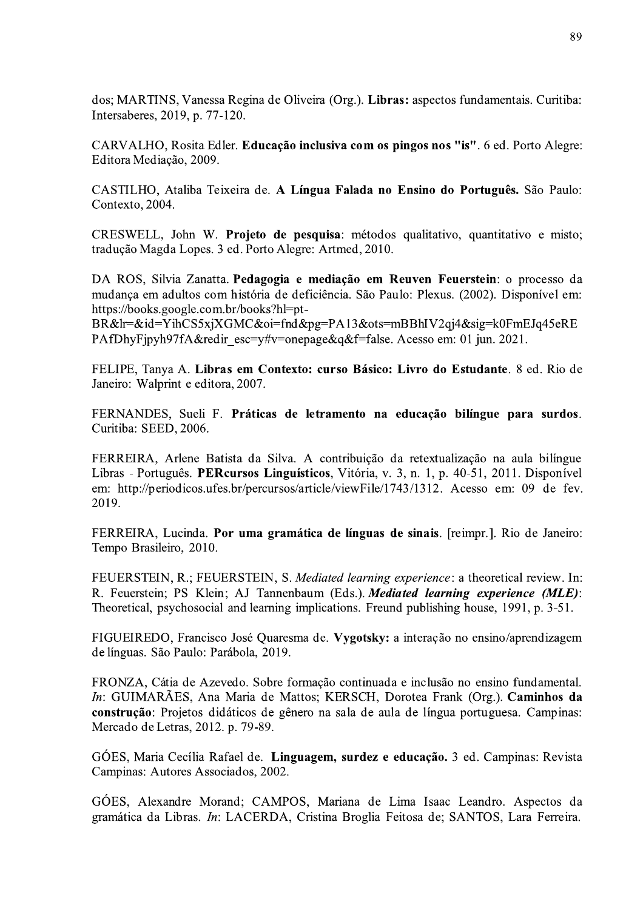dos; MARTINS, Vanessa Regina de Oliveira (Org.). Libras: aspectos fundamentais. Curitiba: Intersaberes, 2019, p. 77-120.

CARVALHO, Rosita Edler. Educação inclusiva com os pingos nos "is". 6 ed. Porto Alegre: Editora Mediação, 2009.

CASTILHO, Ataliba Teixeira de. A Língua Falada no Ensino do Português. São Paulo: Contexto, 2004.

CRESWELL, John W. Projeto de pesquisa: métodos qualitativo, quantitativo e misto; tradução Magda Lopes. 3 ed. Porto Alegre: Artmed, 2010.

DA ROS, Silvia Zanatta. Pedagogia e mediação em Reuven Feuerstein: o processo da mudança em adultos com história de deficiência. São Paulo: Plexus. (2002). Disponível em: https://books.google.com.br/books?hl=pt-

BR&lr=&id=YihCS5xjXGMC&oi=fnd&pg=PA13&ots=mBBhIV2qj4&sig=k0FmEJq45eRE PAfDhyFipyh97fA&redir esc=v#v=onepage&a&f=false. Acesso em: 01 jun. 2021.

FELIPE, Tanya A. Libras em Contexto: curso Básico: Livro do Estudante. 8 ed. Rio de Janeiro: Walprint e editora, 2007.

FERNANDES, Sueli F. Práticas de letramento na educação bilíngue para surdos. Curitiba: SEED, 2006.

FERREIRA, Arlene Batista da Silva. A contribuição da retextualização na aula bilíngue Libras - Português. PERcursos Linguísticos, Vitória, v. 3, n. 1, p. 40-51, 2011. Disponível em: http://periodicos.ufes.br/percursos/article/viewFile/1743/1312. Acesso em: 09 de fev. 2019.

FERREIRA, Lucinda. Por uma gramática de línguas de sinais. [reimpr.]. Rio de Janeiro: Tempo Brasileiro, 2010.

FEUERSTEIN, R.; FEUERSTEIN, S. Mediated learning experience: a theoretical review. In: R. Feuerstein; PS Klein; AJ Tannenbaum (Eds.). Mediated learning experience (MLE): Theoretical, psychosocial and learning implications. Freund publishing house, 1991, p. 3-51.

FIGUEIREDO, Francisco José Quaresma de. Vygotsky: a interação no ensino/aprendizagem de línguas. São Paulo: Parábola, 2019.

FRONZA, Cátia de Azevedo. Sobre formação continuada e inclusão no ensino fundamental. In: GUIMARÃES, Ana Maria de Mattos; KERSCH, Dorotea Frank (Org.). Caminhos da construção: Projetos didáticos de gênero na sala de aula de língua portuguesa. Campinas: Mercado de Letras, 2012. p. 79-89.

GÓES, Maria Cecília Rafael de. Linguagem, surdez e educação. 3 ed. Campinas: Revista Campinas: Autores Associados, 2002.

GÓES, Alexandre Morand; CAMPOS, Mariana de Lima Isaac Leandro. Aspectos da gramática da Libras. In: LACERDA, Cristina Broglia Feitosa de; SANTOS, Lara Ferreira.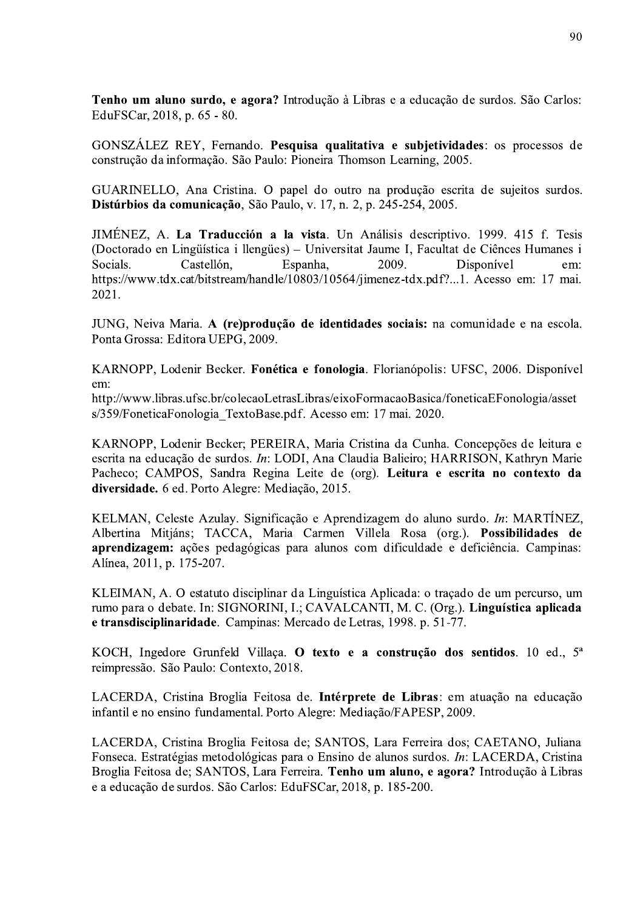Tenho um aluno surdo, e agora? Introdução à Libras e a educação de surdos. São Carlos: EduFSCar, 2018, p. 65 - 80.

GONSZÁLEZ REY, Fernando. Pesquisa qualitativa e subjetividades: os processos de construção da informação. São Paulo: Pioneira Thomson Learning, 2005.

GUARINELLO, Ana Cristina. O papel do outro na produção escrita de sujeitos surdos. Distúrbios da comunicação, São Paulo, v. 17, n. 2, p. 245-254, 2005.

JIMÉNEZ, A. La Traducción a la vista. Un Análisis descriptivo. 1999. 415 f. Tesis (Doctorado en Lingüística i llengües) – Universitat Jaume I, Facultat de Ciênces Humanes i Castellón. 2009. Disponível Socials. Espanha, em: https://www.tdx.cat/bitstream/handle/10803/10564/ijmenez-tdx.pdf?...1. Acesso em: 17 mai. 2021.

JUNG, Neiva Maria. A (re)produção de identidades sociais: na comunidade e na escola. Ponta Grossa: Editora UEPG, 2009.

KARNOPP, Lodenir Becker. Fonética e fonologia. Florianópolis: UFSC, 2006. Disponível em:

http://www.libras.ufsc.br/colecaoLetrasLibras/eixoFormacaoBasica/foneticaEFonologia/asset s/359/FoneticaFonologia TextoBase.pdf. Acesso em: 17 mai. 2020.

KARNOPP, Lodenir Becker; PEREIRA, Maria Cristina da Cunha. Concepções de leitura e escrita na educação de surdos. In: LODI, Ana Claudia Balieiro; HARRISON, Kathryn Marie Pacheco; CAMPOS, Sandra Regina Leite de (org). Leitura e escrita no contexto da diversidade. 6 ed. Porto Alegre: Mediação, 2015.

KELMAN, Celeste Azulay. Significação e Aprendizagem do aluno surdo. In: MARTÍNEZ, Albertina Mitjáns; TACCA, Maria Carmen Villela Rosa (org.). Possibilidades de aprendizagem: ações pedagógicas para alunos com dificuldade e deficiência. Campinas: Alínea, 2011, p. 175-207.

KLEIMAN, A. O estatuto disciplinar da Linguística Aplicada: o traçado de um percurso, um rumo para o debate. In: SIGNORINI, I.; CAVALCANTI, M. C. (Org.). Linguística aplicada e transdisciplinaridade. Campinas: Mercado de Letras, 1998. p. 51-77.

KOCH, Ingedore Grunfeld Villaça. O texto e a construção dos sentidos. 10 ed., 5<sup>ª</sup> reimpressão. São Paulo: Contexto, 2018.

LACERDA, Cristina Broglia Feitosa de. Intérprete de Libras: em atuação na educação infantil e no ensino fundamental. Porto Alegre: Mediação/FAPESP, 2009.

LACERDA, Cristina Broglia Feitosa de; SANTOS, Lara Ferreira dos; CAETANO, Juliana Fonseca. Estratégias metodológicas para o Ensino de alunos surdos. In: LACERDA, Cristina Broglia Feitosa de; SANTOS, Lara Ferreira. Tenho um aluno, e agora? Introdução à Libras e a educação de surdos. São Carlos: EduFSCar, 2018, p. 185-200.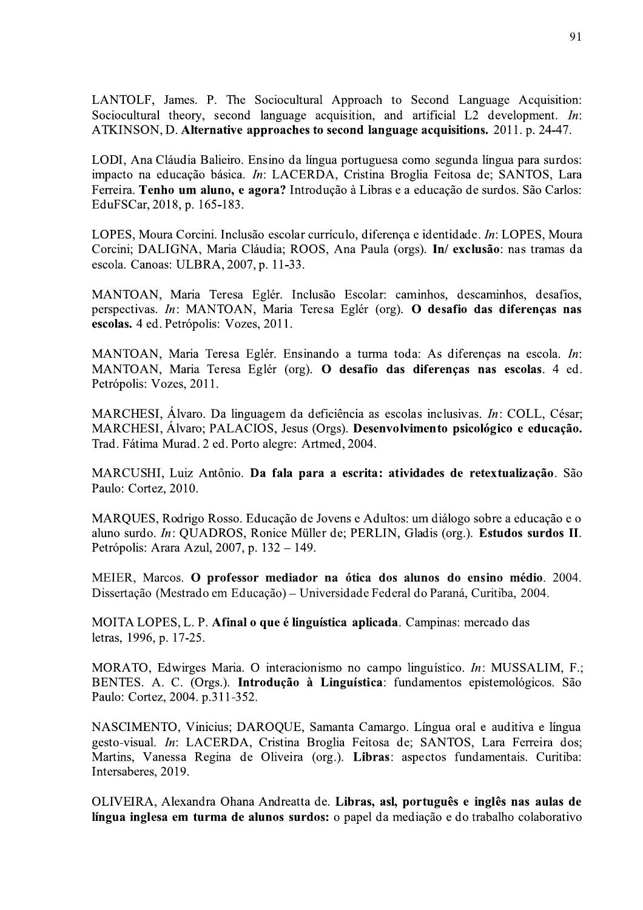LANTOLF, James. P. The Sociocultural Approach to Second Language Acquisition: Sociocultural theory, second language acquisition, and artificial  $L2$  development. In: ATKINSON, D. Alternative approaches to second language acquisitions. 2011. p. 24-47.

LODI, Ana Cláudia Balieiro. Ensino da língua portuguesa como segunda língua para surdos: impacto na educação básica. In: LACERDA, Cristina Broglia Feitosa de; SANTOS, Lara Ferreira. Tenho um aluno, e agora? Introdução à Libras e a educação de surdos. São Carlos: EduFSCar, 2018, p. 165-183.

LOPES, Moura Corcini. Inclusão escolar currículo, diferença e identidade. In: LOPES, Moura Corcini; DALIGNA, Maria Cláudia; ROOS, Ana Paula (orgs). In/exclusão: nas tramas da escola. Canoas: ULBRA, 2007, p. 11-33.

MANTOAN, Maria Teresa Eglér. Inclusão Escolar: caminhos, descaminhos, desafios, perspectivas. In: MANTOAN, Maria Teresa Eglér (org). O desafio das diferenças nas escolas. 4 ed. Petrópolis: Vozes, 2011.

MANTOAN, Maria Teresa Eglér. Ensinando a turma toda: As diferenças na escola. In: MANTOAN, Maria Teresa Eglér (org). O desafio das diferenças nas escolas. 4 ed. Petrópolis: Vozes, 2011.

MARCHESI, Álvaro. Da linguagem da deficiência as escolas inclusivas. In: COLL, César; MARCHESI, Álvaro; PALACIOS, Jesus (Orgs). Desenvolvimento psicológico e educação. Trad. Fátima Murad. 2 ed. Porto alegre: Artmed, 2004.

MARCUSHI, Luiz Antônio. Da fala para a escrita: atividades de retextualização. São Paulo: Cortez, 2010.

MARQUES, Rodrigo Rosso. Educação de Jovens e Adultos: um diálogo sobre a educação e o aluno surdo. In: QUADROS, Ronice Müller de; PERLIN, Gladis (org.). Estudos surdos II. Petrópolis: Arara Azul, 2007, p. 132 - 149.

MEIER, Marcos. O professor mediador na ótica dos alunos do ensino médio. 2004. Dissertação (Mestrado em Educação) – Universidade Federal do Paraná, Curitiba, 2004.

MOITA LOPES, L. P. Afinal o que é linguística aplicada. Campinas: mercado das letras, 1996, p. 17-25.

MORATO, Edwirges Maria. O interacionismo no campo linguístico. In: MUSSALIM, F.; BENTES. A. C. (Orgs.). Introdução à Linguística: fundamentos epistemológicos. São Paulo: Cortez, 2004. p.311-352.

NASCIMENTO, Vinicius; DAROQUE, Samanta Camargo. Língua oral e auditiva e língua gesto-visual. In: LACERDA, Cristina Broglia Feitosa de; SANTOS, Lara Ferreira dos; Martins, Vanessa Regina de Oliveira (org.). Libras: aspectos fundamentais. Curitiba: Intersaberes, 2019.

OLIVEIRA, Alexandra Ohana Andreatta de. Libras, asl, português e inglês nas aulas de língua inglesa em turma de alunos surdos: o papel da mediação e do trabalho colaborativo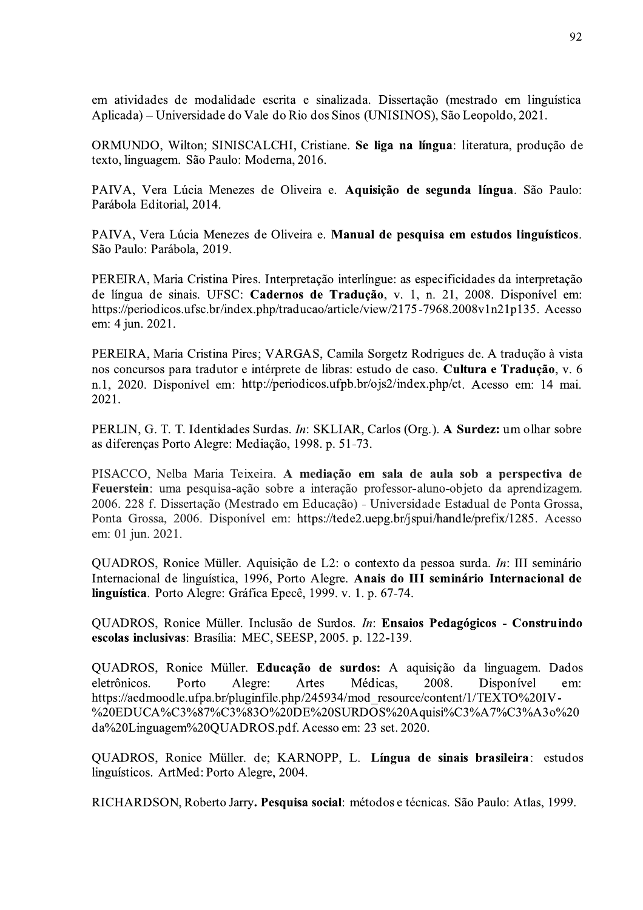em atividades de modalidade escrita e sinalizada. Dissertação (mestrado em linguística Aplicada) – Universidade do Vale do Rio dos Sinos (UNISINOS), São Leopoldo, 2021.

ORMUNDO, Wilton; SINISCALCHI, Cristiane. Se liga na língua: literatura, produção de texto, linguagem. São Paulo: Moderna, 2016.

PAIVA, Vera Lúcia Menezes de Oliveira e. Aquisição de segunda língua. São Paulo: Parábola Editorial, 2014.

PAIVA, Vera Lúcia Menezes de Oliveira e. Manual de pesquisa em estudos linguísticos. São Paulo: Parábola, 2019.

PEREIRA, Maria Cristina Pires. Interpretação interlíngue: as especificidades da interpretação de língua de sinais. UFSC: Cadernos de Tradução, v. 1, n. 21, 2008. Disponível em: https://periodicos.ufsc.br/index.php/traducao/article/view/2175-7968.2008v1n21p135. Acesso em: 4 jun. 2021.

PEREIRA, Maria Cristina Pires; VARGAS, Camila Sorgetz Rodrigues de. A tradução à vista nos concursos para tradutor e intérprete de libras: estudo de caso. Cultura e Tradução, v. 6 n.1, 2020. Disponível em: http://periodicos.ufpb.br/ojs2/index.php/ct. Acesso em: 14 mai.  $2021.$ 

PERLIN, G. T. T. Identidades Surdas. In: SKLIAR, Carlos (Org.). A Surdez: um olhar sobre as diferenças Porto Alegre: Mediação, 1998. p. 51-73.

PISACCO, Nelba Maria Teixeira. A mediação em sala de aula sob a perspectiva de Feuerstein: uma pesquisa-ação sobre a interação professor-aluno-objeto da aprendizagem. 2006. 228 f. Dissertação (Mestrado em Educação) - Universidade Estadual de Ponta Grossa, Ponta Grossa, 2006. Disponível em: https://tede2.uepg.br/jspui/handle/prefix/1285. Acesso em: 01 jun. 2021.

QUADROS, Ronice Müller. Aquisição de L2: o contexto da pessoa surda. In: III seminário Internacional de linguística, 1996, Porto Alegre. Anais do III seminário Internacional de linguística. Porto Alegre: Gráfica Epecê, 1999. v. 1. p. 67-74.

OUADROS, Ronice Müller. Inclusão de Surdos. In: Ensaios Pedagógicos - Construindo escolas inclusivas: Brasília: MEC, SEESP, 2005. p. 122-139.

QUADROS, Ronice Müller. Educação de surdos: A aquisição da linguagem. Dados Porto 2008. Disponível eletrônicos. Alegre: Artes Médicas. em: https://aedmoodle.ufpa.br/pluginfile.php/245934/mod\_resource/content/1/TEXTO%20IV-%20EDUCA%C3%87%C3%83O%20DE%20SURDOS%20Aquisi%C3%A7%C3%A3o%20 da%20Linguagem%20QUADROS.pdf. Acesso em: 23 set. 2020.

QUADROS, Ronice Müller. de; KARNOPP, L. Língua de sinais brasileira: estudos linguísticos. ArtMed: Porto Alegre, 2004.

RICHARDSON, Roberto Jarry. Pesquisa social: métodos e técnicas. São Paulo: Atlas, 1999.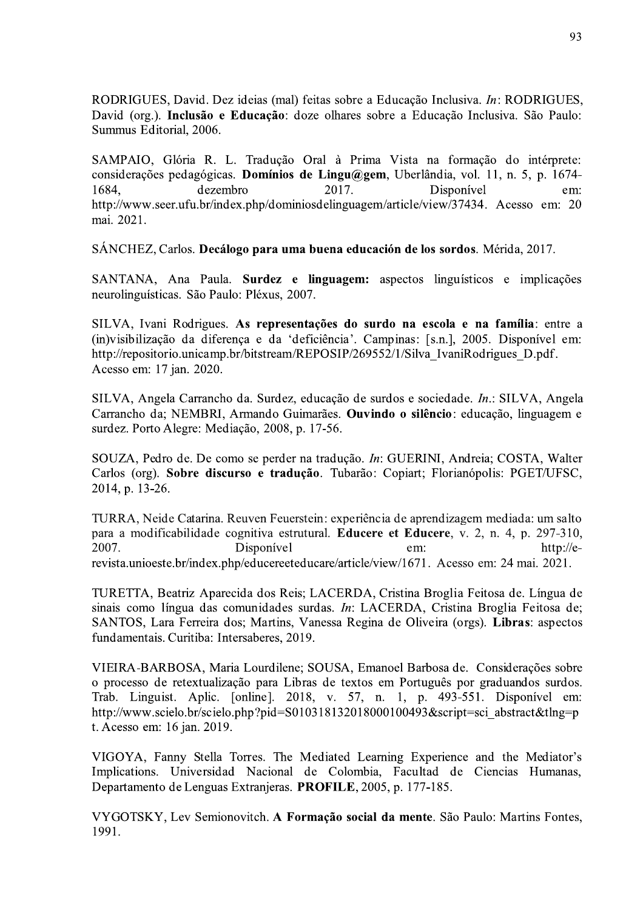RODRIGUES, David. Dez ideias (mal) feitas sobre a Educação Inclusiva. In: RODRIGUES, David (org.). Inclusão e Educação: doze olhares sobre a Educação Inclusiva. São Paulo: Summus Editorial, 2006.

SAMPAIO, Glória R. L. Tradução Oral à Prima Vista na formação do intérprete: considerações pedagógicas. Domínios de Lingu@gem, Uberlândia, vol. 11, n. 5, p. 1674-2017. 1684. dezembro Disponível em: http://www.seer.ufu.br/index.php/dominiosdelinguagem/article/view/37434. Acesso em: 20 mai. 2021.

SÁNCHEZ, Carlos. Decálogo para uma buena educación de los sordos. Mérida, 2017.

SANTANA, Ana Paula. Surdez e linguagem: aspectos linguísticos e implicações neurolinguísticas. São Paulo: Pléxus, 2007.

SILVA, Ivani Rodrigues. As representações do surdo na escola e na família: entre a (in) visibilização da diferença e da 'deficiência'. Campinas: [s.n.], 2005. Disponível em: http://repositorio.unicamp.br/bitstream/REPOSIP/269552/1/Silva IvaniRodrigues D.pdf. Acesso em: 17 jan. 2020.

SILVA, Angela Carrancho da. Surdez, educação de surdos e sociedade. In.: SILVA, Angela Carrancho da; NEMBRI, Armando Guimarães. Ouvindo o silêncio: educação, linguagem e surdez. Porto Alegre: Mediação, 2008, p. 17-56.

SOUZA, Pedro de. De como se perder na tradução. In: GUERINI, Andreia; COSTA, Walter Carlos (org). Sobre discurso e tradução. Tubarão: Copiart; Florianópolis: PGET/UFSC, 2014, p. 13-26.

TURRA, Neide Catarina. Reuven Feuerstein: experiência de aprendizagem mediada: um salto para a modificabilidade cognitiva estrutural. Educere et Educere, v. 2, n. 4, p. 297-310, 2007. Disponível http://eem: revista.unioeste.br/index.php/educereeteducare/article/view/1671. Acesso em: 24 mai. 2021.

TURETTA, Beatriz Aparecida dos Reis; LACERDA, Cristina Broglia Feitosa de. Língua de sinais como língua das comunidades surdas. In: LACERDA, Cristina Broglia Feitosa de; SANTOS, Lara Ferreira dos; Martins, Vanessa Regina de Oliveira (orgs). Libras: aspectos fundamentais. Curitiba: Intersaberes. 2019.

VIEIRA-BARBOSA, Maria Lourdilene; SOUSA, Emanoel Barbosa de. Considerações sobre o processo de retextualização para Libras de textos em Português por graduandos surdos. Trab. Linguist. Aplic. [online]. 2018, v. 57, n. 1, p. 493-551. Disponível em: http://www.scielo.br/scielo.php?pid=S010318132018000100493&script=sci abstract&tlng=p t. Acesso em: 16 jan. 2019.

VIGOYA, Fanny Stella Torres. The Mediated Learning Experience and the Mediator's Implications. Universidad Nacional de Colombia, Facultad de Ciencias Humanas, Departamento de Lenguas Extranjeras. PROFILE, 2005, p. 177-185.

VYGOTSKY, Lev Semionovitch. A Formação social da mente. São Paulo: Martins Fontes, 1991.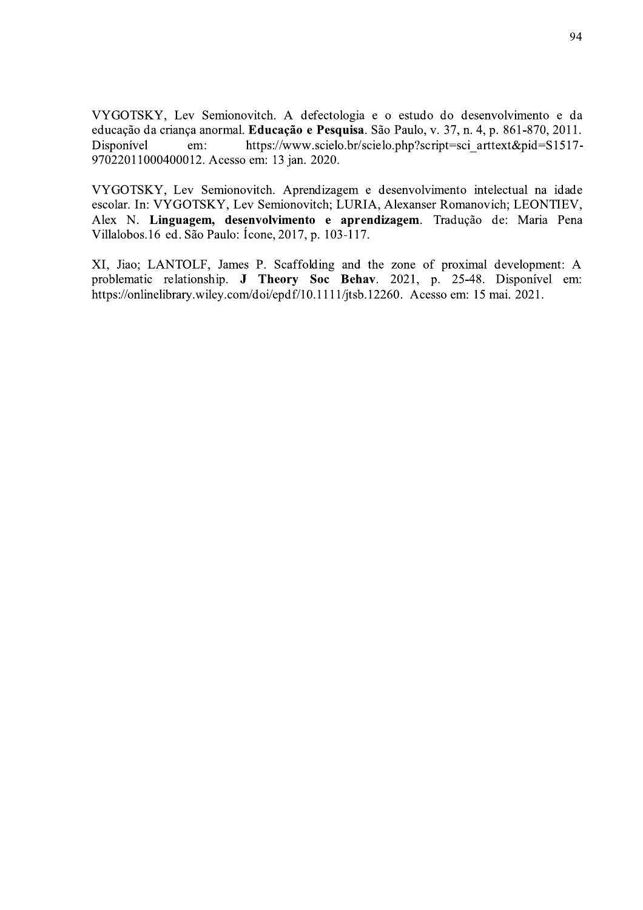VYGOTSKY, Lev Semionovitch. A defectologia e o estudo do desenvolvimento e da educação da criança anormal. Educação e Pesquisa. São Paulo, v. 37, n. 4, p. 861-870, 2011. https://www.scielo.br/scielo.php?script=sci arttext&pid=S1517-Disponível em: 97022011000400012. Acesso em: 13 jan. 2020.

VYGOTSKY, Lev Semionovitch. Aprendizagem e desenvolvimento intelectual na idade escolar. In: VYGOTSKY, Lev Semionovitch; LURIA, Alexanser Romanovich; LEONTIEV, Alex N. Linguagem, desenvolvimento e aprendizagem. Tradução de: Maria Pena Villalobos.16 ed. São Paulo: Ícone, 2017, p. 103-117.

XI, Jiao; LANTOLF, James P. Scaffolding and the zone of proximal development: A problematic relationship. J Theory Soc Behav. 2021, p. 25-48. Disponível em: https://onlinelibrary.wiley.com/doi/epdf/10.1111/jtsb.12260. Acesso em: 15 mai. 2021.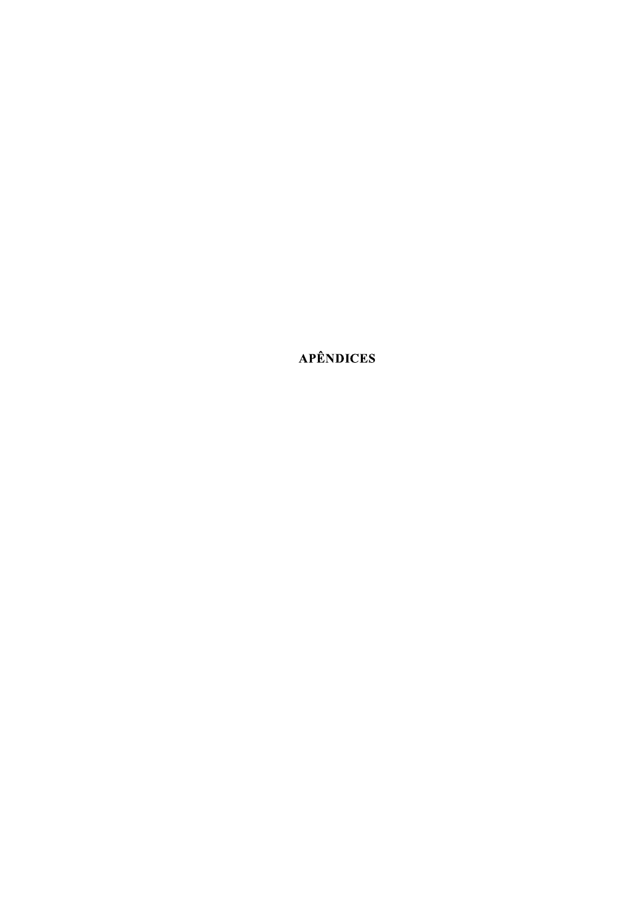APÊNDICES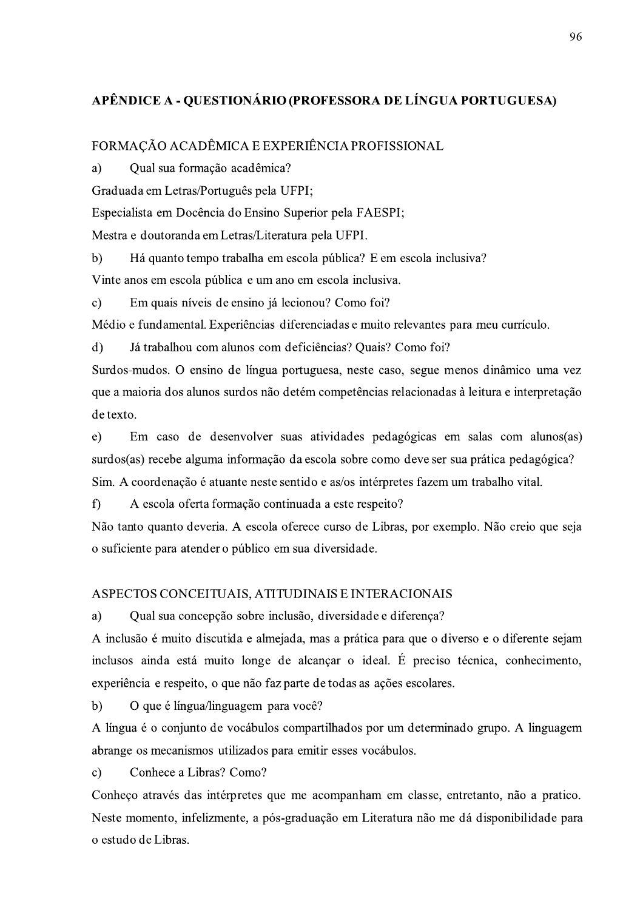# APÊNDICE A - QUESTIONÁRIO (PROFESSORA DE LÍNGUA PORTUGUESA)

#### FORMAÇÃO ACADÊMICA E EXPERIÊNCIA PROFISSIONAL

Qual sua formação acadêmica? a)

Graduada em Letras/Português pela UFPI;

Especialista em Docência do Ensino Superior pela FAESPI;

Mestra e doutoranda em Letras/Literatura pela UFPI.

Há quanto tempo trabalha em escola pública? E em escola inclusiva?  $b)$ Vinte anos em escola pública e um ano em escola inclusiva.

Em quais níveis de ensino já lecionou? Como foi?  $\mathbf{c}$ 

Médio e fundamental. Experiências diferenciadas e muito relevantes para meu currículo.

Já trabalhou com alunos com deficiências? Quais? Como foi?  $\mathrm{d}$ )

Surdos-mudos. O ensino de língua portuguesa, neste caso, segue menos dinâmico uma vez que a maioria dos alunos surdos não detém competências relacionadas à leitura e interpretação de texto.

Em caso de desenvolver suas atividades pedagógicas em salas com alunos(as) e) surdos(as) recebe alguma informação da escola sobre como deve ser sua prática pedagógica? Sim. A coordenação é atuante neste sentido e as/os intérpretes fazem um trabalho vital.

 $\mathbf{f}$ A escola oferta formação continuada a este respeito?

Não tanto quanto deveria. A escola oferece curso de Libras, por exemplo. Não creio que seja o suficiente para atender o público em sua diversidade.

#### ASPECTOS CONCEITUAIS, ATITUDINAIS E INTERACIONAIS

a) Qual sua concepção sobre inclusão, diversidade e diferença?

A inclusão é muito discutida e almejada, mas a prática para que o diverso e o diferente sejam inclusos ainda está muito longe de alcançar o ideal. É preciso técnica, conhecimento, experiência e respeito, o que não faz parte de todas as ações escolares.

 $b)$ O que é língua/linguagem para você?

A língua é o conjunto de vocábulos compartilhados por um determinado grupo. A linguagem abrange os mecanismos utilizados para emitir esses vocábulos.

Conhece a Libras? Como?  $\mathbf{c}$ 

Conheço através das intérpretes que me acompanham em classe, entretanto, não a pratico. Neste momento, infelizmente, a pós-graduação em Literatura não me dá disponibilidade para o estudo de Libras.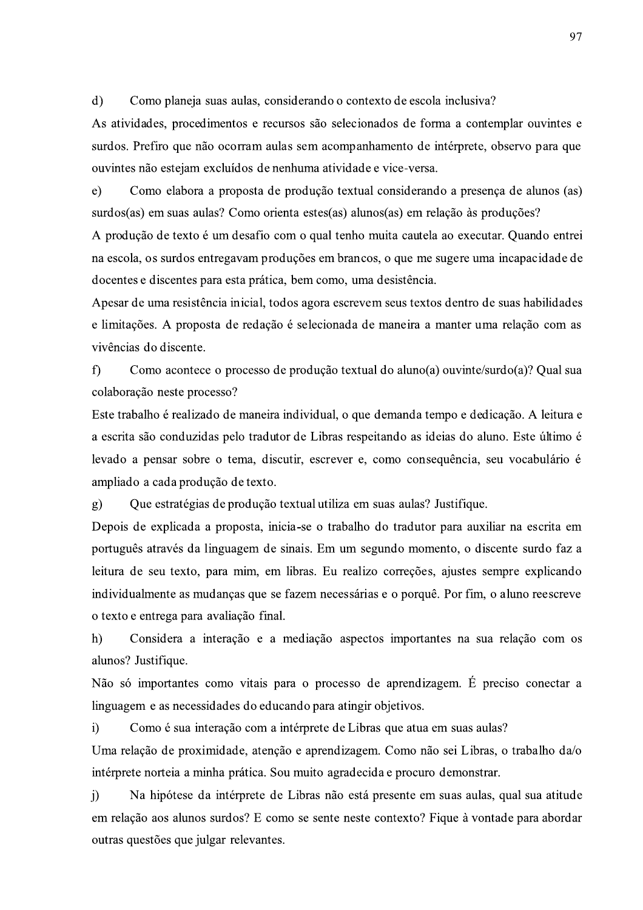$\mathbf{d}$ Como planeja suas aulas, considerando o contexto de escola inclusiva?

As atividades, procedimentos e recursos são selecionados de forma a contemplar ouvintes e surdos. Prefiro que não ocorram aulas sem acompanhamento de intérprete, observo para que ouvintes não estejam excluídos de nenhuma atividade e vice-versa.

Como elabora a proposta de produção textual considerando a presença de alunos (as) e) surdos(as) em suas aulas? Como orienta estes(as) alunos(as) em relação às produções?

A produção de texto é um desafio com o qual tenho muita cautela ao executar. Quando entrei na escola, os surdos entregavam produções em brancos, o que me sugere uma incapacidade de docentes e discentes para esta prática, bem como, uma desistência.

Apesar de uma resistência inicial, todos agora escrevem seus textos dentro de suas habilidades e limitações. A proposta de redação é selecionada de maneira a manter uma relação com as vivências do discente.

 $f$ Como acontece o processo de produção textual do aluno(a) ouvinte/surdo(a)? Qual sua colaboração neste processo?

Este trabalho é realizado de maneira individual, o que demanda tempo e dedicação. A leitura e a escrita são conduzidas pelo tradutor de Libras respeitando as ideias do aluno. Este último é levado a pensar sobre o tema, discutir, escrever e, como consequência, seu vocabulário é ampliado a cada produção de texto.

Que estratégias de produção textual utiliza em suas aulas? Justifique.  $g$ )

Depois de explicada a proposta, inicia-se o trabalho do tradutor para auxiliar na escrita em português através da linguagem de sinais. Em um segundo momento, o discente surdo faz a leitura de seu texto, para mim, em libras. Eu realizo correções, ajustes sempre explicando individualmente as mudanças que se fazem necessárias e o porquê. Por fim, o aluno reescreve o texto e entrega para avaliação final.

Considera a interação e a mediação aspectos importantes na sua relação com os  $h)$ alunos? Justifique.

Não só importantes como vitais para o processo de aprendizagem. É preciso conectar a linguagem e as necessidades do educando para atingir objetivos.

 $i)$ Como é sua interação com a intérprete de Libras que atua em suas aulas?

Uma relação de proximidade, atenção e aprendizagem. Como não sei Libras, o trabalho da/o intérprete norteia a minha prática. Sou muito agradecida e procuro demonstrar.

 $\ddot{1}$ Na hipótese da intérprete de Libras não está presente em suas aulas, qual sua atitude em relação aos alunos surdos? E como se sente neste contexto? Fique à vontade para abordar outras questões que julgar relevantes.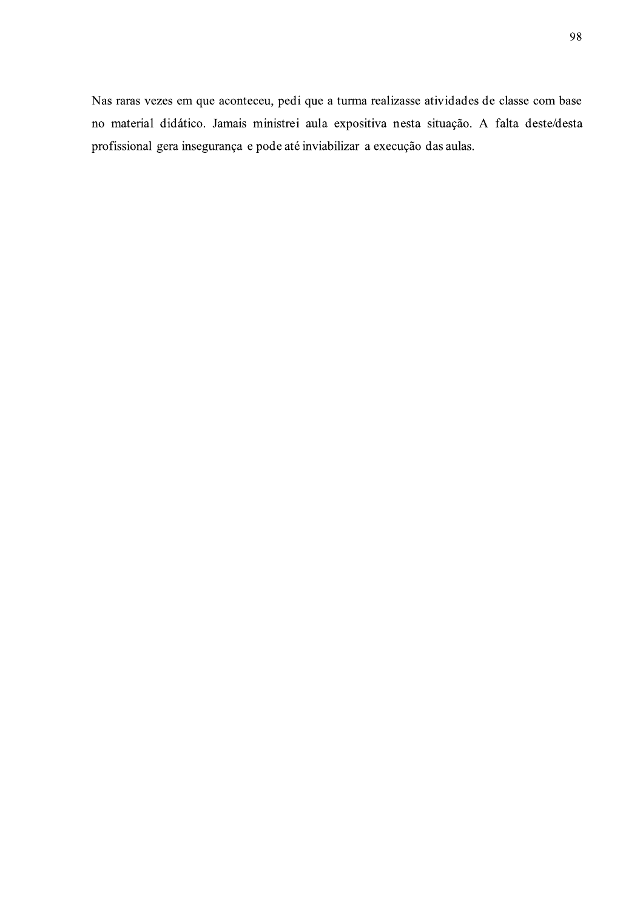Nas raras vezes em que aconteceu, pedi que a turma realizasse atividades de classe com base no material didático. Jamais ministrei aula expositiva nesta situação. A falta deste/desta profissional gera insegurança e pode até inviabilizar a execução das aulas.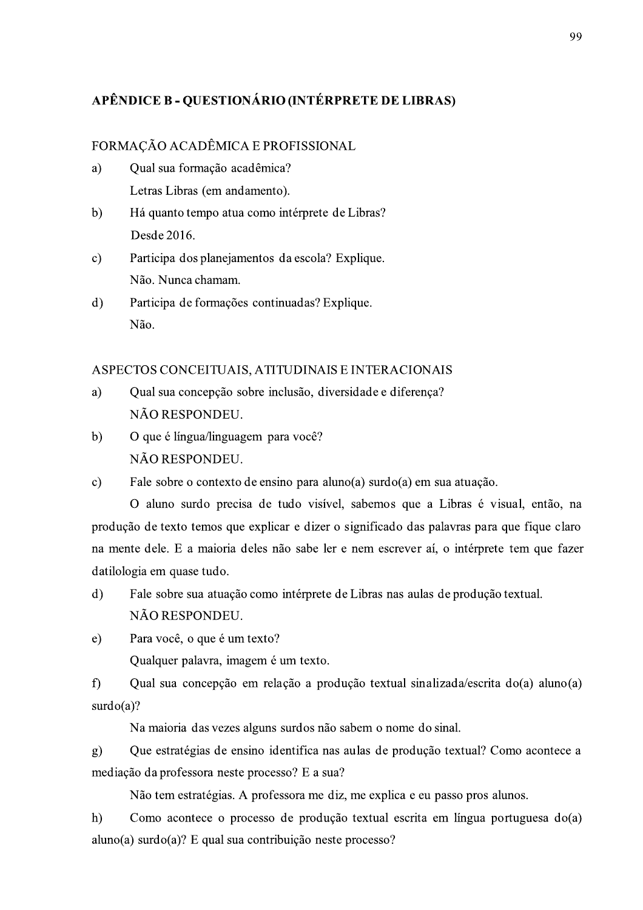## APÊNDICE B - OUESTIONÁRIO (INTÉRPRETE DE LIBRAS)

- 
- APÊNDICE B QUESTIONÁRIO (INTÉRPRETE DE LIBRAS)<br>
FORMAÇÃO ACADÊMICA E PROFISSIONAL<br>
a) Qual sua formação acadêmica?<br>
Letras Libras (em andamento).<br>
b) Há quanto tempo atua como intérprete de Libras?<br>
Desde 2016.<br>
c) Parti
	- Não. Nunca chamam.
	- d) Participa de formações continuadas? Explique. Não.

#### ASPECTOS CONCEITUAIS, ATITUDINAIS E INTERACIONAIS

- a) Qual sua concepção sobre inclusão, diversidade e diferença? NÃO RESPONDEU.
- b) O que é língua/linguagem para você?
- 

(a) Qual sua concepção sobre inclusão, diversidade e diferença?<br>
NÃO RESPONDEU.<br>
b) O que é língua/linguagem para você?<br>
NÃO RESPONDEU.<br>
c) Fale sobre o contexto de ensino para aluno(a) surdo(a) em sua atuação.<br>
O aluno s

- 
- 

g) -- Que estratégias de ensino identifica nas aulas de produção textual? Como acontece a mediação da professora neste processo? E a sua?

Não tem estratégias. A professora me diz, me explica e eu passo pros alunos.

h) Como acontece o processo de produção textual escrita em língua portuguesa do(a)  $\text{aluno}(a)$  surdo $\text{(a)}$ ? E qual sua contribuição neste processo?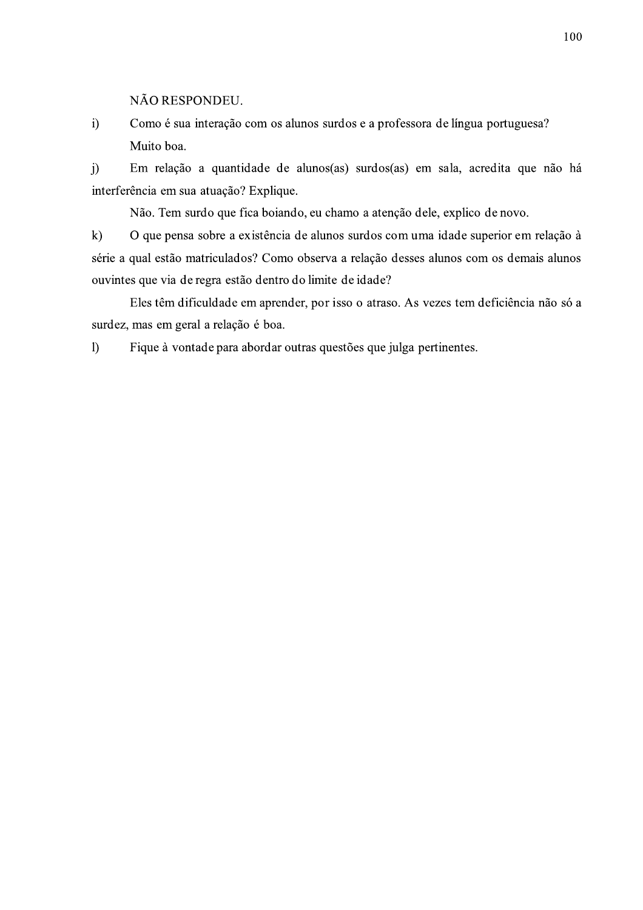NÃO RESPONDEU.

 $\ddot{1}$ Como é sua interação com os alunos surdos e a professora de língua portuguesa? Muito boa.

 $j)$ Em relação a quantidade de alunos(as) surdos(as) em sala, acredita que não há interferência em sua atuação? Explique.

Não. Tem surdo que fica boiando, eu chamo a atenção dele, explico de novo.

O que pensa sobre a existência de alunos surdos com uma idade superior em relação à  $k)$ série a qual estão matriculados? Como observa a relação desses alunos com os demais alunos ouvintes que via de regra estão dentro do limite de idade?

Eles têm dificuldade em aprender, por isso o atraso. As vezes tem deficiência não só a surdez, mas em geral a relação é boa.

 $\mathbf{D}$ Fique à vontade para abordar outras questões que julga pertinentes.